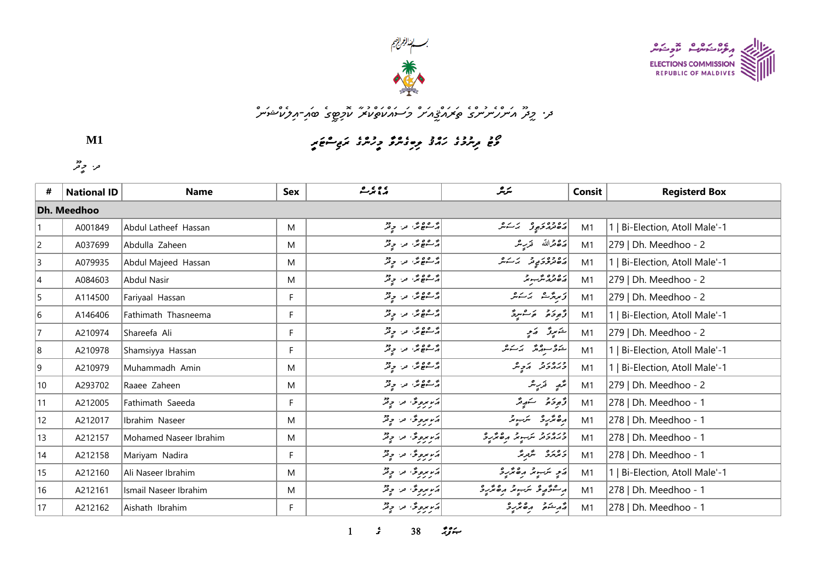



## مز. *وِفرٌ م<sup>ن</sup>تررْ شَرْسُرْ* يُحَمَدُّوِْمَ<sup>س</sup>ُرْ وَسَنَدْهُ كَمَارْتِهِي صَدِّيرِ مِنْ مَسْتَمَرُّ

*p8mHwEoKm8sCw7q5p>n=w7sCo9oBqYw<m5sCq>q7o@qHv=*

*r@p>@*

**M1**

| #                  | <b>National ID</b> | <b>Name</b>            | Sex | <u>ې دې بر ه</u>                    | سرير                                                                                                                                                                                                                                                                                                                                                                                                     | Consit | <b>Registerd Box</b>           |  |  |  |  |
|--------------------|--------------------|------------------------|-----|-------------------------------------|----------------------------------------------------------------------------------------------------------------------------------------------------------------------------------------------------------------------------------------------------------------------------------------------------------------------------------------------------------------------------------------------------------|--------|--------------------------------|--|--|--|--|
| <b>Dh. Meedhoo</b> |                    |                        |     |                                     |                                                                                                                                                                                                                                                                                                                                                                                                          |        |                                |  |  |  |  |
|                    | A001849            | Abdul Latheef Hassan   | M   | پر ۱۳۵۵ میں دیو                     | مەمەر ئەربۇ ئەسكىر                                                                                                                                                                                                                                                                                                                                                                                       | M1     | 1   Bi-Election, Atoll Male'-1 |  |  |  |  |
| $\overline{2}$     | A037699            | Abdulla Zaheen         | M   | پر عویز اور اور                     | 22 مقرالله قريب همر                                                                                                                                                                                                                                                                                                                                                                                      | M1     | 279   Dh. Meedhoo - 2          |  |  |  |  |
| 3                  | A079935            | Abdul Majeed Hassan    | M   | پڑھ عیمر کے مزاح قر                 | رەۋەرىپە ئەسەش                                                                                                                                                                                                                                                                                                                                                                                           | M1     | 1   Bi-Election, Atoll Male'-1 |  |  |  |  |
| 4                  | A084603            | Abdul Nasir            | M   | پر ۱۳۵۵ من چیز                      | ره ده شور د                                                                                                                                                                                                                                                                                                                                                                                              | M1     | 279   Dh. Meedhoo - 2          |  |  |  |  |
| 5                  | A114500            | Fariyaal Hassan        | F   | پر ۱۳۵۵ و.<br>  پر سومبر اور اور در | ئۇيرېژىش برىكىش                                                                                                                                                                                                                                                                                                                                                                                          | M1     | 279   Dh. Meedhoo - 2          |  |  |  |  |
| 6                  | A146406            | Fathimath Thasneema    | F   | پر شکھ مگر اور اور دیگر             | وُمُوحَمْ وَسَاسِعٌ                                                                                                                                                                                                                                                                                                                                                                                      | M1     | 1   Bi-Election, Atoll Male'-1 |  |  |  |  |
| $\overline{7}$     | A210974            | Shareefa Ali           | F   | پر عوم پر دیگر                      | التكاموقي أمكاني                                                                                                                                                                                                                                                                                                                                                                                         | M1     | 279   Dh. Meedhoo - 2          |  |  |  |  |
| 8                  | A210978            | Shamsiyya Hassan       | F   | پر عوی مرح م                        |                                                                                                                                                                                                                                                                                                                                                                                                          | M1     | 1   Bi-Election, Atoll Male'-1 |  |  |  |  |
| 9                  | A210979            | Muhammadh Amin         | M   | پُرکھے پُر، روپر                    | دره در در کرد م                                                                                                                                                                                                                                                                                                                                                                                          | M1     | 1   Bi-Election, Atoll Male'-1 |  |  |  |  |
| $ 10\rangle$       | A293702            | Raaee Zaheen           | M   | پر عومی من چیز                      |                                                                                                                                                                                                                                                                                                                                                                                                          | M1     | 279   Dh. Meedhoo - 2          |  |  |  |  |
| 11                 | A212005            | Fathimath Saeeda       | F   | در مروتی اور او قر                  | ژُهِ دَهُ شَهِ شَ                                                                                                                                                                                                                                                                                                                                                                                        | M1     | 278   Dh. Meedhoo - 1          |  |  |  |  |
| 12                 | A212017            | Ibrahim Naseer         | M   | ړیریږونګه مرا چ <sup>و</sup> ړ      | رەئرىر ئىبوتر                                                                                                                                                                                                                                                                                                                                                                                            | M1     | 278   Dh. Meedhoo - 1          |  |  |  |  |
| 13                 | A212157            | Mohamed Naseer Ibrahim | M   | ړېږېږونکه لور چ <sup>و</sup> ژ      | دره د د سرب د مره تر رو                                                                                                                                                                                                                                                                                                                                                                                  | M1     | 278   Dh. Meedhoo - 1          |  |  |  |  |
| 14                 | A212158            | Mariyam Nadira         | F   | ړیریږونګه مرا چ <sup>و</sup> ړ      | دەرە شېرىتى                                                                                                                                                                                                                                                                                                                                                                                              | M1     | 278   Dh. Meedhoo - 1          |  |  |  |  |
| 15                 | A212160            | Ali Naseer Ibrahim     | M   | ړېږېږونکه لور چ <sup>و</sup> ژ      | ړَ په سَبِ په په مه ټر په د                                                                                                                                                                                                                                                                                                                                                                              | M1     | 1   Bi-Election, Atoll Male'-1 |  |  |  |  |
| 16                 | A212161            | Ismail Naseer Ibrahim  | M   | ړَر بروگ ترا دٍیْرٌ                 | رِ ۱۰۰۰ و په سر په ده تر رو                                                                                                                                                                                                                                                                                                                                                                              | M1     | 278   Dh. Meedhoo - 1          |  |  |  |  |
| 17                 | A212162            | Aishath Ibrahim        | F   | ړیو بره دی او دی                    | $\begin{vmatrix} 0 & \frac{1}{2} & \frac{1}{2} & \frac{1}{2} & \frac{1}{2} & \frac{1}{2} & \frac{1}{2} & \frac{1}{2} & \frac{1}{2} & \frac{1}{2} & \frac{1}{2} & \frac{1}{2} & \frac{1}{2} & \frac{1}{2} & \frac{1}{2} & \frac{1}{2} & \frac{1}{2} & \frac{1}{2} & \frac{1}{2} & \frac{1}{2} & \frac{1}{2} & \frac{1}{2} & \frac{1}{2} & \frac{1}{2} & \frac{1}{2} & \frac{1}{2} & \frac{1}{2} & \frac{$ | M1     | 278   Dh. Meedhoo - 1          |  |  |  |  |

 $38$   $79$   $\div$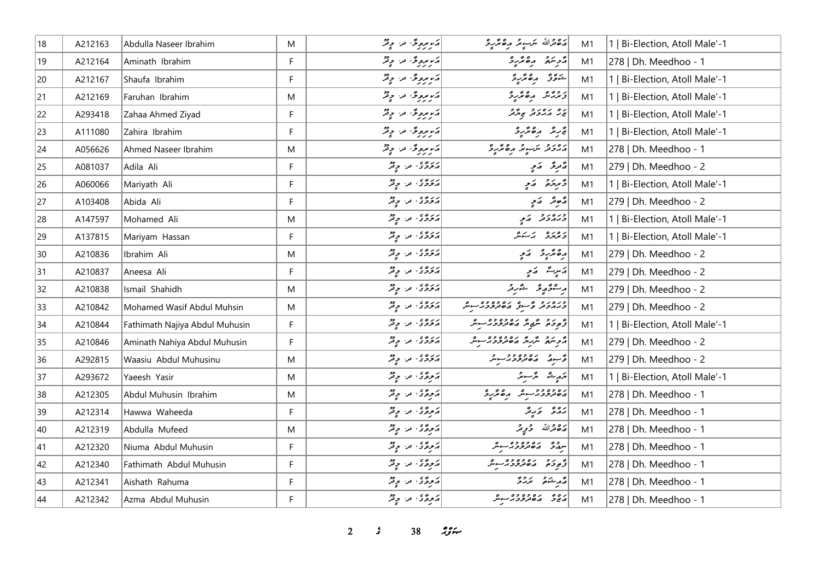| 18 | A212163 | Abdulla Naseer Ibrahim         | M  | دَرِيرِيرِ فِي مِنْ وِيْرٌ                                              | رَدْوَرْاللَّهُ سَرَجَيْهِ بَرْ حَمَّدِيْرَ                                                                                                                                                                                      | M1 | 1   Bi-Election, Atoll Male'-1 |
|----|---------|--------------------------------|----|-------------------------------------------------------------------------|----------------------------------------------------------------------------------------------------------------------------------------------------------------------------------------------------------------------------------|----|--------------------------------|
| 19 | A212164 | Aminath Ibrahim                | F  | در بروی در وقر                                                          | أزويته مقترد                                                                                                                                                                                                                     | M1 | 278   Dh. Meedhoo - 1          |
| 20 | A212167 | Shaufa Ibrahim                 | F  | ړیر بروگ اور او په                                                      | شوتر مەترىرە                                                                                                                                                                                                                     | M1 | 1   Bi-Election, Atoll Male'-1 |
| 21 | A212169 | Faruhan Ibrahim                | M  | ړیریږدگا اور دی                                                         | أزبربر مقتربة                                                                                                                                                                                                                    | M1 | 1   Bi-Election, Atoll Male'-1 |
| 22 | A293418 | Zahaa Ahmed Ziyad              | F  | در بروژ، در دیژ                                                         | پر پر پر پر پر پر پر                                                                                                                                                                                                             | M1 | 1   Bi-Election, Atoll Male'-1 |
| 23 | A111080 | Zahira Ibrahim                 | F. | اړکو مرحوظه اور او د ته                                                 | تجربته وره تزرد                                                                                                                                                                                                                  | M1 | 1   Bi-Election, Atoll Male'-1 |
| 24 | A056626 | Ahmed Naseer Ibrahim           | M  | ړیر بروگ در چ <sup>و</sup> ړ                                            | <br>  הגבת יתה גם הסתיב                                                                                                                                                                                                          | M1 | 278   Dh. Meedhoo - 1          |
| 25 | A081037 | Adila Ali                      | F  | دروه در ویژ                                                             | شَعِرِ مَدَ يَهِ                                                                                                                                                                                                                 | M1 | 279   Dh. Meedhoo - 2          |
| 26 | A060066 | Mariyath Ali                   | F. | پروی در چیز                                                             | دسمبرد و اړم                                                                                                                                                                                                                     | M1 | 1   Bi-Election, Atoll Male'-1 |
| 27 | A103408 | Abida Ali                      | F  | پروی مراح فر                                                            | مُصِمَّد مَجِ                                                                                                                                                                                                                    | M1 | 279   Dh. Meedhoo - 2          |
| 28 | A147597 | Mohamed Ali                    | M  | دروه من وفر                                                             | دره رو کمي                                                                                                                                                                                                                       | M1 | 1   Bi-Election, Atoll Male'-1 |
| 29 | A137815 | Mariyam Hassan                 | F  | دروی در دور                                                             | دەرە بەسەر                                                                                                                                                                                                                       | M1 | 1   Bi-Election, Atoll Male'-1 |
| 30 | A210836 | Ibrahim Ali                    | M  | پروی مراحٍ پُر                                                          | رە ئۈر ئەي                                                                                                                                                                                                                       | M1 | 279   Dh. Meedhoo - 2          |
| 31 | A210837 | Aneesa Ali                     | F. | پروی مراح فر                                                            | پرسرے کیمی                                                                                                                                                                                                                       | M1 | 279   Dh. Meedhoo - 2          |
| 32 | A210838 | Ismail Shahidh                 | M  | دروه من وفر                                                             | أر شۇر قىرىد                                                                                                                                                                                                                     | M1 | 279   Dh. Meedhoo - 2          |
| 33 | A210842 | Mohamed Wasif Abdul Muhsin     | M  | دروه در چیز                                                             |                                                                                                                                                                                                                                  | M1 | 279   Dh. Meedhoo - 2          |
| 34 | A210844 | Fathimath Najiya Abdul Muhusin | F  |                                                                         |                                                                                                                                                                                                                                  | M1 | 1   Bi-Election, Atoll Male'-1 |
| 35 | A210846 | Aminath Nahiya Abdul Muhusin   | F  |                                                                         |                                                                                                                                                                                                                                  | M1 | 279   Dh. Meedhoo - 2          |
| 36 | A292815 | Waasiu Abdul Muhusinu          | M  |                                                                         | در ده دووور سر در انگروی در دولت                                                                                                                                                                                                 | M1 | 279   Dh. Meedhoo - 2          |
| 37 | A293672 | Yaeesh Yasir                   | M  | ر ده در در در کنده است.<br>از کردگان استان در ایران                     | مَدِيش مَرْسِيرٌ                                                                                                                                                                                                                 | M1 | 1   Bi-Election, Atoll Male'-1 |
| 38 | A212305 | Abdul Muhusin Ibrahim          | M  |                                                                         | د ۱۵۵۵ مربود و مربود در اندازه استاده به در اندازه در اندازه در اندازه در اندازه در اندازه کردند و مربود در ان<br>در اندازه در اندازه کاربران در اندازه در اندازه کردند و مربود در اندازه کردند و مربود در اندازه کردند و در اند | M1 | 278   Dh. Meedhoo - 1          |
| 39 | A212314 | Hawwa Waheeda                  | F. | د وړی د وتر                                                             | پروژ کا پایگر                                                                                                                                                                                                                    | M1 | 278   Dh. Meedhoo - 1          |
| 40 | A212319 | Abdulla Mufeed                 | M  | $\frac{1}{2^{2}}$ $\frac{1}{2^{2}}$ $\frac{1}{2^{2}}$ $\frac{1}{2^{2}}$ | پره قرالله څېږ تر                                                                                                                                                                                                                | M1 | 278   Dh. Meedhoo - 1          |
| 41 | A212320 | Niuma Abdul Muhusin            | F. | $\frac{1}{2^{2}}$ = $\frac{1}{2^{2}}$ = $\frac{1}{2^{2}}$               |                                                                                                                                                                                                                                  | M1 | 278   Dh. Meedhoo - 1          |
| 42 | A212340 | Fathimath Abdul Muhusin        | F  | ړوؤ، ته دیژ                                                             | أقراره بره ده ده به م                                                                                                                                                                                                            | M1 | 278   Dh. Meedhoo - 1          |
| 43 | A212341 | Aishath Rahuma                 | F  | أأترونج فالمستحيض                                                       | $\begin{vmatrix} 2 & 2 & 3 \\ 5 & 2 & 3 \end{vmatrix}$                                                                                                                                                                           | M1 | 278   Dh. Meedhoo - 1          |
| 44 | A212342 | Azma Abdul Muhusin             | F  | رَ وِيٌّ مِنْ وِيْرٌ                                                    | ده ده ده ده ده سر                                                                                                                                                                                                                | M1 | 278   Dh. Meedhoo - 1          |

**2 38** *if***<sub>x</sub>**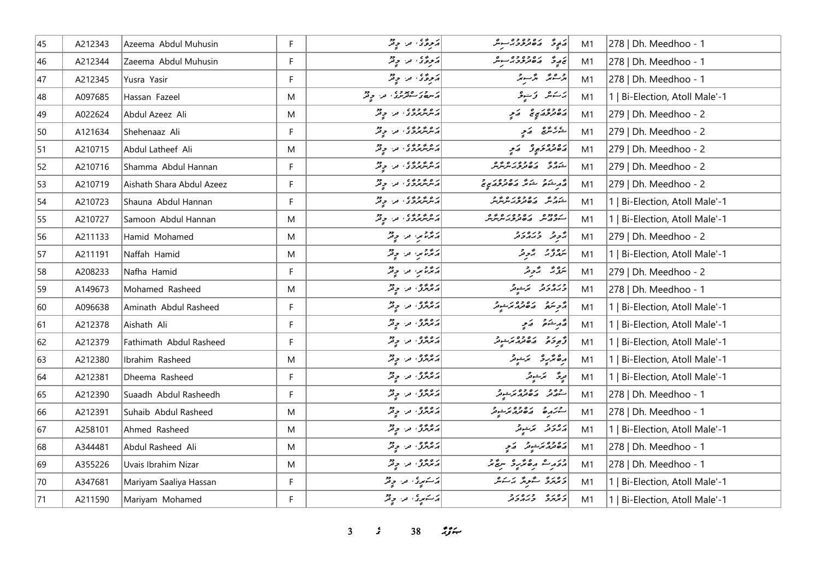| 45 | A212343 | Azeema Abdul Muhusin      | F            | رَحِوَّى من حِيْرٌ               | مَنْ فِي حَمْدِ مِنْ حَمْدِ حَمْدِ حَمْدِ حَمْدِ حَمْدِ حَمْدِ حَمْدِ حَمْدِ حَمْدِ حَمْدِ حَمْدِ | M1             | 278   Dh. Meedhoo - 1          |
|----|---------|---------------------------|--------------|----------------------------------|---------------------------------------------------------------------------------------------------|----------------|--------------------------------|
| 46 | A212344 | Zaeema Abdul Muhusin      | $\mathsf F$  | روځئ ترا وتر                     | پر پره ده دوه د سوش                                                                               | M1             | 278   Dh. Meedhoo - 1          |
| 47 | A212345 | Yusra Yasir               | F            | پروگان اور اولاد                 | أوراستمر وترسونر                                                                                  | M1             | 278   Dh. Meedhoo - 1          |
| 48 | A097685 | Hassan Fazeel             | M            | در صدوی در وی                    | پزشکل کی نیدبی                                                                                    | M1             | 1   Bi-Election, Atoll Male'-1 |
| 49 | A022624 | Abdul Azeez Ali           | M            | پر ه پر دوره ورا در د            | رەدورى ئ                                                                                          | M1             | 279   Dh. Meedhoo - 2          |
| 50 | A121634 | Shehenaaz Ali             | F            | پر هر پر دی په در در د           | يەر ئەھ كەمچە                                                                                     | M1             | 279   Dh. Meedhoo - 2          |
| 51 | A210715 | Abdul Latheef Ali         | M            | پر هر پر دی په در دیگر           | دە دەر چوڭ سې                                                                                     | M1             | 279   Dh. Meedhoo - 2          |
| 52 | A210716 | Shamma Abdul Hannan       | F            | پر عرض کرد کرد در ایر پر در      | د و د د د و د و د و د و<br>شهر د کاه تروبر سرس                                                    | M1             | 279   Dh. Meedhoo - 2          |
| 53 | A210719 | Aishath Shara Abdul Azeez | F            | پر هر پر دی پر او دی             | ا در در در ده ده در در د                                                                          | M1             | 279   Dh. Meedhoo - 2          |
| 54 | A210723 | Shauna Abdul Hannan       | F            | پر عرض می در در در               | ر د د ده ده ده د و د و<br>خپړس په <i>ه ه تر د برس</i> س                                           | M1             | 1   Bi-Election, Atoll Male'-1 |
| 55 | A210727 | Samoon Abdul Hannan       | M            | د ه و و و و و د د د و تر         | ر פרכם כם כם קם פים.<br>הייכבית ביטו <i>ברגיית</i> יית                                            | M1             | 1   Bi-Election, Atoll Male'-1 |
| 56 | A211133 | Hamid Mohamed             | M            | پر عرض من ج فر                   | يحاو ورەرو                                                                                        | M1             | 279   Dh. Meedhoo - 2          |
| 57 | A211191 | Naffah Hamid              | M            | پرسر ترامور ہے تھ                | برەپەر بۇرۇ                                                                                       | M1             | 1   Bi-Election, Atoll Male'-1 |
| 58 | A208233 | Nafha Hamid               | F            | پر عزیز بن چیز                   | يَرُوْ بُهُ = بُرْحَرْ                                                                            | M1             | 279   Dh. Meedhoo - 2          |
| 59 | A149673 | Mohamed Rasheed           | M            | پر ۱۳۵۵ مرا چیل                  | دره رو پر په د                                                                                    | M1             | 278   Dh. Meedhoo - 1          |
| 60 | A096638 | Aminath Abdul Rasheed     | F            | ره وه و.<br>  پر برگرمن حرا      | أأترشم المقترم يمنعونه                                                                            | M1             | 1   Bi-Election, Atoll Male'-1 |
| 61 | A212378 | Aishath Ali               | $\mathsf{F}$ | پره وه و در سر در                | قەرشىق كەمچ                                                                                       | M1             | 1   Bi-Election, Atoll Male'-1 |
| 62 | A212379 | Fathimath Abdul Rasheed   | F            | پر پر پر دیگر                    | أقهومهم المعصوم مستوفر                                                                            | M1             | 1   Bi-Election, Atoll Male'-1 |
| 63 | A212380 | Ibrahim Rasheed           | M            | پره پوه په دونو                  | رەڭرو ئرىشى                                                                                       | M <sub>1</sub> | 1   Bi-Election, Atoll Male'-1 |
| 64 | A212381 | Dheema Rasheed            | F            | پره وه و در سر در                | مرجّی سمک سومتر                                                                                   | M <sub>1</sub> | 1   Bi-Election, Atoll Male'-1 |
| 65 | A212390 | Suaadh Abdul Rasheedh     | F            | پر عرض من جرفتر                  | د د د د ده ده د د د د<br>سوړند پر د درمرغوند                                                      | M1             | 278   Dh. Meedhoo - 1          |
| 66 | A212391 | Suhaib Abdul Rasheed      | M            | پره پوه په دونو                  | د در ج ده ده در در د<br>سنگهره در ه در در در                                                      | M1             | 278   Dh. Meedhoo - 1          |
| 67 | A258101 | Ahmed Rasheed             | M            | پره وه په دو                     | دەرو كەندىر                                                                                       | M1             | 1   Bi-Election, Atoll Male'-1 |
| 68 | A344481 | Abdul Rasheed Ali         | M            | پره وه و مرا چونش                | دەدەبرىدى كەي                                                                                     | M1             | 278   Dh. Meedhoo - 1          |
| 69 | A355226 | Uvais Ibrahim Nizar       | M            | ره وه در چم                      | مؤرث رەمزىرو سرچم                                                                                 | M1             | 278   Dh. Meedhoo - 1          |
| 70 | A347681 | Mariyam Saaliya Hassan    | F            | $\mathbb{R}^3$ اړکسکړی اور او تو | دەرە گوگە ئەسەر                                                                                   | M1             | 1   Bi-Election, Atoll Male'-1 |
| 71 | A211590 | Mariyam Mohamed           | F            | پرستمبری، مرا چ <sup>و</sup> ر   | د ۱۵ ده ور د د                                                                                    | M1             | 1   Bi-Election, Atoll Male'-1 |

**3 38** *if***<sub>x</sub>**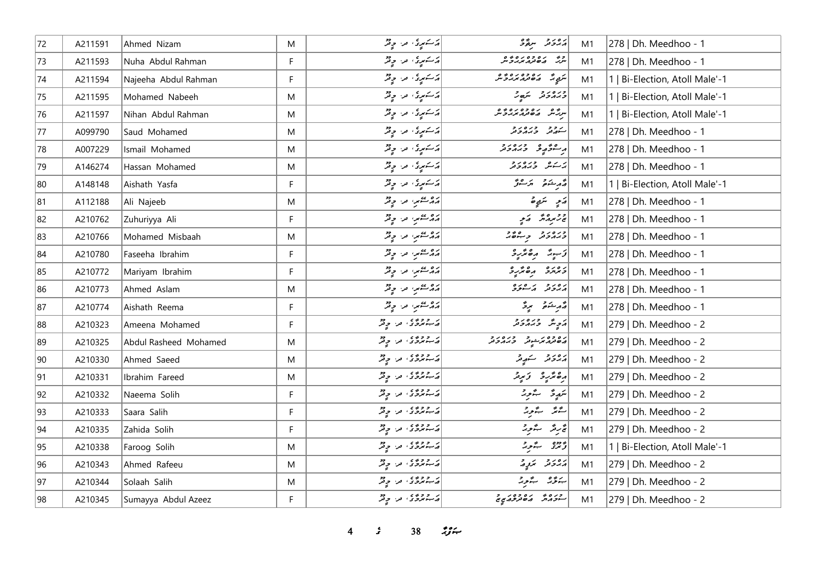| 72           | A211591 | Ahmed Nizam           | M           | د کسمبری، مرا چ <sup>و</sup> ر | رەر د سۆۋ                                | M1 | 278   Dh. Meedhoo - 1          |
|--------------|---------|-----------------------|-------------|--------------------------------|------------------------------------------|----|--------------------------------|
| 73           | A211593 | Nuha Abdul Rahman     | $\mathsf F$ | أركتمبرى مراج فر               | وه ره ده ره ده.<br>سربر مان هر مربر و سر | M1 | 278   Dh. Meedhoo - 1          |
| 74           | A211594 | Najeeha Abdul Rahman  | F           | أركتمبرى من وقر                | بري ده ده ده ده و                        | M1 | 1   Bi-Election, Atoll Male'-1 |
| 75           | A211595 | Mohamed Nabeeh        | M           | د سکمپری، مر، چ <sup>و</sup> ر | وره دو سکھ د                             | M1 | 1   Bi-Election, Atoll Male'-1 |
| 76           | A211597 | Nihan Abdul Rahman    | M           | د سکمپری امرا او فقر           | سرگاه ره ده ده ده و                      | M1 | 1   Bi-Election, Atoll Male'-1 |
| 77           | A099790 | Saud Mohamed          | M           | أركستمبرى من وقر               | سەھدى ئەرەر ئە                           | M1 | 278   Dh. Meedhoo - 1          |
| 78           | A007229 | Ismail Mohamed        | M           | د سکمپری امرا او فر            | أرجعتم ومنادر                            | M1 | 278   Dh. Meedhoo - 1          |
| 79           | A146274 | Hassan Mohamed        | M           | د سوړي او د د تر               | ير يمشر وبرورو                           | M1 | 278   Dh. Meedhoo - 1          |
| 80           | A148148 | Aishath Yasfa         | F           | دستمری مراحٍ قر                | قەرىشكە ئەرسىرتى                         | M1 | 1   Bi-Election, Atoll Male'-1 |
| 81           | A112188 | Ali Najeeb            | M           | پروستمبر، مر، چقر              | رَمِ سَمِيرة                             | M1 | 278   Dh. Meedhoo - 1          |
| 82           | A210762 | Zuhuriyya Ali         | F           | پروستمبر، من وقر               | پرتر پرورته که کمیتها                    | M1 | 278   Dh. Meedhoo - 1          |
| 83           | A210766 | Mohamed Misbaah       | M           | پروستمبر، من حافظ              | وره رو وجوه                              | M1 | 278   Dh. Meedhoo - 1          |
| 84           | A210780 | Faseeha Ibrahim       | F           | پروستمبر، مرا وفر              | دَ پيدُ دِهمْرِدْ                        | M1 | 278   Dh. Meedhoo - 1          |
| 85           | A210772 | Mariyam Ibrahim       | F           | أواد عصمر، العراج فخر          | د مرمزد ره مرب                           | M1 | 278   Dh. Meedhoo - 1          |
| 86           | A210773 | Ahmed Aslam           | M           | پروستمبر، من چینل              | أرەر دىم سودە                            | M1 | 278   Dh. Meedhoo - 1          |
| 87           | A210774 | Aishath Reema         | F           | روسمبر، مراح قر                | مەرىشىمى بېرى                            | M1 | 278   Dh. Meedhoo - 1          |
| 88           | A210323 | Ameena Mohamed        | F           | در دوه ی امرا او دو            | پر په دره د د                            | M1 | 279   Dh. Meedhoo - 2          |
| 89           | A210325 | Abdul Rasheed Mohamed | M           | در دوه ی امرا او تر            | د ۲۶۵ مرشور می در در د                   | M1 | 279   Dh. Meedhoo - 2          |
| $ 90\rangle$ | A210330 | Ahmed Saeed           | M           | در دوه ی امرا او دو            | د ه د د سوړند                            | M1 | 279   Dh. Meedhoo - 2          |
| 91           | A210331 | Ibrahim Fareed        | M           | در دوه ی امرا دولر             |                                          | M1 | 279   Dh. Meedhoo - 2          |
| 92           | A210332 | Naeema Solih          | F           | در دوه ی امرا دولر             | سَمِيرةُ سِنَّورةُ                       | M1 | 279   Dh. Meedhoo - 2          |
| 93           | A210333 | Saara Salih           | $\mathsf F$ | در دوره من وقر                 | الشتر الشور                              | M1 | 279   Dh. Meedhoo - 2          |
| 94           | A210335 | Zahida Solih          | F           | در دوی من چهر                  | پی دیگر میگردید                          | M1 | 279   Dh. Meedhoo - 2          |
| 95           | A210338 | Faroog Solih          | M           | در دوه و در دولر               | أو دوه به ورقم                           | M1 | 1   Bi-Election, Atoll Male'-1 |
| 96           | A210343 | Ahmed Rafeeu          | M           | در دوه و در دو                 | رەر د برد د                              | M1 | 279   Dh. Meedhoo - 2          |
| 97           | A210344 | Solaah Salih          | M           | پر دوه ی اور او دو             | بذؤر بذور                                | M1 | 279   Dh. Meedhoo - 2          |
| 98           | A210345 | Sumayya Abdul Azeez   | F           | در دوه کار دول                 | רגם ביספרי ב                             | M1 | 279   Dh. Meedhoo - 2          |

*4 s* 38 *ig*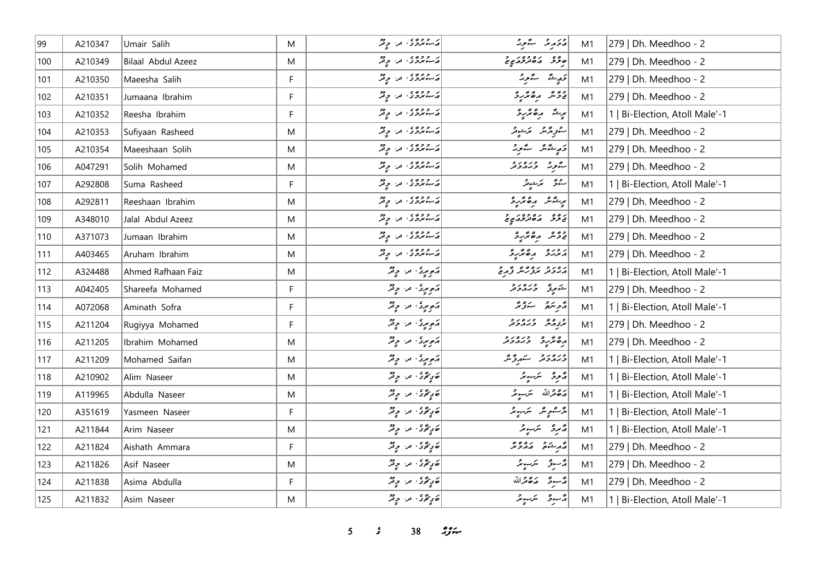| 99  | A210347 | Umair Salih        | M  | در دوره من وفر                                   | د د بر د بر د بر                                                                                                                                                                                                                                                                                                          | M1 | 279   Dh. Meedhoo - 2          |
|-----|---------|--------------------|----|--------------------------------------------------|---------------------------------------------------------------------------------------------------------------------------------------------------------------------------------------------------------------------------------------------------------------------------------------------------------------------------|----|--------------------------------|
| 100 | A210349 | Bilaal Abdul Azeez | M  | پر دوری اور اور                                  | ە ئۇ مەدەر دەر د                                                                                                                                                                                                                                                                                                          | M1 | 279   Dh. Meedhoo - 2          |
| 101 | A210350 | Maeesha Salih      | F  | در دوه و در او دو                                | دَرِيدٌ گُرُدٌ                                                                                                                                                                                                                                                                                                            | M1 | 279   Dh. Meedhoo - 2          |
| 102 | A210351 | Jumaana Ibrahim    | F. | پر دووی اور اولاد                                | و و شهر ده مرکز و                                                                                                                                                                                                                                                                                                         | M1 | 279   Dh. Meedhoo - 2          |
| 103 | A210352 | Reesha Ibrahim     | F  | در دوه ، در ویژ                                  | ىرىش ر <i>ەشر</i> ۇ                                                                                                                                                                                                                                                                                                       | M1 | 1   Bi-Election, Atoll Male'-1 |
| 104 | A210353 | Sufiyaan Rasheed   | M  | در دوه و در او دو                                | ستورگرمگر مخرجومگر                                                                                                                                                                                                                                                                                                        | M1 | 279   Dh. Meedhoo - 2          |
| 105 | A210354 | Maeeshaan Solih    | M  | در دوه و در پایی                                 | أقاريشش بتورثه                                                                                                                                                                                                                                                                                                            | M1 | 279   Dh. Meedhoo - 2          |
| 106 | A047291 | Solih Mohamed      | M  | در دوه ، من چهر                                  | پرور وره در                                                                                                                                                                                                                                                                                                               | M1 | 279   Dh. Meedhoo - 2          |
| 107 | A292808 | Suma Rasheed       | F. | در دوه ی اور اور                                 | ستومح المرتشوقر                                                                                                                                                                                                                                                                                                           | M1 | 1   Bi-Election, Atoll Male'-1 |
| 108 | A292811 | Reeshaan Ibrahim   | M  | در دوه ی اور دولر                                | بریشر روبره<br>پریشر روبر                                                                                                                                                                                                                                                                                                 | M1 | 279   Dh. Meedhoo - 2          |
| 109 | A348010 | Jalal Abdul Azeez  | M  | در دوه ی امرا او تر                              | د ده د ده ده د د د د                                                                                                                                                                                                                                                                                                      | M1 | 279   Dh. Meedhoo - 2          |
| 110 | A371073 | Jumaan Ibrahim     | M  | در دوه دور دولر                                  | دومر دەمگرىۋ                                                                                                                                                                                                                                                                                                              | M1 | 279   Dh. Meedhoo - 2          |
| 111 | A403465 | Aruham Ibrahim     | M  | پر ۱۶۶۶ من در د                                  | ג׳ג׳ دە ئەر د                                                                                                                                                                                                                                                                                                             | M1 | 279   Dh. Meedhoo - 2          |
| 112 | A324488 | Ahmed Rafhaan Faiz | M  | أَمَمُ مِنْ اللَّهِ مِنْ الْمَحْمَدِ الْمَحْمَدِ | رور د رود عالم و د د                                                                                                                                                                                                                                                                                                      | M1 | 1   Bi-Election, Atoll Male'-1 |
| 113 | A042405 | Shareefa Mohamed   | F. | ړموموی، مراح فر                                  | شهروٌ وره دو                                                                                                                                                                                                                                                                                                              | M1 | 279   Dh. Meedhoo - 2          |
| 114 | A072068 | Aminath Sofra      | F  | ړوبوی، مرح ونژ                                   | د پره په سره پر                                                                                                                                                                                                                                                                                                           | M1 | 1   Bi-Election, Atoll Male'-1 |
| 115 | A211204 | Rugiyya Mohamed    | F. | رَمومِرِیْ مِن حِیْثُرُ                          | و وره در در<br>برت <sub>و</sub> مرکز وبرمرونر                                                                                                                                                                                                                                                                             | M1 | 279   Dh. Meedhoo - 2          |
| 116 | A211205 | Ibrahim Mohamed    | M  | ړموموی، مراح فر                                  | ره عزیره در در د                                                                                                                                                                                                                                                                                                          | M1 | 279   Dh. Meedhoo - 2          |
| 117 | A211209 | Mohamed Saifan     | M  | ړو بری در دی                                     | ورەرو سەرۇش                                                                                                                                                                                                                                                                                                               | M1 | 1   Bi-Election, Atoll Male'-1 |
| 118 | A210902 | Alim Naseer        | M  | مَرِيحُوْ' من جِ ثَرٌ                            | محرو سكيبولر                                                                                                                                                                                                                                                                                                              | M1 | 1   Bi-Election, Atoll Male'-1 |
| 119 | A119965 | Abdulla Naseer     | M  | جَرِيحُوْ' مَن حِ قَرْ                           | أرة قرالله تترجع                                                                                                                                                                                                                                                                                                          | M1 | 1   Bi-Election, Atoll Male'-1 |
| 120 | A351619 | Yasmeen Naseer     | F. | جَرِيحُو' مِن جِنْرٌ                             | وراعي على الكرب مركز المراجع                                                                                                                                                                                                                                                                                              | M1 | 1   Bi-Election, Atoll Male'-1 |
| 121 | A211844 | Arim Naseer        | M  | صَرِيحُوْ' مَن حِرْثُرُ                          | ديمرو سرب چر                                                                                                                                                                                                                                                                                                              | M1 | 1   Bi-Election, Atoll Male'-1 |
| 122 | A211824 | Aishath Ammara     | F. | صَرِيحُوْ' من حِيْثُرُ                           | $\begin{vmatrix} 1 & 0 & 0 & 0 & 0 & 0 & 0 \\ 0 & 0 & 0 & 0 & 0 & 0 \\ 0 & 0 & 0 & 0 & 0 & 0 \\ 0 & 0 & 0 & 0 & 0 & 0 \\ 0 & 0 & 0 & 0 & 0 & 0 \\ 0 & 0 & 0 & 0 & 0 & 0 \\ 0 & 0 & 0 & 0 & 0 & 0 \\ 0 & 0 & 0 & 0 & 0 & 0 \\ 0 & 0 & 0 & 0 & 0 & 0 \\ 0 & 0 & 0 & 0 & 0 & 0 & 0 \\ 0 & 0 & 0 & 0 & 0 & 0 & 0 \\ 0 & 0 & $ | M1 | 279   Dh. Meedhoo - 2          |
| 123 | A211826 | Asif Naseer        | M  | صَرِيحُوْ' مَرْ حِيثَرُ                          | دسور سمبونه                                                                                                                                                                                                                                                                                                               | M1 | 279   Dh. Meedhoo - 2          |
| 124 | A211838 | Asima Abdulla      | F  | صَرِيحُورُ مِنْ حِرْثُرُ                         | #سبوءً 12%مقرالله                                                                                                                                                                                                                                                                                                         | M1 | 279   Dh. Meedhoo - 2          |
| 125 | A211832 | Asim Naseer        | M  | صَرِيحُوَ ، مَن حِرِيْرٌ                         | أمر عن المراجع                                                                                                                                                                                                                                                                                                            | M1 | 1   Bi-Election, Atoll Male'-1 |

 $5$   $5$   $38$   $79$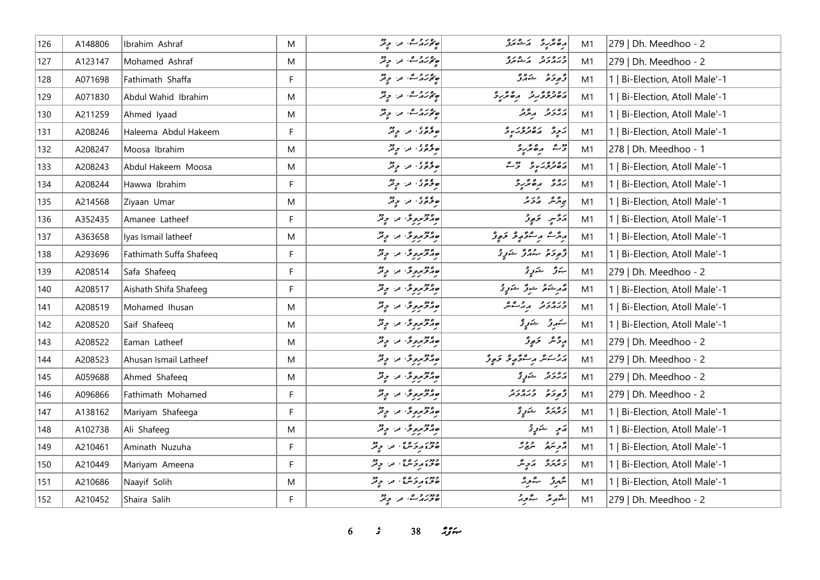| 126 | A148806 | Ibrahim Ashraf          | M  | ھ محمد محمد اللہ اللہ تحفظ کے محمد                             | أرە ئۆر ئەشمىر              | M1 | 279   Dh. Meedhoo - 2          |
|-----|---------|-------------------------|----|----------------------------------------------------------------|-----------------------------|----|--------------------------------|
| 127 | A123147 | Mohamed Ashraf          | M  | ھ مور دی معدد جاتی                                             | ورەرو كەشىر                 | M1 | 279   Dh. Meedhoo - 2          |
| 128 | A071698 | Fathimath Shaffa        | F. | پروروے، من ج قر                                                | ژ <sub>بو</sub> ځو شهر ژ    | M1 | 1   Bi-Election, Atoll Male'-1 |
| 129 | A071830 | Abdul Wahid Ibrahim     | M  |                                                                | גפננני הפיתכ                | M1 | 1   Bi-Election, Atoll Male'-1 |
| 130 | A211259 | Ahmed Iyaad             | M  | می در معداد در محمد                                            | پروتر پهتر                  | M1 | 1   Bi-Election, Atoll Male'-1 |
| 131 | A208246 | Haleema Abdul Hakeem    | F. | موجوی مرح دیگر                                                 | پر په ده ده پر په           | M1 | 1   Bi-Election, Atoll Male'-1 |
| 132 | A208247 | Moosa Ibrahim           | M  | وقروی اور اولاد                                                | دیم رەئرىرد                 | M1 | 278   Dh. Meedhoo - 1          |
| 133 | A208243 | Abdul Hakeem Moosa      | M  | وقروی اور اولاد                                                | رەدەر بو دوگ                | M1 | 1   Bi-Election, Atoll Male'-1 |
| 134 | A208244 | Hawwa Ibrahim           | F  | موجوى، من جي فر                                                | ده د هڅرو                   | M1 | 1   Bi-Election, Atoll Male'-1 |
| 135 | A214568 | Ziyaan Umar             | M  | ه وه و د د د                                                   | ى ئەر ئەر ئەر ئە            | M1 | 1   Bi-Election, Atoll Male'-1 |
| 136 | A352435 | Amanee Latheef          | F  | ەمەمەرەتى مە دېر                                               | أرَدَّسٍ لاَءٍ وَ           | M1 | 1   Bi-Election, Atoll Male'-1 |
| 137 | A363658 | Iyas Ismail latheef     | M  | مەنزىرە ئى، مەن چ <sup>ە</sup> ر                               | أروم وكوويو ووي             | M1 | 1   Bi-Election, Atoll Male'-1 |
| 138 | A293696 | Fathimath Suffa Shafeeq | F. | جوړې پر دینې                                                   | ژُهِ دَمْ دَهُ ژُ سُرَرٍ رُ | M1 | 1   Bi-Election, Atoll Male'-1 |
| 139 | A208514 | Safa Shafeeq            | F  | مەمۇمرىرى، مەسچە                                               | بەر ئۇ ئۇرۇ                 | M1 | 279   Dh. Meedhoo - 2          |
| 140 | A208517 | Aishath Shifa Shafeeg   | F. | ەمەمەمەمۇ، مەيدىن                                              | مَرِسْدَةٌ سُورٌ سَرَرٍ دَ  | M1 | 1   Bi-Election, Atoll Male'-1 |
| 141 | A208519 | Mohamed Ihusan          | M  | ورومروی در وتر                                                 | ورەرو مەشكى                 | M1 | 1   Bi-Election, Atoll Male'-1 |
| 142 | A208520 | Saif Shafeeq            | M  | ەمگە <i>جىم</i> رو ئى مەسىر بىر                                | ستهرقر الشتمونى             | M1 | 1   Bi-Election, Atoll Male'-1 |
| 143 | A208522 | Eaman Latheef           | M  | موجوعة من حيثر                                                 | پر څنگ ځېږ ژ                | M1 | 279   Dh. Meedhoo - 2          |
| 144 | A208523 | Ahusan Ismail Latheef   | M  | موجه پروگر، من چ <sup>و</sup> ر                                | پرچاعه رحوم و ځو و          | M1 | 279   Dh. Meedhoo - 2          |
| 145 | A059688 | Ahmed Shafeeq           | M  | مەم <i>قىمرو</i> ئى مەس بىر قىر                                | پرور د سکوپی                | M1 | 279   Dh. Meedhoo - 2          |
| 146 | A096866 | Fathimath Mohamed       | F. | موجه دیمرو محمد استفاده میشد<br>  مورد مرکز محمد استفاده میشود | د د در در د                 | M1 | 279   Dh. Meedhoo - 2          |
| 147 | A138162 | Mariyam Shafeega        | F  | مەقۋىرە ئۇ، مەر بوقر                                           | رەرە شەرىچ                  | M1 | 1   Bi-Election, Atoll Male'-1 |
| 148 | A102738 | Ali Shafeeg             | M  | ەمگىرىدى.<br>مەمگىرىدى مەسچ                                    | رَمِي حَسَنٍ تَحْ           | M1 | 1   Bi-Election, Atoll Male'-1 |
| 149 | A210461 | Aminath Nuzuha          | F  | دور ره ه .<br>  ۱۶۶۵ مرد سنگ امر او تر                         | أوصبتم المرجر               | M1 | Bi-Election, Atoll Male'-1     |
| 150 | A210449 | Mariyam Ameena          | F  | ودور به روه .<br>حزة بروکله ، مرا و بر                         | دەرە بەر ش                  | M1 | Bi-Election, Atoll Male'-1     |
| 151 | A210686 | Naayif Solih            | M  | دور بره و، در دور                                              | شهرو ستبوير                 | M1 | 1   Bi-Election, Atoll Male'-1 |
| 152 | A210452 | Shaira Salih            | F  | میربرد می، مر، <sub>حی</sub> تر                                | شرور سرور                   | M1 | 279   Dh. Meedhoo - 2          |

 $6$   $38$   $38$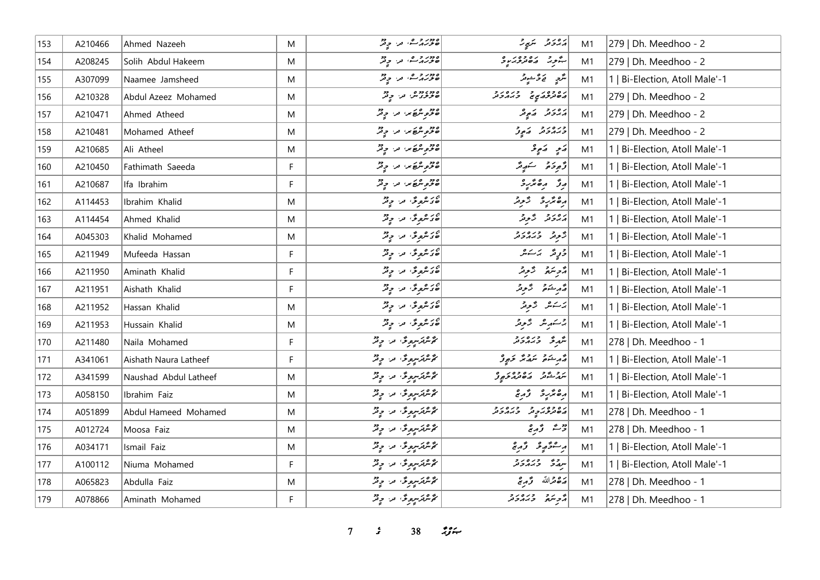| 153 | A210466 | Ahmed Nazeeh          | M  | 2000 وه<br>  <i>ھور پر ش</i> اھر او تر                                                             | پرورو سکیے ج                              | M1 | 279   Dh. Meedhoo - 2          |
|-----|---------|-----------------------|----|----------------------------------------------------------------------------------------------------|-------------------------------------------|----|--------------------------------|
| 154 | A208245 | Solih Abdul Hakeem    | M  | ۱۶۶۵ و ۱۵<br>  حزبر از سه، اور المحمد                                                              | بجور رەدەرىرە                             | M1 | 279   Dh. Meedhoo - 2          |
| 155 | A307099 | Naamee Jamsheed       | M  | مورد و ه، در وتر                                                                                   | س <i>رّح ف</i> ے محشومہ                   | M1 | 1   Bi-Election, Atoll Male'-1 |
| 156 | A210328 | Abdul Azeez Mohamed   | M  | 2000 000 موفر<br>  صحیحی من من حی فر                                                               | גפרפג' ביטגר                              | M1 | 279   Dh. Meedhoo - 2          |
| 157 | A210471 | Ahmed Atheed          | M  | 20 مربع من من حرم                                                                                  | پروتر کمپور                               | M1 | 279   Dh. Meedhoo - 2          |
| 158 | A210481 | Mohamed Atheef        | M  | وود عراق من المحمد المحمد المحمد المحمد المحمد المحمد المحمد المحمد المحمد المحمد المحمد المحمد ال | ورەرو رو                                  | M1 | 279   Dh. Meedhoo - 2          |
| 159 | A210685 | Ali Atheel            | M  | 20 قرم مربع من المحمد المحمد المحمد المحمد المحمد المحمد المحمد المحمد المحمد المحمد المحمد المحمد | پَنجِ - سَعِي                             | M1 | 1   Bi-Election, Atoll Male'-1 |
| 160 | A210450 | Fathimath Saeeda      | F. | 20 قرم مربع من المحمد المحمد المحمد المحمد المحمد المحمد المحمد المحمد المحمد المحمد المحمد المحمد | دَّەدِ دَمَ سَنَ سَهِ مَدَّ               | M1 | 1   Bi-Election, Atoll Male'-1 |
| 161 | A210687 | Ifa Ibrahim           | F  | 20 مربع من من حيثر                                                                                 | پرق برھنگرد                               | M1 | 1   Bi-Election, Atoll Male'-1 |
| 162 | A114453 | Ibrahim Khalid        | M  | صی شروعی امراد استفراد<br>   صی شروعی امراد استفراد                                                | رە ئرىر ئىرىر                             | M1 | 1   Bi-Election, Atoll Male'-1 |
| 163 | A114454 | Ahmed Khalid          | M  | مى ئىرىمى ئىل مەدىر ئىل                                                                            | پروتر گروتر                               | M1 | 1   Bi-Election, Atoll Male'-1 |
| 164 | A045303 | Khalid Mohamed        | M  | مى ئىرىمى ئىل مەدىرى<br>  مى ئىرىمى ئىل مىل مى                                                     | د وره ده د                                | M1 | Bi-Election, Atoll Male'-1     |
| 165 | A211949 | Mufeeda Hassan        | F  | صحيحي من جِمْرٌ                                                                                    | وَرٍیَّز یَرَ یَرْ ی                      | M1 | 1   Bi-Election, Atoll Male'-1 |
| 166 | A211950 | Aminath Khalid        | F  | مى ئىر ئىرى ئىر ئىر ئىر<br>  مى ئىر ئىر ئىر ئىر ئىر                                                | دوبتة الزوقر                              | M1 | 1   Bi-Election, Atoll Male'-1 |
| 167 | A211951 | Aishath Khalid        | F  | ەر ئىروگى، مەر چ <sup>و</sup> ر                                                                    | مەر شەم ئىسى ئى                           | M1 | 1   Bi-Election, Atoll Male'-1 |
| 168 | A211952 | Hassan Khalid         | M  | صى شرىرى قرار موقر                                                                                 | ىزىكىش كرونى                              | M1 | Bi-Election, Atoll Male'-1     |
| 169 | A211953 | Hussain Khalid        | M  | صى شرىر قى مەن ب <sub>و</sub> قە                                                                   | برسكر بمرير                               | M1 | 1   Bi-Election, Atoll Male'-1 |
| 170 | A211480 | Naila Mohamed         | F. | ئۇشترىس ئى مەر چىل                                                                                 | شمر تخرید و بره در                        | M1 | 278   Dh. Meedhoo - 1          |
| 171 | A341061 | Aishath Naura Latheef | F  | ئۇشكىرىسىدى مەر چەتر                                                                               | أقهر ينتفى سمقاتكم تحويى                  | M1 | 1   Bi-Election, Atoll Male'-1 |
| 172 | A341599 | Naushad Abdul Latheef | M  | ئۇيترىس ئى مەر چىل                                                                                 | ر و ده و ده وه د و<br>سرگرشتر در محمد خور | M1 | 1   Bi-Election, Atoll Male'-1 |
| 173 | A058150 | Ibrahim Faiz          | M  | ئۇشكەسپوس دەر دېگر                                                                                 | رەنئەر ئىرتى                              | M1 | 1   Bi-Election, Atoll Male'-1 |
| 174 | A051899 | Abdul Hameed Mohamed  | M  | گەنگەنگە بىر بەللە                                                                                 | גפרפג ר רגמבת<br>גםתיבגבת בגמבת           | M1 | 278   Dh. Meedhoo - 1          |
| 175 | A012724 | Moosa Faiz            | M  | ئۇشكەسپوڭ بىن چ <sup>وش</sup>                                                                      | رضع قرمرچ                                 | M1 | 278   Dh. Meedhoo - 1          |
| 176 | A034171 | Ismail Faiz           | M  | ئۇنترىترىتورى تىر. ج <sup>و</sup> ير                                                               | وستقهف قرومي                              | M1 | 1   Bi-Election, Atoll Male'-1 |
| 177 | A100112 | Niuma Mohamed         | F  | گەشترسرە ئە بەر بەقە                                                                               | יינג" בגבביב                              | M1 | 1   Bi-Election, Atoll Male'-1 |
| 178 | A065823 | Abdulla Faiz          | M  | گەشترىرى ئە دېم                                                                                    | مَدْهِ مَرَ اللّهُ وَ مِرْمَحْ            | M1 | 278   Dh. Meedhoo - 1          |
| 179 | A078866 | Aminath Mohamed       | F. | گەش ئىرسى ئەڭ ئەرەپ ئوق                                                                            | د پره دره د د                             | M1 | 278   Dh. Meedhoo - 1          |

*7 s* 38 *i*<sub>S</sub> $\approx$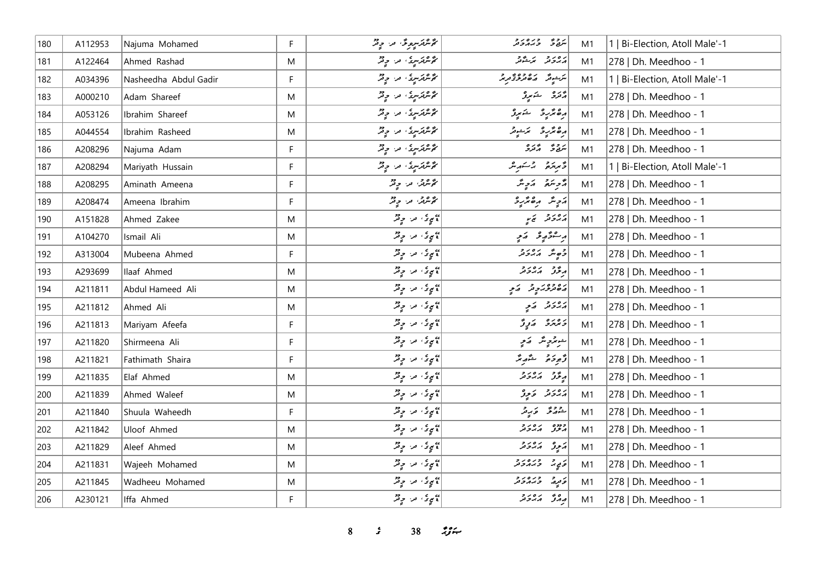| 180 | A112953 | Najuma Mohamed        | F         | گوگوگوپوگو ترا چ <sup>و</sup> گر                                   | شەخ دىرەرد                            | M1 | 1   Bi-Election, Atoll Male'-1 |
|-----|---------|-----------------------|-----------|--------------------------------------------------------------------|---------------------------------------|----|--------------------------------|
| 181 | A122464 | Ahmed Rashad          | M         | ئۇنترىترىق مەر جەنز                                                | رەرو برخور                            | M1 | 278   Dh. Meedhoo - 1          |
| 182 | A034396 | Nasheedha Abdul Gadir | F.        | مۇنكرىكىرى، مەر چەش                                                | <br> س شونگر    ایر ۱۹۵۵ تاریخ<br> -  | M1 | 1   Bi-Election, Atoll Male'-1 |
| 183 | A000210 | Adam Shareef          | M         | ئۇنترىترىتى، مەر چ <sup>و</sup> ر                                  | پر تر شمیر د                          | M1 | 278   Dh. Meedhoo - 1          |
| 184 | A053126 | Ibrahim Shareef       | M         | مُحَمَّدتَهُ مِنْ وَقِدْ                                           | أرەندىر ئىسىر                         | M1 | 278   Dh. Meedhoo - 1          |
| 185 | A044554 | Ibrahim Rasheed       | M         | ئۇنترىترىق، مەر چەش                                                | أرە ئۆر ئەسىر                         | M1 | 278   Dh. Meedhoo - 1          |
| 186 | A208296 | Najuma Adam           | F         | مۇنكرىكىرى، مەر چەش                                                | پروژ وره<br>سرچار گرفرو               | M1 | 278   Dh. Meedhoo - 1          |
| 187 | A208294 | Mariyath Hussain      | F.        | ئۇشرىكىتى، مەر چەتر                                                | ڈیریزڈ پر شہر میں                     | M1 | 1   Bi-Election, Atoll Male'-1 |
| 188 | A208295 | Aminath Ameena        | F         | کوشریں اور اور پر                                                  | دفرسكى المرميثر                       | M1 | 278   Dh. Meedhoo - 1          |
| 189 | A208474 | Ameena Ibrahim        | F.        | محمد شرقه الله من المحمد                                           | ړَ پِسٌ په هغه په                     | M1 | 278   Dh. Meedhoo - 1          |
| 190 | A151828 | Ahmed Zakee           | M         | پېړۍ مرح وتر<br>  پېړۍ مرح وتر                                     | پروژ پر پ                             | M1 | 278   Dh. Meedhoo - 1          |
| 191 | A104270 | Ismail Ali            | M         | ا په چې کې د د چې کلي.<br>د کالمحکم په په د موفق                   | پرسموګوري کمړنې                       | M1 | 278   Dh. Meedhoo - 1          |
| 192 | A313004 | Mubeena Ahmed         | F.        | ۽ سيءَ مرد وقر                                                     | دَ صِدَّ دَ دَ د                      | M1 | 278   Dh. Meedhoo - 1          |
| 193 | A293699 | Ilaaf Ahmed           | M         | پېړۍ مرح د مخ                                                      | پرځنځ پرېږدو                          | M1 | 278   Dh. Meedhoo - 1          |
| 194 | A211811 | Abdul Hameed Ali      | M         | ۽ سيءَ من حي قمر                                                   | رەدەبر تەر                            | M1 | 278   Dh. Meedhoo - 1          |
| 195 | A211812 | Ahmed Ali             | M         | پېړۍ مرح د مخ                                                      | پرورو کرم                             | M1 | 278   Dh. Meedhoo - 1          |
| 196 | A211813 | Mariyam Afeefa        | F         | پېړۍ مرح وتر                                                       | د ۱۵ د وړ ژ                           | M1 | 278   Dh. Meedhoo - 1          |
| 197 | A211820 | Shirmeena Ali         | F         | ۽ سيءَ مرد وقر                                                     | جوړې پر کړې                           | M1 | 278   Dh. Meedhoo - 1          |
| 198 | A211821 | Fathimath Shaira      | F         | پېړۍ مرح د مخ                                                      | وَجوحَر مُسَمَّدِيمَ                  | M1 | 278   Dh. Meedhoo - 1          |
| 199 | A211835 | Elaf Ahmed            | M         | پېړۍ مرح د مخ                                                      | ر پور پره د پر                        | M1 | 278   Dh. Meedhoo - 1          |
| 200 | A211839 | Ahmed Waleef          | M         | <br>  کامیٍ تو کامیہ اس میں تو تو تھر<br>  کامیچونکہ اس میں تو تھر | برەر ئە ئور                           | M1 | 278   Dh. Meedhoo - 1          |
| 201 | A211840 | Shuula Waheedh        | F         | ۽ سيءَ مرد وقر                                                     | شەرقى كەرلى                           | M1 | 278   Dh. Meedhoo - 1          |
| 202 | A211842 | Uloof Ahmed           | M         | ۽ پيءُ، سرح پڙ                                                     | כמם גם גב<br>ג <del>י</del> בנ ג'גביג | M1 | 278   Dh. Meedhoo - 1          |
| 203 | A211829 | Aleef Ahmed           | M         | پېړۍ مرح د مخ                                                      | پروژ پره د د                          | M1 | 278   Dh. Meedhoo - 1          |
| 204 | A211831 | Wajeeh Mohamed        | ${\sf M}$ | پېړۍ مرح وتر                                                       | وَمٍ پَرَ وَبَرَ وَبَرَ وَبَرَ وَبَرَ | M1 | 278   Dh. Meedhoo - 1          |
| 205 | A211845 | Wadheeu Mohamed       | M         | ۽ سيءَ من حي قمر                                                   | تورج - 10 د و                         | M1 | 278   Dh. Meedhoo - 1          |
| 206 | A230121 | Iffa Ahmed            | F.        | پېړۍ مرح وتر                                                       | مرور المستحقة                         | M1 | 278   Dh. Meedhoo - 1          |

**8** *s* **38** *i***<sub>s</sub>**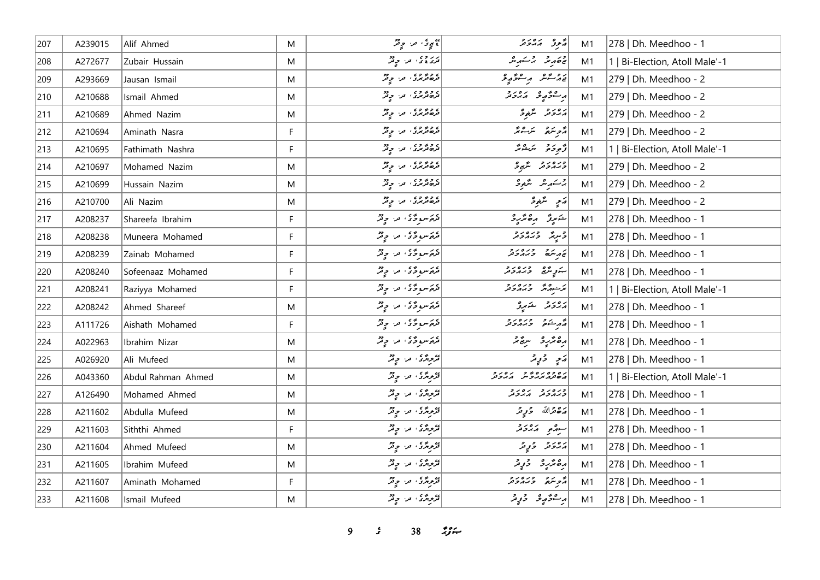| 207 | A239015 | Alif Ahmed         | M         | ۽ سيءَ من حي قر                                  | محرق م براء حرقه                                                                                   | M1 | 278   Dh. Meedhoo - 1          |
|-----|---------|--------------------|-----------|--------------------------------------------------|----------------------------------------------------------------------------------------------------|----|--------------------------------|
| 208 | A272677 | Zubair Hussain     | ${\sf M}$ | در وی<br>  تری وی ا امرا او تو                   | ة مقدير بركستهريش                                                                                  | M1 | 1   Bi-Election, Atoll Male'-1 |
| 209 | A293669 | Jausan Ismail      | M         | د د د د و د د د د                                | يې د شو په موصوفه                                                                                  | M1 | 279   Dh. Meedhoo - 2          |
| 210 | A210688 | Ismail Ahmed       | M         | ) و و و و ،<br>  تر <i>ه تر بر</i> ی ، تر ، و تر | أبر مؤثر و برورد                                                                                   | M1 | 279   Dh. Meedhoo - 2          |
| 211 | A210689 | Ahmed Nazim        | M         | د و و و و و د و د                                | رەر د سگھوگ                                                                                        | M1 | 279   Dh. Meedhoo - 2          |
| 212 | A210694 | Aminath Nasra      | F.        | د د د د و د د د د                                | أو سر سر الله عليه الله عليه الله عليه الله عليه الله عليه الله عليه الله عليه الله عليه الله عليه | M1 | 279   Dh. Meedhoo - 2          |
| 213 | A210695 | Fathimath Nashra   | F         | د د د د .<br>  تره ترس . د . د پر                | أَرْجِعَةً مَرَسْمَةً                                                                              | M1 | 1   Bi-Election, Atoll Male'-1 |
| 214 | A210697 | Mohamed Nazim      | M         | ) د و و د ، و د و د                              | ورەرو گەر                                                                                          | M1 | 279   Dh. Meedhoo - 2          |
| 215 | A210699 | Hussain Nazim      | M         | د د ده د و د د                                   | جەسىرىش ئىتىمى ئى                                                                                  | M1 | 279   Dh. Meedhoo - 2          |
| 216 | A210700 | Ali Nazim          | M         | د و و و ، و د و د                                | أەسم يتمغوش                                                                                        | M1 | 279   Dh. Meedhoo - 2          |
| 217 | A208237 | Shareefa Ibrahim   | F.        | مُهَ سوءٌ ما و مِنْ                              | خوړ ره ژره                                                                                         | M1 | 278   Dh. Meedhoo - 1          |
| 218 | A208238 | Muneera Mohamed    | F         | ترځ سو وڅ ته د چ تر                              | اد پره دره در د                                                                                    | M1 | 278   Dh. Meedhoo - 1          |
| 219 | A208239 | Zainab Mohamed     | F         | قرەكسو ۋى قرا قرىش                               | پرېتمە دىرەرد                                                                                      | M1 | 278   Dh. Meedhoo - 1          |
| 220 | A208240 | Sofeenaaz Mohamed  | F.        | أَمْرَةَ سُوحَةٍ وَاللَّهِ وَقَدْ                | ښوپه دره د د                                                                                       | M1 | 278   Dh. Meedhoo - 1          |
| 221 | A208241 | Raziyya Mohamed    | F.        | مُرْحَسو رَّ مَنْ وِمْرٌ                         | كر وه ورور د                                                                                       | M1 | 1   Bi-Election, Atoll Male'-1 |
| 222 | A208242 | Ahmed Shareef      | M         | مُتَوَسِّعٍ وَّدُ مِنْ وَمِثْرٌ                  | پرورو شهرو                                                                                         | M1 | 278   Dh. Meedhoo - 1          |
| 223 | A111726 | Aishath Mohamed    | F         | مُهَ سوءٌ ما سومٌ                                | حرشنده وره دو                                                                                      | M1 | 278   Dh. Meedhoo - 1          |
| 224 | A022963 | Ibrahim Nizar      | M         | قرىم سوڭرى، قرار قرقر                            | رە ئرىر ئىستى                                                                                      | M1 | 278   Dh. Meedhoo - 1          |
| 225 | A026920 | Ali Mufeed         | M         | قروری، مر، ویژ                                   | ړې د په                                                                                            | M1 | 278   Dh. Meedhoo - 1          |
| 226 | A043360 | Abdul Rahman Ahmed | M         | قروری، مراح قر                                   | גם כם גם גם גם גב.<br>השנ <i>ה גגב</i> ית הגבת                                                     | M1 | 1   Bi-Election, Atoll Male'-1 |
| 227 | A126490 | Mohamed Ahmed      | M         | محرکزی من حرفر                                   | כנסני הפני                                                                                         | M1 | 278   Dh. Meedhoo - 1          |
| 228 | A211602 | Abdulla Mufeed     | M         | قرموردگری، من حرقر                               | پره قرالله څوړمر                                                                                   | M1 | 278   Dh. Meedhoo - 1          |
| 229 | A211603 | Siththi Ahmed      | F         | تروری اور اولاد                                  | سوره در در                                                                                         | M1 | 278   Dh. Meedhoo - 1          |
| 230 | A211604 | Ahmed Mufeed       | M         | قرمزی من حرقہ                                    | پروژو ژوپر                                                                                         | M1 | 278   Dh. Meedhoo - 1          |
| 231 | A211605 | Ibrahim Mufeed     | M         | قرورتری اورا او قر                               | برەنگرىرى ئىقى ئى                                                                                  | M1 | 278   Dh. Meedhoo - 1          |
| 232 | A211607 | Aminath Mohamed    | F         | ترویز، در دیز                                    | أأترجم وره دو                                                                                      | M1 | 278   Dh. Meedhoo - 1          |
| 233 | A211608 | Ismail Mufeed      | M         | قرورتری، اور اور دو                              | پرسموٌ پر قریبر در قرار م                                                                          | M1 | 278   Dh. Meedhoo - 1          |

*9 s* 38 *i*<sub>S</sub>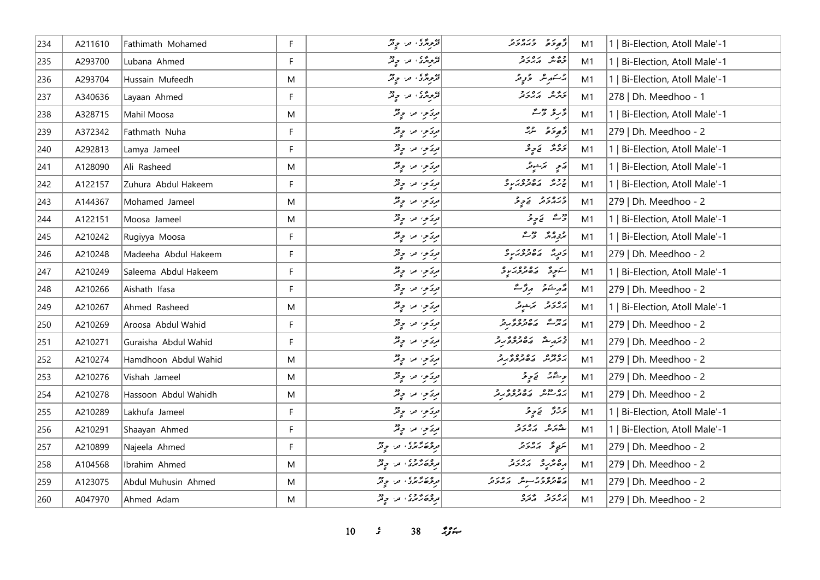| 234 | A211610 | Fathimath Mohamed    | F  | تروردی مرحود                                  | أو رو وره رو                                     | M1 | 1   Bi-Election, Atoll Male'-1 |
|-----|---------|----------------------|----|-----------------------------------------------|--------------------------------------------------|----|--------------------------------|
| 235 | A293700 | Lubana Ahmed         | F  | ر<br>تر د بر د د د                            | وەش مەدر                                         | M1 | 1   Bi-Election, Atoll Male'-1 |
| 236 | A293704 | Hussain Mufeedh      | M  | تروژی در دور                                  | 2سەر ھ ئۇيى                                      | M1 | 1   Bi-Election, Atoll Male'-1 |
| 237 | A340636 | Layaan Ahmed         | F. | ترج پر پہ چ                                   | كرومجي برور و                                    | M1 | 278   Dh. Meedhoo - 1          |
| 238 | A328715 | Mahil Moosa          | M  | مریکویہ امرا اولاد                            | دحر و دهنه                                       | M1 | 1   Bi-Election, Atoll Male'-1 |
| 239 | A372342 | Fathmath Nuha        | F. | مریخ من حیثر                                  | قەم ئەر                                          | M1 | 279   Dh. Meedhoo - 2          |
| 240 | A292813 | Lamya Jameel         | F  | مریکویہ امرا اولاد                            | ترویژ   <sub>تک تو</sub> ثر                      | M1 | 1   Bi-Election, Atoll Male'-1 |
| 241 | A128090 | Ali Rasheed          | M  | مریکوی امرا اولیم                             | پر پوستونگر                                      | M1 | 1   Bi-Election, Atoll Male'-1 |
| 242 | A122157 | Zuhura Abdul Hakeem  | F  | مرتزمي الله المحيض                            | ووی رەوەرىپ                                      | M1 | 1   Bi-Election, Atoll Male'-1 |
| 243 | A144367 | Mohamed Jameel       | M  | مریکویہ من حیثر                               | دره رو در د                                      | M1 | 279   Dh. Meedhoo - 2          |
| 244 | A122151 | Moosa Jameel         | M  | مریکویہ امرا اولاد                            | وَمَدْ نَجْ وِلْحَرْ                             | M1 | 1   Bi-Election, Atoll Male'-1 |
| 245 | A210242 | Rugiyya Moosa        | F  | مریکوی امرا اولاد                             | پر <sub>تو</sub> مگر حقیقے                       | M1 | 1   Bi-Election, Atoll Male'-1 |
| 246 | A210248 | Madeeha Abdul Hakeem | F  | مريحوا الله المحيض                            | د پرځي پره وه د پرو                              | M1 | 279   Dh. Meedhoo - 2          |
| 247 | A210249 | Saleema Abdul Hakeem | F  | مرتزموا امرا المحيض                           | أشورة المتقدم معرضه و                            | M1 | 1   Bi-Election, Atoll Male'-1 |
| 248 | A210266 | Aishath Ifasa        | F  | مریکویہ امرا اولاد                            | قەرىشقى بورقىت                                   | M1 | 279   Dh. Meedhoo - 2          |
| 249 | A210267 | Ahmed Rasheed        | M  | مریکویہ من حیثر                               | د ۱۵ د د کار شوند                                | M1 | 1   Bi-Election, Atoll Male'-1 |
| 250 | A210269 | Aroosa Abdul Wahid   | F  | مریکوی امرا اولیم                             | ردو ه په ۱۵۶۵ و د و<br>  پر بر ش په پر مورم د مر | M1 | 279   Dh. Meedhoo - 2          |
| 251 | A210271 | Guraisha Abdul Wahid | F. | مرتموا ما وقرٍّ                               | در ۱۶۵۶ ده وه در د                               | M1 | 279   Dh. Meedhoo - 2          |
| 252 | A210274 | Hamdhoon Abdul Wahid | M  | مِرَكَمِنِ مَنْ حِقْرٌ                        | ره دوه در ره وه در د<br>  پروترس پره تریزوگریز   | M1 | 279   Dh. Meedhoo - 2          |
| 253 | A210276 | Vishah Jameel        | M  | مریکوی امرا اولیم                             | وِحْدَّدٌ ۖ وَوِحْرَ                             | M1 | 279   Dh. Meedhoo - 2          |
| 254 | A210278 | Hassoon Abdul Wahidh | M  | مریکوی امرا اولیم                             | ره دوه ره وه د و                                 | M1 | 279   Dh. Meedhoo - 2          |
| 255 | A210289 | Lakhufa Jameel       | F  | مریکویہ امرا اولاد                            | ترترتق   الحاج و تحر                             | M1 | 1   Bi-Election, Atoll Male'-1 |
| 256 | A210291 | Shaayan Ahmed        | F  | دیرس در چیز                                   | شەر بەر بەر د                                    | M1 | 1   Bi-Election, Atoll Male'-1 |
| 257 | A210899 | Najeela Ahmed        | F  | د ه د د و ،<br>درگر <i>ه ر</i> بر د به د د تر | يرَبِي عَلَمَ الْمَارَ وَ مَرْ                   | M1 | 279   Dh. Meedhoo - 2          |
| 258 | A104568 | Ibrahim Ahmed        | M  | در در ده د . در در                            | <br>  دەنگرىق   مەدىر                            | M1 | 279   Dh. Meedhoo - 2          |
| 259 | A123075 | Abdul Muhusin Ahmed  | M  | توڅه شمېري، تر، چې تر                         | رە دە د د سوش كەبر د د                           | M1 | 279   Dh. Meedhoo - 2          |
| 260 | A047970 | Ahmed Adam           | M  | د د د د د د د د                               | پرورو پوره                                       | M1 | 279   Dh. Meedhoo - 2          |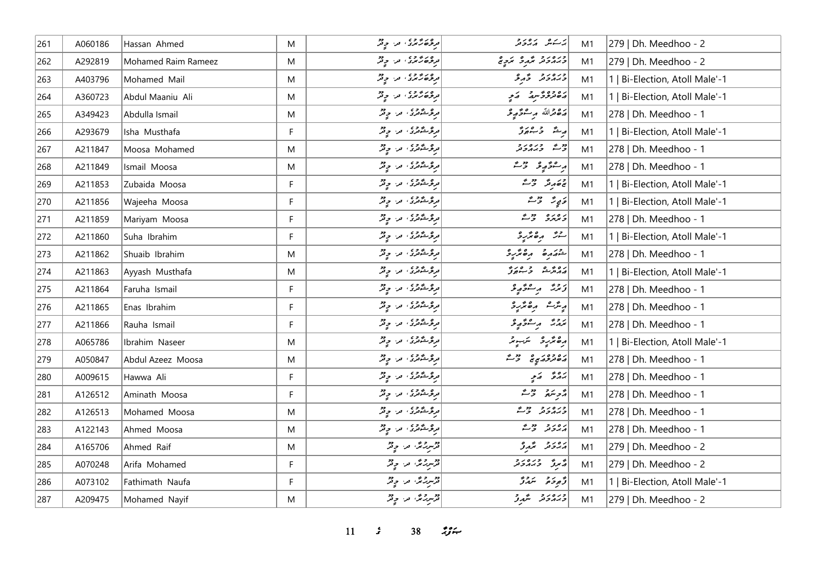| 261 | A060186 | Hassan Ahmed        | M           | و د د د د و د و د                                                          | يرك مدرور                      | M1             | 279   Dh. Meedhoo - 2          |
|-----|---------|---------------------|-------------|----------------------------------------------------------------------------|--------------------------------|----------------|--------------------------------|
| 262 | A292819 | Mohamed Raim Rameez | M           | موځو څنگوي امرا او فر                                                      | ورەرو گهرو كردە                | M1             | 279   Dh. Meedhoo - 2          |
| 263 | A403796 | Mohamed Mail        | M           | در در ده در در در                                                          | ورەرو ۋېرتخ                    | M1             | 1   Bi-Election, Atoll Male'-1 |
| 264 | A360723 | Abdul Maaniu Ali    | M           | د ده ده وي د د د د                                                         | ره ده و په په کام              | M1             | 1   Bi-Election, Atoll Male'-1 |
| 265 | A349423 | Abdulla Ismail      | M           | در ۱۳ وي.<br>  در ژوئندوري، اور، او در                                     | رَصْحْراللّه مِرْ سُوَّمِهِ وَ | M1             | 278   Dh. Meedhoo - 1          |
| 266 | A293679 | Isha Musthafa       | F           |                                                                            | لهيش ومرد                      | M1             | 1   Bi-Election, Atoll Male'-1 |
| 267 | A211847 | Moosa Mohamed       | M           | دره شودی . در چیز                                                          | ووقع وبره د و                  | M <sub>1</sub> | 278   Dh. Meedhoo - 1          |
| 268 | A211849 | Ismail Moosa        | M           | در در شودی، اور او در آن<br>  در در شود در اور اور در اور در اور در اور در | رەۋرو ۋى                       | M1             | 278   Dh. Meedhoo - 1          |
| 269 | A211853 | Zubaida Moosa       | F           | دره شودی . در چیز                                                          | جء مرشر حقت                    | M1             | 1   Bi-Election, Atoll Male'-1 |
| 270 | A211856 | Wajeeha Moosa       | F           | دره شودی . در چیز                                                          | دَيِرٌ رَمْيٌ                  | M1             | 1   Bi-Election, Atoll Male'-1 |
| 271 | A211859 | Mariyam Moosa       | F           | دره شود و در موتر<br>  درهرشگاندی اس ایران                                 | د ۱۵ ده دور مح                 | M1             | 278   Dh. Meedhoo - 1          |
| 272 | A211860 | Suha Ibrahim        | F           | در ۱۳ دی. در اور در                                                        | لەش رەئزىرد                    | M1             | 1   Bi-Election, Atoll Male'-1 |
| 273 | A211862 | Shuaib Ibrahim      | M           | مرڅر شوی، مر، چ تر                                                         | $\frac{2}{3}$                  | M1             | 278   Dh. Meedhoo - 1          |
| 274 | A211863 | Ayyash Musthafa     | M           | دره شود که در او در                                                        | ره ژه د مرد                    | M1             | 1   Bi-Election, Atoll Male'-1 |
| 275 | A211864 | Faruha Ismail       | F           | دره شودی . در چیز                                                          | زیرژ پرسرد پرو                 | M <sub>1</sub> | 278   Dh. Meedhoo - 1          |
| 276 | A211865 | Enas Ibrahim        | F           |                                                                            | ریٹرے رہ مُتربہ                | M1             | 278   Dh. Meedhoo - 1          |
| 277 | A211866 | Rauha Ismail        | F           | مرڅر شوی، مر، چ تر                                                         | برور برسوم و                   | M1             | 278   Dh. Meedhoo - 1          |
| 278 | A065786 | Ibrahim Naseer      | M           |                                                                            | رەئزىرو ترىبوتر                | M1             | 1   Bi-Election, Atoll Male'-1 |
| 279 | A050847 | Abdul Azeez Moosa   | M           | در ه شود و در ان دو                                                        | ره ده ره در م                  | M1             | 278   Dh. Meedhoo - 1          |
| 280 | A009615 | Hawwa Ali           | $\mathsf F$ | مرثوث محمد من المحمد المحمد المحمد المحمد                                  | بروځ اړکي                      | M1             | 278   Dh. Meedhoo - 1          |
| 281 | A126512 | Aminath Moosa       | F           | مرثوث محمد الله من المحمد المحمد المحمد                                    | أأزمر متعرفة والمحمد           | M1             | 278   Dh. Meedhoo - 1          |
| 282 | A126513 | Mohamed Moosa       | M           | موعوشگاری، امراز او می                                                     | ورەرو دورم                     | M1             | 278   Dh. Meedhoo - 1          |
| 283 | A122143 | Ahmed Moosa         | M           | در در شودی اور اور در                                                      | برەر دورم                      | M1             | 278   Dh. Meedhoo - 1          |
| 284 | A165706 | Ahmed Raif          | M           | قرمزر محمد المحمد المحمد المحمد                                            | روز په پژوژ                    | M1             | 279   Dh. Meedhoo - 2          |
| 285 | A070248 | Arifa Mohamed       | F           | قرمزر مگر، اور اور قر                                                      | رسم تاره در در د               | M1             | 279   Dh. Meedhoo - 2          |
| 286 | A073102 | Fathimath Naufa     | F           | قرسریرنگ قرا چ <sup>و</sup> ر                                              | د پوځو په سرو د                | M1             | 1   Bi-Election, Atoll Male'-1 |
| 287 | A209475 | Mohamed Nayif       | M           | قرمبررجمن المرا المحيض                                                     | دره رو مستمدتر                 | M1             | 279   Dh. Meedhoo - 2          |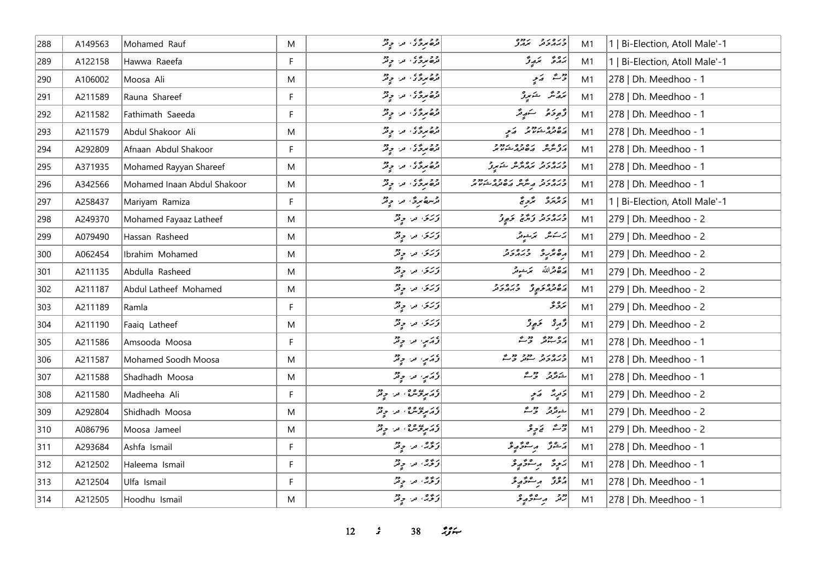| 288   | A149563 | Mohamed Rauf                | M  | در ځورندي، اور او در            | כנסנכ נחס<br>כגונכנג <i>ינוג</i>                                            | M1 | 1   Bi-Election, Atoll Male'-1 |
|-------|---------|-----------------------------|----|---------------------------------|-----------------------------------------------------------------------------|----|--------------------------------|
| 289   | A122158 | Hawwa Raeefa                | F  | دو پروی در دور                  | رەۋ بىرۇ                                                                    | M1 | 1   Bi-Election, Atoll Male'-1 |
| 290   | A106002 | Moosa Ali                   | M  | دومری، در دید                   | رحمشہ کہ ج                                                                  | M1 | 278   Dh. Meedhoo - 1          |
| 291   | A211589 | Rauna Shareef               | F. | ده بردی در دیگر                 | برویژ څېړنو                                                                 | M1 | 278   Dh. Meedhoo - 1          |
| 292   | A211582 | Fathimath Saeeda            | F  | دو پروی در چیز                  | وَجوحَمْ سَهِيمٌ                                                            | M1 | 278   Dh. Meedhoo - 1          |
| 293   | A211579 | Abdul Shakoor Ali           | M  | دومری، در دید                   |                                                                             | M1 | 278   Dh. Meedhoo - 1          |
| 294   | A292809 | Afnaan Abdul Shakoor        | F  | قرەمرۇي قرا ج                   | ره په دره درود<br>مرس ماه در شود پر                                         | M1 | 278   Dh. Meedhoo - 1          |
| 295   | A371935 | Mohamed Rayyan Shareef      | M  | دومردی من دید                   | دره د د دره پژه ځمړي                                                        | M1 | 278   Dh. Meedhoo - 1          |
| 296   | A342566 | Mohamed Inaan Abdul Shakoor | M  | قرەمرۇي قرا چەر                 | ۲ ره ر د د سرگران و ۲ د ۶ د ۶ د و د<br>  ۲ برابر و تعریف کرد کرد بر شوند مر | M1 | 278   Dh. Meedhoo - 1          |
| 297   | A258437 | Mariyam Ramiza              | F. | قرس مردٌّ، من ح <sup>79</sup>   | د ۱۵ د محمد محمد محمد محمد ح                                                | M1 | 1   Bi-Election, Atoll Male'-1 |
| 298   | A249370 | Mohamed Fayaaz Latheef      | M  | ا <i>وُرْسَى آمِن جِ</i> مِيْرُ |                                                                             | M1 | 279   Dh. Meedhoo - 2          |
| 299   | A079490 | Hassan Rasheed              | M  | درسی مراح فر                    | يرسكانكر    مرتبطونكر                                                       | M1 | 279   Dh. Meedhoo - 2          |
| 300   | A062454 | Ibrahim Mohamed             | M  | وَرَى مَنْ رِيْرٌ               |                                                                             | M1 | 279   Dh. Meedhoo - 2          |
| 301   | A211135 | Abdulla Rasheed             | M  | وَرَى مَنْ وِقْرٌ               | أضقاظه تمشيظ                                                                | M1 | 279   Dh. Meedhoo - 2          |
| 302   | A211187 | Abdul Latheef Mohamed       | M  | توریخ، امر، اولیم               | ره ده ره در در در د                                                         | M1 | 279   Dh. Meedhoo - 2          |
| 303   | A211189 | Ramla                       | F. | دَرَى ما وِنْزْ                 | برەپچ                                                                       | M1 | 279   Dh. Meedhoo - 2          |
| 304   | A211190 | Faaiq Latheef               | M  | وَرَى مَنْ رِقْرٌ               | دَّىرِ يَا الْمَجْمَعِينَ مِنْ                                              | M1 | 279   Dh. Meedhoo - 2          |
| 305   | A211586 | Amsooda Moosa               | F  | وَ يَرَسٍ مِن وِقْرٌ            | ره دو دو ش                                                                  | M1 | 278   Dh. Meedhoo - 1          |
| 306   | A211587 | Mohamed Soodh Moosa         | M  | وَ يَرَسٍ مِن وِقْرٌ            | ورەرو دوو دورم<br>دىمەدىر سەنر ۋىس                                          | M1 | 278   Dh. Meedhoo - 1          |
| 307   | A211588 | Shadhadh Moosa              | M  | دُړَي ما دٍ پُر                 | شەنگەنى ئۇسىگە                                                              | M1 | 278   Dh. Meedhoo - 1          |
| 308   | A211580 | Madheeha Ali                | F. | در پیوه په در چم                | د پر په کام                                                                 | M1 | 279   Dh. Meedhoo - 2          |
| 309   | A292804 | Shidhadh Moosa              | M  | د ټم پوسره په د چ تر            | ے پڑھ وہے                                                                   | M1 | 279   Dh. Meedhoo - 2          |
| 310   | A086796 | Moosa Jameel                | M  | د ټرپوس؟، درا چند               | روم نے پای                                                                  | M1 | 279   Dh. Meedhoo - 2          |
| $311$ | A293684 | Ashfa Ismail                | F  | د څه د وتر                      | أرَحْرُوْ بِرِحْرَبِهِ وَ                                                   | M1 | 278   Dh. Meedhoo - 1          |
| $312$ | A212502 | Haleema Ismail              | F. | دِ ژِهِ، مرا دِ ژ               | پَيِيوَ پِ سِوْ پِوْ                                                        | M1 | 278   Dh. Meedhoo - 1          |
| 313   | A212504 | Ulfa Ismail                 | F  | توري، مرا ۾ ٿُٽر                | روژ پرےژپو                                                                  | M1 | 278   Dh. Meedhoo - 1          |
| 314   | A212505 | Hoodhu Ismail               | M  | دیږه، مرا چنگ                   | روم د عرم و ع                                                               | M1 | 278   Dh. Meedhoo - 1          |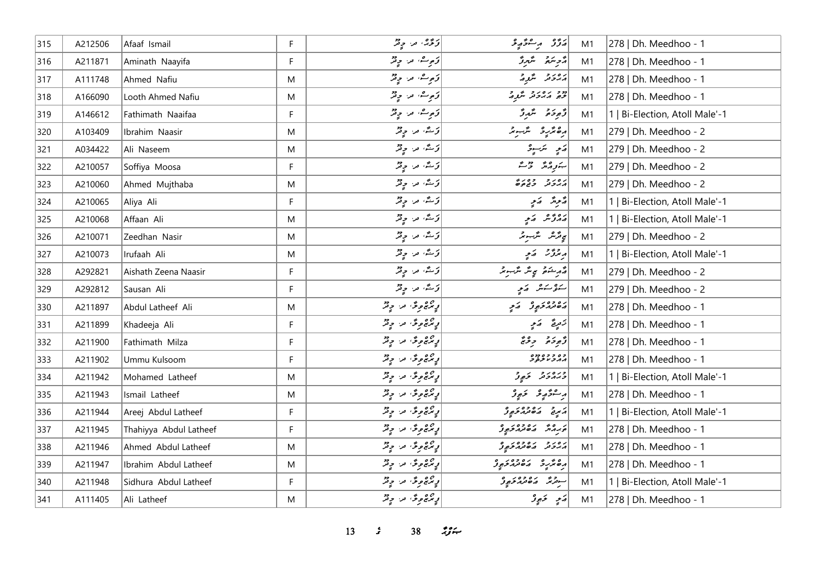| $315$ | A212506 | Afaaf Ismail           | F. | ترڅه ته ديځر                             | ئۇز بەشتۇپ ئى                                 | M1 | 278   Dh. Meedhoo - 1          |
|-------|---------|------------------------|----|------------------------------------------|-----------------------------------------------|----|--------------------------------|
| 316   | A211871 | Aminath Naayifa        | F  | توصیف اللہ اس میں<br>  توصیف اللہ اس میں | رامع الله منظم مرتز                           | M1 | 278   Dh. Meedhoo - 1          |
| 317   | A111748 | Ahmed Nafiu            | M  | تومړينه او د او تر                       | پرورو مگرو                                    | M1 | 278   Dh. Meedhoo - 1          |
| 318   | A166090 | Looth Ahmed Nafiu      | M  | توصیف اللہ اللہ جاتش                     | دو ده ده د گرد                                | M1 | 278   Dh. Meedhoo - 1          |
| 319   | A146612 | Fathimath Naaifaa      | F  | توصیف اللہ اللہ ہے                       | دَّەدِ دَە مِسَّدِرَّ                         | M1 | 1   Bi-Election, Atoll Male'-1 |
| 320   | A103409 | Ibrahim Naasir         | M  | ترکٹه مراح قر                            | رەنزىر ئىسىز                                  | M1 | 279   Dh. Meedhoo - 2          |
| 321   | A034422 | Ali Naseem             | M  | ترتگ مر <i>وق</i> ر                      | رَمِ سَرَ دِ وَ                               | M1 | 279   Dh. Meedhoo - 2          |
| 322   | A210057 | Soffiya Moosa          | F. | تی شه از در تولتر                        | بتورمه ومع                                    | M1 | 279   Dh. Meedhoo - 2          |
| 323   | A210060 | Ahmed Mujthaba         | M  | ترکٹه مرا وِتْرُ                         | رەر دەررە<br>مەدىر دىم                        | M1 | 279   Dh. Meedhoo - 2          |
| 324   | A210065 | Aliya Ali              | F. | أَوْسُدُ مِنْ وِقْرٌ                     | ۇ ئونۇ ھەمچە                                  | M1 | 1   Bi-Election, Atoll Male'-1 |
| 325   | A210068 | Affaan Ali             | M  | ترکٹه مراحٍ قمر                          | پروژندا کامی                                  | M1 | 1   Bi-Election, Atoll Male'-1 |
| 326   | A210071 | Zeedhan Nasir          | M  | ترکیه مراحٍ قم                           | پروگرمر مگرسومر                               | M1 | 279   Dh. Meedhoo - 2          |
| 327   | A210073 | Irufaah Ali            | M  | توځينۍ او د چونکر                        | پرترژ - رَمِ                                  | M1 | 1   Bi-Election, Atoll Male'-1 |
| 328   | A292821 | Aishath Zeena Naasir   | F  | تی شه او در موثر                         | أَمَّهُ مِشْهُمْ مَجِيشٌ مَّرْسِوسٌ           | M1 | 279   Dh. Meedhoo - 2          |
| 329   | A292812 | Sausan Ali             | F  | تی شه او در موثر                         | سنفرستىش كەيچە                                | M1 | 279   Dh. Meedhoo - 2          |
| 330   | A211897 | Abdul Latheef Ali      | M  | پرچ وی در ویژ                            | دە دەر چوڭ سې                                 | M1 | 278   Dh. Meedhoo - 1          |
| 331   | A211899 | Khadeeja Ali           | F. | پرچ وی مرح پر                            | تزمرقے = الاسچ                                | M1 | 278   Dh. Meedhoo - 1          |
| 332   | A211900 | Fathimath Milza        | F  | رٍ برج و دٌ اور او دِ تر                 | دَّەدَە ئەدەمَّ                               | M1 | 278   Dh. Meedhoo - 1          |
| 333   | A211902 | Ummu Kulsoom           | F. | رٍ برج و دٌ س دٍ تر                      | د ه د د ه دده<br>پر پر د نور                  | M1 | 278   Dh. Meedhoo - 1          |
| 334   | A211942 | Mohamed Latheef        | M  | ړ چې وگ <sup>ي</sup> تر وتر              | ورەر ئەر                                      | M1 | 1   Bi-Election, Atoll Male'-1 |
| 335   | A211943 | Ismail Latheef         | M  | پرچ وی در ویژ                            | پرسشو په په ځېږو                              | M1 | 278   Dh. Meedhoo - 1          |
| 336   | A211944 | Areej Abdul Latheef    | F. | رٍ برج و دٌ س دٍ تر                      | أرسي ما معدد والحجو                           | M1 | 1   Bi-Election, Atoll Male'-1 |
| 337   | A211945 | Thahiyya Abdul Latheef | F  | رٍ برج و دٌ اور او دِ تر                 | د وه رودور و                                  | M1 | 278   Dh. Meedhoo - 1          |
| 338   | A211946 | Ahmed Abdul Latheef    | M  | پرچ وی در ویژ                            | رور د رووه د و                                | M1 | 278   Dh. Meedhoo - 1          |
| 339   | A211947 | Ibrahim Abdul Latheef  | M  | رٍ ټرېج و دٌ او در او و تر               | ره مرد ده ده ده در ولي.<br>ده مرد ده مدر شورو | M1 | 278   Dh. Meedhoo - 1          |
| 340   | A211948 | Sidhura Abdul Latheef  | F  | پرچمونګ مرا چ <sup>و</sup> ر             | سور ده ده ده د و                              | M1 | 1   Bi-Election, Atoll Male'-1 |
| 341   | A111405 | Ali Latheef            | M  | رٍ ټرچ و ځا مرا و پر                     | ړَ په دَ پِرُ د                               | M1 | 278   Dh. Meedhoo - 1          |

*13 s* 38 *i*<sub>S</sub> $\approx$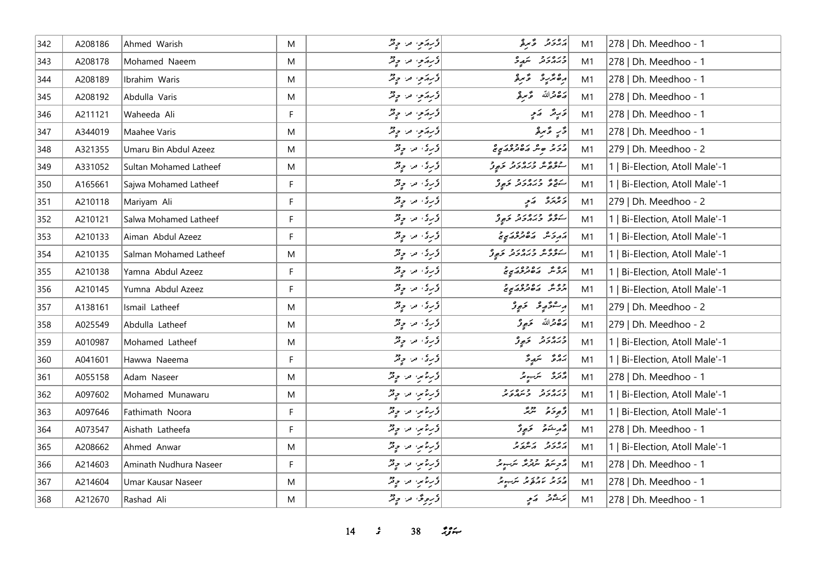| 342 | A208186 | Ahmed Warish           | M            | د سر پر سر په د چند                                                                                   | أرەر ئەرئ                                                                                                    | M1 | 278   Dh. Meedhoo - 1          |
|-----|---------|------------------------|--------------|-------------------------------------------------------------------------------------------------------|--------------------------------------------------------------------------------------------------------------|----|--------------------------------|
| 343 | A208178 | Mohamed Naeem          | M            | درېزمه مه د پی                                                                                        | ورەرو بىرو                                                                                                   | M1 | 278   Dh. Meedhoo - 1          |
| 344 | A208189 | Ibrahim Waris          | M            | ڈیریزی مرح پی                                                                                         | رەئزىر ئىر ئو                                                                                                | M1 | 278   Dh. Meedhoo - 1          |
| 345 | A208192 | Abdulla Varis          | M            | د برټرمي اورا او چنگ                                                                                  | يرە قىراللە ھەمبۇ                                                                                            | M1 | 278   Dh. Meedhoo - 1          |
| 346 | A211121 | Waheeda Ali            | F            | د برټرمي اورا او د پخ                                                                                 | كالمحارقة كالمحيط                                                                                            | M1 | 278   Dh. Meedhoo - 1          |
| 347 | A344019 | Maahee Varis           | M            | درېزمو، مرا چ <sup>و</sup> ر                                                                          | ڈرِ ءٌ مرۂ                                                                                                   | M1 | 278   Dh. Meedhoo - 1          |
| 348 | A321355 | Umaru Bin Abdul Azeez  | M            | ڈری مرح قر                                                                                            | در د ه ش مره ده د په هم                                                                                      | M1 | 279   Dh. Meedhoo - 2          |
| 349 | A331052 | Sultan Mohamed Latheef | M            | ڈری مرح قر                                                                                            | وه په وره رو کرو<br>سرچين ورمادو تر کوړن                                                                     | M1 | 1   Bi-Election, Atoll Male'-1 |
| 350 | A165661 | Sajwa Mohamed Latheef  | F            | دری مر چیز                                                                                            | رەۋ دىمەدد كېرۇ                                                                                              | M1 | 1   Bi-Election, Atoll Male'-1 |
| 351 | A210118 | Mariyam Ali            | F            | ڈری مرح پر                                                                                            | د بر پر د کم پر                                                                                              | M1 | 279   Dh. Meedhoo - 2          |
| 352 | A210121 | Salwa Mohamed Latheef  | F            | دیری مراح قر                                                                                          | رە درەرد رو                                                                                                  | M1 | 1   Bi-Election, Atoll Male'-1 |
| 353 | A210133 | Aiman Abdul Azeez      | $\mathsf{F}$ | د سرق الله الله من الله من الله من الله<br>  د سرق الله من الله من الله من الله من الله من الله من ال | در ده ده ده ده د د                                                                                           | M1 | Bi-Election, Atoll Male'-1     |
| 354 | A210135 | Salman Mohamed Latheef | M            | وری مراح قر                                                                                           | سكودش وبرەر و كېږو                                                                                           | M1 | 1   Bi-Election, Atoll Male'-1 |
| 355 | A210138 | Yamna Abdul Azeez      | F            | دری مرح پر                                                                                            | ره شهر موجود و                                                                                               | M1 | 1   Bi-Election, Atoll Male'-1 |
| 356 | A210145 | Yumna Abdul Azeez      | F            | ڈری مرح پر                                                                                            | وه عز مصر مصرح مع مع<br>  مرد عز مصر مصر مصر مع مع                                                           | M1 | 1   Bi-Election, Atoll Male'-1 |
| 357 | A138161 | Ismail Latheef         | M            | دیری مراح قر                                                                                          | پرسادگار بھی تھا تھا جو پارٹ کا ان کے بین کے ان کے بات کے بات کے بات کے بات کے بات کے بات کے بات کے بات کے ب | M1 | 279   Dh. Meedhoo - 2          |
| 358 | A025549 | Abdulla Latheef        | M            | ا د کړي او د او د مخ                                                                                  | پرځ قمرالله ځرجو تر                                                                                          | M1 | 279   Dh. Meedhoo - 2          |
| 359 | A010987 | Mohamed Latheef        | M            | وکړی، مر، چ <sup>و</sup> ر                                                                            | ورەرو ئەرە                                                                                                   | M1 | 1   Bi-Election, Atoll Male'-1 |
| 360 | A041601 | Hawwa Naeema           | F            | ڈری مرح پر                                                                                            | 22 سَمِيرًا                                                                                                  | M1 | 1   Bi-Election, Atoll Male'-1 |
| 361 | A055158 | Adam Naseer            | M            | دریز مرد چیز                                                                                          | پر پر سر سر پر                                                                                               | M1 | 278   Dh. Meedhoo - 1          |
| 362 | A097602 | Mohamed Munawaru       | M            | دریز میں حد حرفتہ                                                                                     | כנסנכ כנסנכ                                                                                                  | M1 | 1   Bi-Election, Atoll Male'-1 |
| 363 | A097646 | Fathimath Noora        | F.           | دیره تنبه اور دیز                                                                                     | أؤجوحهم لترتمه                                                                                               | M1 | 1   Bi-Election, Atoll Male'-1 |
| 364 | A073547 | Aishath Latheefa       | F            | دیر محمد ہو تھ                                                                                        | وَ مِ شَمَرٍ وَ عَبِيرٌ                                                                                      | M1 | 278   Dh. Meedhoo - 1          |
| 365 | A208662 | Ahmed Anwar            | M            | دیر محمد کرد ہے تھ                                                                                    | ر ور د رور د                                                                                                 | M1 | 1   Bi-Election, Atoll Male'-1 |
| 366 | A214603 | Aminath Nudhura Naseer | F            | ڈریٹمیں مراح فخر                                                                                      | أَرَّحْرِ سَمَّ مِنْ الْمَرْسِرِ مِنْ الْمَرْسِرِ مِنْ                                                       | M1 | 278   Dh. Meedhoo - 1          |
| 367 | A214604 | Umar Kausar Naseer     | M            | دریز مرد ہے تھ                                                                                        | در در روز تر ب                                                                                               | M1 | 278   Dh. Meedhoo - 1          |
| 368 | A212670 | Rashad Ali             | M            | وَروِیٌ مِن وِیْرٌ                                                                                    | پزشتر کر پر                                                                                                  | M1 | 278   Dh. Meedhoo - 1          |

*14 sC 38 nNw?mS*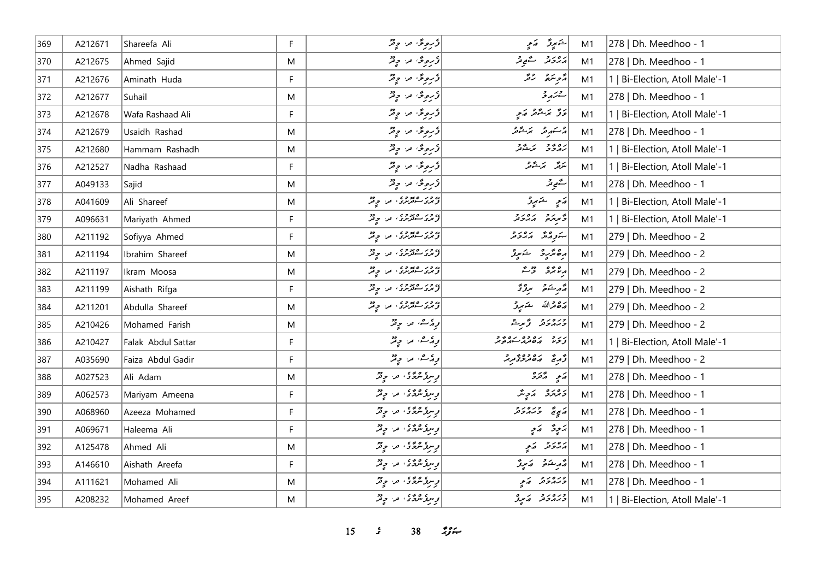| 369 | A212671 | Shareefa Ali       | F. | درمری مرح پی                                     | ڪيرڙ گرم                                               | M1 | 278   Dh. Meedhoo - 1          |
|-----|---------|--------------------|----|--------------------------------------------------|--------------------------------------------------------|----|--------------------------------|
| 370 | A212675 | Ahmed Sajid        | M  | و روی در ویژ                                     | دەر د سەھ تر                                           | M1 | 278   Dh. Meedhoo - 1          |
| 371 | A212676 | Aminath Huda       | F. | ڈروڈ اور وڈ                                      | مزهر مرمز                                              | M1 | 1   Bi-Election, Atoll Male'-1 |
| 372 | A212677 | Suhail             | M  | ڈروٹی پر وِٹڑ                                    | ش ترکم بر تحر                                          | M1 | 278   Dh. Meedhoo - 1          |
| 373 | A212678 | Wafa Rashaad Ali   | F  | وکرونځا افراد د مخ                               | د تر شهر کمی                                           | M1 | 1   Bi-Election, Atoll Male'-1 |
| 374 | A212679 | Usaidh Rashad      | M  | ڈروٹن اور ویژ                                    | أەسىكە ئەر ئىر ئىشىتىر                                 | M1 | 278   Dh. Meedhoo - 1          |
| 375 | A212680 | Hammam Rashadh     | M  | درمری مرد دیگر                                   | رە بەر بەشەر                                           | M1 | 1   Bi-Election, Atoll Male'-1 |
| 376 | A212527 | Nadha Rashaad      | F. | وَروِیٌ مِن وِیْرٌ                               | سَرَقَدُ - مَرَسْتُوتَرُ                               | M1 | 1   Bi-Election, Atoll Male'-1 |
| 377 | A049133 | Sajid              | M  | ڈرموٹی، مر، ج5ڑ                                  | ستھيے پر                                               | M1 | 278   Dh. Meedhoo - 1          |
| 378 | A041609 | Ali Shareef        | M  | ) در معدد ، من چ <sup>و</sup> ر                  | پَسِ شَهْرِزٌ                                          | M1 | 1   Bi-Election, Atoll Male'-1 |
| 379 | A096631 | Mariyath Ahmed     | F. | در ۱۶۷۵ ور دیگر                                  | ومردد رورد                                             | M1 | 1   Bi-Election, Atoll Male'-1 |
| 380 | A211192 | Sofiyya Ahmed      | F. | ) دور معدو ده در موتر<br>د مرد سوترنزی امرا موتر | התנהיה הפניק                                           | M1 | 279   Dh. Meedhoo - 2          |
| 381 | A211194 | Ibrahim Shareef    | M  | ) د در معدد د .<br>  توسر مسئوسری ، مدر چهر      | أرەنزىر ئىنېر                                          | M1 | 279   Dh. Meedhoo - 2          |
| 382 | A211197 | Ikram Moosa        | M  | ) دور معدوی امرا او دو                           | $\begin{array}{cc} 2 & 2 & 2 \\ 2 & 3 & 2 \end{array}$ | M1 | 279   Dh. Meedhoo - 2          |
| 383 | A211199 | Aishath Rifga      | F  | ) دور معدو ده در موتر<br>د مرد سوترنزی امرا موتر | أشركت بروتم                                            | M1 | 279   Dh. Meedhoo - 2          |
| 384 | A211201 | Abdulla Shareef    | M  | ) در معدد ، در دور                               | پره قرالله څومړنو                                      | M1 | 279   Dh. Meedhoo - 2          |
| 385 | A210426 | Mohamed Farish     | M  | پوځرے، اور اچ فخر                                | ورەرو ۋىر                                              | M1 | 279   Dh. Meedhoo - 2          |
| 386 | A210427 | Falak Abdul Sattar | F  | پوځ ص په چې پر                                   | رر ده ده ده ده در در                                   | M1 | 1   Bi-Election, Atoll Male'-1 |
| 387 | A035690 | Faiza Abdul Gadir  | F. | أوارث، من جيتر                                   | أُدَّمَ مَصْرُودٌ مِرْمَرٍ                             | M1 | 279   Dh. Meedhoo - 2          |
| 388 | A027523 | Ali Adam           | M  | د سرگەنگەنى، مەر چەنگە                           | پر په پرو                                              | M1 | 278   Dh. Meedhoo - 1          |
| 389 | A062573 | Mariyam Ameena     | F. | د سرز شرد د سر او در                             | د ۱۵ د مړينگر                                          | M1 | 278   Dh. Meedhoo - 1          |
| 390 | A068960 | Azeeza Mohamed     | F  | پس گروگان من چاپی                                | پر په دره د د                                          | M1 | 278   Dh. Meedhoo - 1          |
| 391 | A069671 | Haleema Ali        | F  | پسرو عرمی، امرا او فقر                           | پَنوِدٌ کَمَوٍ                                         | M1 | 278   Dh. Meedhoo - 1          |
| 392 | A125478 | Ahmed Ali          | M  | وسرو عرمی که اس دیگر                             | پروژ په کام                                            | M1 | 278   Dh. Meedhoo - 1          |
| 393 | A146610 | Aishath Areefa     | F  | د سرز مرد ژه د سر د پر                           | مەرىشىق كەنىپۇ                                         | M1 | 278   Dh. Meedhoo - 1          |
| 394 | A111621 | Mohamed Ali        | M  | رسرز مردّثر در موقرّ                             | ورەرو كەي                                              | M1 | 278   Dh. Meedhoo - 1          |
| 395 | A208232 | Mohamed Areef      | M  | د سره عرض الله الله عن الله حرف                  | ورەرو كەيدۇ                                            | M1 | 1   Bi-Election, Atoll Male'-1 |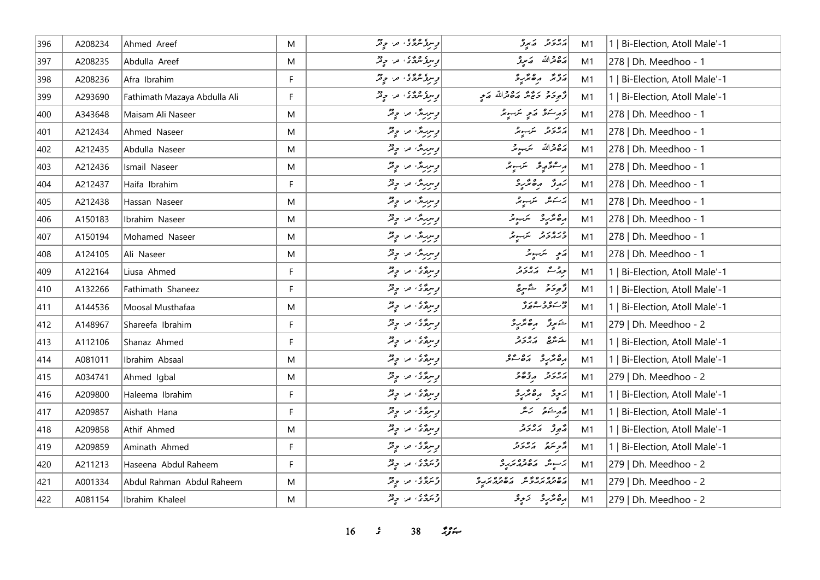| 396 | A208234 | Ahmed Areef                  | M  | رسۇشگە، سەرتر                  | پروتر کمبرو                               | M1 | 1   Bi-Election, Atoll Male'-1 |
|-----|---------|------------------------------|----|--------------------------------|-------------------------------------------|----|--------------------------------|
| 397 | A208235 | Abdulla Areef                | M  | د سرز مرد ژه د سر د چر         | پره قرالله   پر پرو                       | M1 | 278   Dh. Meedhoo - 1          |
| 398 | A208236 | Afra Ibrahim                 | F  | رسر گرگری اور اور پر           | دوند رەندىرو                              | M1 | 1   Bi-Election, Atoll Male'-1 |
| 399 | A293690 | Fathimath Mazaya Abdulla Ali | F  | پرېد شرقه په د چم              | توجوحه حَبَّجَ مَدَّ حَمَّدَاللَّهُ صَعِي | M1 | 1   Bi-Election, Atoll Male'-1 |
| 400 | A343648 | Maisam Ali Naseer            | M  | و سربرگ امرا او فقر            | وَرِسَوْ كَمَيْ سَبِيدٌ                   | M1 | 278   Dh. Meedhoo - 1          |
| 401 | A212434 | Ahmed Naseer                 | M  | پسریرهٔ، مراج قر               | پرورو سکہونڈ                              | M1 | 278   Dh. Meedhoo - 1          |
| 402 | A212435 | Abdulla Naseer               | M  | پسربرگ من چینل                 | رَصْحْرَاللَّهُ سَرَبِ مِرْ               | M1 | 278   Dh. Meedhoo - 1          |
| 403 | A212436 | Ismail Naseer                | M  | پسریرهٔ، من چقر                | رامۇر ئۇسىز                               | M1 | 278   Dh. Meedhoo - 1          |
| 404 | A212437 | Haifa Ibrahim                | F. | د سرباره، اورا د د             | رَوِرٌ وِ صَحَّرِ وَ                      | M1 | 278   Dh. Meedhoo - 1          |
| 405 | A212438 | Hassan Naseer                | M  | پسربرگ من چینل                 |                                           | M1 | 278   Dh. Meedhoo - 1          |
| 406 | A150183 | Ibrahim Naseer               | M  | پسربرگان اور چیل               | رەئزىرو سىبىر                             | M1 | 278   Dh. Meedhoo - 1          |
| 407 | A150194 | Mohamed Naseer               | M  | د سربارهٔ، اور اولاد           | وره رو شب                                 | M1 | 278   Dh. Meedhoo - 1          |
| 408 | A124105 | Ali Naseer                   | M  | پسریرهٔ، من چقر                | رَمِي سَرَبِ بِرْ                         | M1 | 278   Dh. Meedhoo - 1          |
| 409 | A122164 | Liusa Ahmed                  | F  | وسره کا اور دیگر               | ورحمش برەرد                               | M1 | 1   Bi-Election, Atoll Male'-1 |
| 410 | A132266 | Fathimath Shaneez            | F  | د سرگانگار او تر               | ژُهِ دَمَ شَهْ سِيْ                       | M1 | 1   Bi-Election, Atoll Male'-1 |
| 411 | A144536 | Moosal Musthafaa             | M  | رسره کې، مر، چ <sup>و</sup> ر  | دو رو و ه رو<br>  <del>د سود سوه</del> تر | M1 | 1   Bi-Election, Atoll Male'-1 |
| 412 | A148967 | Shareefa Ibrahim             | F. | وسرءٌ کي امراد الله عليه الله  | خنير رەئرى                                | M1 | 279   Dh. Meedhoo - 2          |
| 413 | A112106 | Shanaz Ahmed                 | F. | و سرع کی، امر، او فخر          | شەشق مەدرو                                | M1 | 1   Bi-Election, Atoll Male'-1 |
| 414 | A081011 | Ibrahim Absaal               | M  | پرېدگون مرا چوټر               | CONTENT CONTENT                           | M1 | 1   Bi-Election, Atoll Male'-1 |
| 415 | A034741 | Ahmed Igbal                  | M  | ومروَّى، ما چ <sup>و</sup> ر   | رەرد دەر                                  | M1 | 279   Dh. Meedhoo - 2          |
| 416 | A209800 | Haleema Ibrahim              | F. | وسرهٌ دُ الله الله وقر         | پَرچِرَ دِھِمَّرِ دِ                      | M1 | 1   Bi-Election, Atoll Male'-1 |
| 417 | A209857 | Aishath Hana                 | F. | و سرگانگان اور جو قر           | قەرىشىق ئەنگە                             | M1 | 1   Bi-Election, Atoll Male'-1 |
| 418 | A209858 | Athif Ahmed                  | M  | وسرع کا اور اور دیگر           | أوصوفر أمرد وراد                          | M1 | 1   Bi-Election, Atoll Male'-1 |
| 419 | A209859 | Aminath Ahmed                | F  | پرسرگان، مرا چ <sup>ون</sup> ر | أنجم سكرة المركزة المرجع                  | M1 | 1   Bi-Election, Atoll Male'-1 |
| 420 | A211213 | Haseena Abdul Raheem         | F. | ورو، من وٍ د                   | ) ئەسمىدىن مەھەر مەرج                     | M1 | 279   Dh. Meedhoo - 2          |
| 421 | A001334 | Abdul Rahman Abdul Raheem    | M  | ژنترگان من چانش                | בפנג גיג כ"ם נפנג הביריק ב                | M1 | 279   Dh. Meedhoo - 2          |
| 422 | A081154 | Ibrahim Khaleel              | M  | دروی در چنگ                    | رەپر پر ئىچى                              | M1 | 279   Dh. Meedhoo - 2          |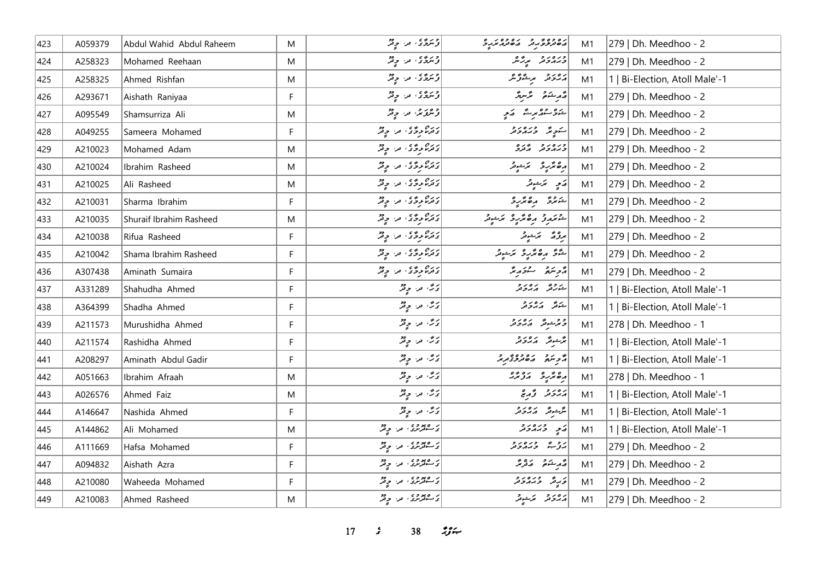| 423 | A059379 | Abdul Wahid Abdul Raheem | M           | دروی من چهڙ                                 | د ۱۵۶۵ و د ۱۵۶۵ پرو<br>  د هنر و د هر مرد بر د | M1             | 279   Dh. Meedhoo - 2          |
|-----|---------|--------------------------|-------------|---------------------------------------------|------------------------------------------------|----------------|--------------------------------|
| 424 | A258323 | Mohamed Reehaan          | M           | درو، ما چند                                 | ورەرو برگە                                     | M1             | 279   Dh. Meedhoo - 2          |
| 425 | A258325 | Ahmed Rishfan            | M           | درو، به دو                                  | ره روبر مرشور ش                                | M1             | 1   Bi-Election, Atoll Male'-1 |
| 426 | A293671 | Aishath Raniyaa          | F           | دروی مراح د                                 | قەربىئە قىسرىگە                                | M1             | 279   Dh. Meedhoo - 2          |
| 427 | A095549 | Shamsurriza Ali          | M           | د ۱۶ و په د د د                             | شوی ده برت که د                                | M1             | 279   Dh. Meedhoo - 2          |
| 428 | A049255 | Sameera Mohamed          | F           | دره دوی من وفر                              | شوپر وره رو                                    | M1             | 279   Dh. Meedhoo - 2          |
| 429 | A210023 | Mohamed Adam             | M           | دره روی در چه                               | ورەر دىرە                                      | M1             | 279   Dh. Meedhoo - 2          |
| 430 | A210024 | Ibrahim Rasheed          | M           | <br>  د ترنا تروگا = من المحافر             | رەنزىر ئىنىد                                   | M1             | 279   Dh. Meedhoo - 2          |
| 431 | A210025 | Ali Rasheed              | M           | دره دوی من وفر                              | أقامح المخرشوقر                                | M1             | 279   Dh. Meedhoo - 2          |
| 432 | A210031 | Sharma Ibrahim           | F           | دره دی، من وقر                              | شمرد مقترد                                     | M1             | 279   Dh. Meedhoo - 2          |
| 433 | A210035 | Shuraif Ibrahim Rasheed  | M           | دره دوی در وتر                              | كمشتمرة مقترع تمسوقه                           | M1             | 279   Dh. Meedhoo - 2          |
| 434 | A210038 | Rifua Rasheed            | F           | دره دی، در ویژ                              | ا<br>المروكة الممتشوقر                         | M1             | 279   Dh. Meedhoo - 2          |
| 435 | A210042 | Shama Ibrahim Rasheed    | F           | دره دود که او در د                          | شَرَّحَ و صَمَّرٍ وَ سَمَّسُوتَر               | M1             | 279   Dh. Meedhoo - 2          |
| 436 | A307438 | Aminath Sumaira          | F           | دره دوی در دیژ                              | د پره د سندر پر                                | M1             | 279   Dh. Meedhoo - 2          |
| 437 | A331289 | Shahudha Ahmed           | F           | دین آمدا اولاد<br>  دین آمدا اولاد          | شەرە بەەر د                                    | M1             | 1   Bi-Election, Atoll Male'-1 |
| 438 | A364399 | Shadha Ahmed             | F           | دی مراحٍ قر                                 | شەنگە كەردىن                                   | M1             | 1   Bi-Election, Atoll Male'-1 |
| 439 | A211573 | Murushidha Ahmed         | F           | ئەڭ، مەر چەش                                | و حرشونگر کم پروتر                             | M1             | 278   Dh. Meedhoo - 1          |
| 440 | A211574 | Rashidha Ahmed           | F           | ئەش مەر چەنتر                               | پژڪونژ - پرور و                                | M1             | 1   Bi-Election, Atoll Male'-1 |
| 441 | A208297 | Aminath Abdul Gadir      | F           | اری اور اولاد<br>انگ <sup>ار</sup> افراد می | د سره ده ده د د د د                            | M <sub>1</sub> | 1   Bi-Election, Atoll Male'-1 |
| 442 | A051663 | Ibrahim Afraah           | M           | ئەش مەر چەقتر                               | أرەنزىرو بەدىر                                 | M1             | 278   Dh. Meedhoo - 1          |
| 443 | A026576 | Ahmed Faiz               | M           | پرځ، مر، حيثر                               | روز قرم محمد محمد الم                          | M1             | 1   Bi-Election, Atoll Male'-1 |
| 444 | A146647 | Nashida Ahmed            | $\mathsf F$ | ئەش مەر چەتتر                               | مَرْجُومٌ = 1978مَ                             | M1             | 1   Bi-Election, Atoll Male'-1 |
| 445 | A144862 | Ali Mohamed              | M           | ر معدد ، من حق                              | پر دره دو                                      | M1             | 1   Bi-Election, Atoll Male'-1 |
| 446 | A111669 | Hafsa Mohamed            | F           | د عصودی اور اور                             | روع ورەرو                                      | M1             | 279   Dh. Meedhoo - 2          |
| 447 | A094832 | Aishath Azra             | F           | ر معدد ، من چیز                             | د مرشو ده د در                                 | M1             | 279   Dh. Meedhoo - 2          |
| 448 | A210080 | Waheeda Mohamed          | F           | ر ۱۳۵۵ وي.<br>  د سوفربرد ، اور او تر       | درو دره درو                                    | M1             | 279   Dh. Meedhoo - 2          |
| 449 | A210083 | Ahmed Rasheed            | M           | ر معدد ، در ود                              | دەر د ترخوش                                    | M1             | 279   Dh. Meedhoo - 2          |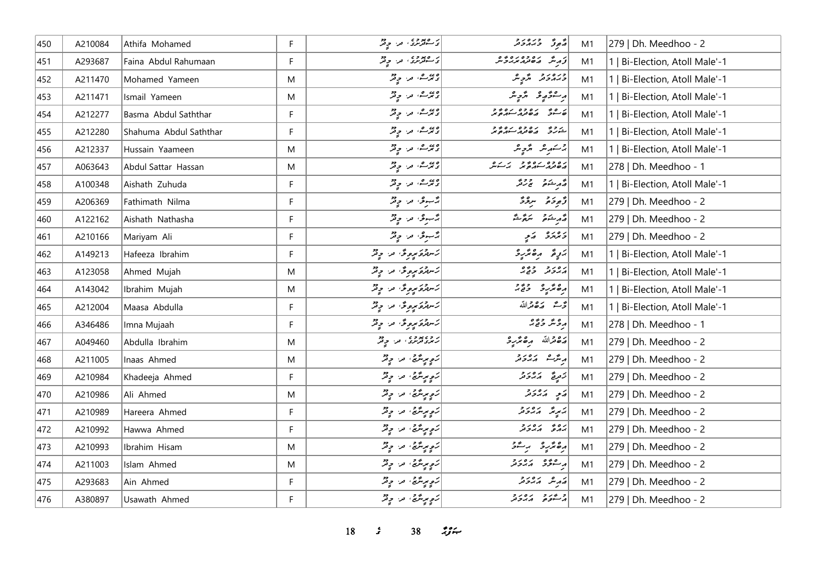| 450 | A210084 | Athifa Mohamed         | F  | ر معدد دی.<br>د سوتربری، مر، بر تر   | چې ته د ده د د                               | M1 | 279   Dh. Meedhoo - 2          |
|-----|---------|------------------------|----|--------------------------------------|----------------------------------------------|----|--------------------------------|
| 451 | A293687 | Faina Abdul Rahumaan   | F  | ر ۱۳۵۵ وي.<br>  د سوټرنزۍ اوږ او تر  | أزرش مەمەرەبەر                               | M1 | 1   Bi-Election, Atoll Male'-1 |
| 452 | A211470 | Mohamed Yameen         | M  | دیوے، مر، جاتمر                      | ورەرو پ <sub>ە</sub> ر                       | M1 | Bi-Election, Atoll Male'-1     |
| 453 | A211471 | Ismail Yameen          | M  | وی و، در دور                         | أرام مؤرد ومحمد والمعر                       | M1 | 1   Bi-Election, Atoll Male'-1 |
| 454 | A212277 | Basma Abdul Saththar   | F. | دیرے، مر، ج <sup>و</sup> ثر          | ه موسود ده ده ده و د                         | M1 | Bi-Election, Atoll Male'-1     |
| 455 | A212280 | Shahuma Abdul Saththar | F. |                                      | ر و په دره ده ده و<br>شورگ در هاندار سهره پر | M1 | 1   Bi-Election, Atoll Male'-1 |
| 456 | A212337 | Hussain Yaameen        | M  | د بر ص در دو                         | جستمرین انگرچینل                             | M1 | 1   Bi-Election, Atoll Male'-1 |
| 457 | A063643 | Abdul Sattar Hassan    | M  | وی و، در دور                         | رە دە برە دەپر برگىر                         | M1 | 278   Dh. Meedhoo - 1          |
| 458 | A100348 | Aishath Zuhuda         | F. | دی ه در چ <sup>و</sup>               | أقهر شده ودو                                 | M1 | 1   Bi-Election, Atoll Male'-1 |
| 459 | A206369 | Fathimath Nilma        | F  | رحم عن ويقر                          | د پرځ تر سرچرځ                               | M1 | 279   Dh. Meedhoo - 2          |
| 460 | A122162 | Aishath Nathasha       | F. | پژسوی مرا دیگر                       | قەربىئە قىسىم ئىقى                           | M1 | 279   Dh. Meedhoo - 2          |
| 461 | A210166 | Mariyam Ali            | F  | پژمبوعی، امرا او پیش                 | د وره کړې                                    | M1 | 279   Dh. Meedhoo - 2          |
| 462 | A149213 | Hafeeza Ibrahim        | F  | كَسْتَدْوَمْ بِرِودٌ مَنْ وَقِدْ     | برزة رەترىرد                                 | M1 | 1   Bi-Election, Atoll Male'-1 |
| 463 | A123058 | Ahmed Mujah            | M  | كَسْتَدْعَ مِرْجِرَةٌ، مَنْ حِرْثَهُ | رەر دەر                                      | M1 | 1   Bi-Election, Atoll Male'-1 |
| 464 | A143042 | Ibrahim Mujah          | M  | كَسْتَدْوَّسِودُ مَنْ وِيْدٌ         | دە ئەر دەر                                   | M1 | 1   Bi-Election, Atoll Male'-1 |
| 465 | A212004 | Maasa Abdulla          | F  | رستموکر کرد دیگر                     | تحث رَصْعَرْاللَّهُ                          | M1 | 1   Bi-Election, Atoll Male'-1 |
| 466 | A346486 | Imna Mujaah            | F  | رستموَسوڤ ما وٍثرٌ                   | ړونگر د پځ چ                                 | M1 | 278   Dh. Meedhoo - 1          |
| 467 | A049460 | Abdulla Ibrahim        | M  | روه بوده من وفر                      | لَّهُ صَدَّاللَّهُ مِنْ صَمَّرِ وَ           | M1 | 279   Dh. Meedhoo - 2          |
| 468 | A211005 | Inaas Ahmed            | M  | <br> سَعِ بِرِسَّدَةٌ، مَن حِيْثَرُ  | أيرىترك الابرد وراد                          | M1 | 279   Dh. Meedhoo - 2          |
| 469 | A210984 | Khadeeja Ahmed         | F  | رَحِ مِرِسَّرَةٌ، مَنْ حِرْثَهُ      | زَمِرِةٌ كَمَدُوَمَرٌ                        | M1 | 279   Dh. Meedhoo - 2          |
| 470 | A210986 | Ali Ahmed              | M  | <br> رَوِيرِيرُيُّ، مرَ وَيْرُ       | پر پر پر د                                   | M1 | 279   Dh. Meedhoo - 2          |
| 471 | A210989 | Hareera Ahmed          | F  | رَحِ مِرِسَّرَةٌ، مَنْ حِرْثَهُ      | برسير المرور و                               | M1 | 279   Dh. Meedhoo - 2          |
| 472 | A210992 | Hawwa Ahmed            | F  | رَوِمِرِیٹَنَیُّ، مَر، وِمَرُ        | رەپ رەرد                                     | M1 | 279   Dh. Meedhoo - 2          |
| 473 | A210993 | Ibrahim Hisam          | M  | رَهِ بِرِيرٌ جِي آمر و قِرْ          | رەنزىر بەلتى                                 | M1 | 279   Dh. Meedhoo - 2          |
| 474 | A211003 | Islam Ahmed            | M  | رَوِمِرِیتَرَیْمُ مِنْ وِتْرُ        | بر عرفو برەر د                               | M1 | 279   Dh. Meedhoo - 2          |
| 475 | A293683 | Ain Ahmed              | F  | رَحٍ مِرِسَّرَىٍّ، مَنْ حِرْثَرُ     | أصمر شرور ورو                                | M1 | 279   Dh. Meedhoo - 2          |
| 476 | A380897 | Usawath Ahmed          | F. | رَحٍ مِرِسَّرَىٍّ، مَنْ حِرْثَرُ     | و عدد ده دور                                 | M1 | 279   Dh. Meedhoo - 2          |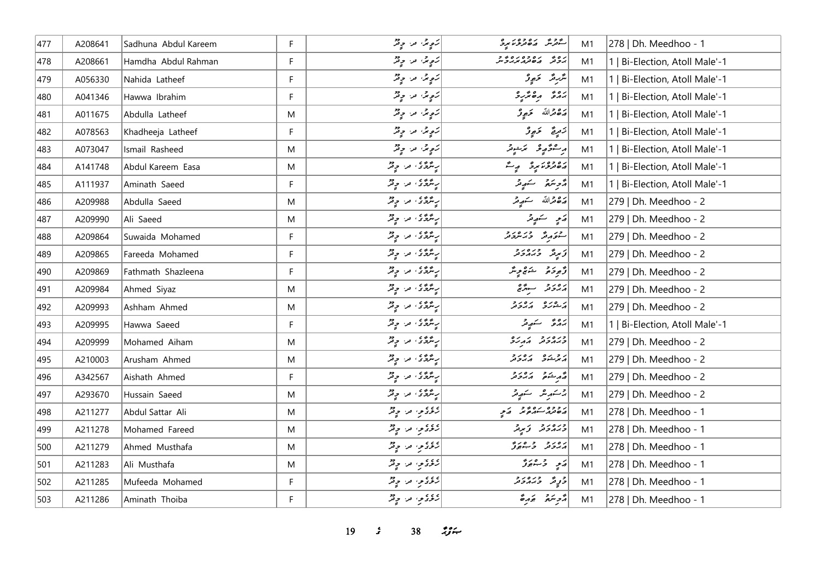| 477 | A208641 | Sadhuna Abdul Kareem | F. | رَوٍ پر او پر دیگر                                                                                                                                                                                                            | د در دره ده در د<br>سنترش مان ترونامرد | M1 | 278   Dh. Meedhoo - 1          |
|-----|---------|----------------------|----|-------------------------------------------------------------------------------------------------------------------------------------------------------------------------------------------------------------------------------|----------------------------------------|----|--------------------------------|
| 478 | A208661 | Hamdha Abdul Rahman  | F  | رَوِيرُ، مَنْ وَيْرُ                                                                                                                                                                                                          | رە پەرەدەرەپەر<br>بەرتىر مەھەرمەبرىرىس | M1 | 1   Bi-Election, Atoll Male'-1 |
| 479 | A056330 | Nahida Latheef       | F  | رَوٍیمُ، مر، ویژ                                                                                                                                                                                                              | شرىگە كەبوگ                            | M1 | 1   Bi-Election, Atoll Male'-1 |
| 480 | A041346 | Hawwa Ibrahim        | F  | رَوٍ پرٌ، اور دیز                                                                                                                                                                                                             |                                        | M1 | 1   Bi-Election, Atoll Male'-1 |
| 481 | A011675 | Abdulla Latheef      | M  | رَوِيرُ، مَنْ وِيْرٌ                                                                                                                                                                                                          | پره ټرالله <del>ځرم</del> ونو          | M1 | 1   Bi-Election, Atoll Male'-1 |
| 482 | A078563 | Khadheeja Latheef    | F  | رَوِيرُ، مَنْ وِيْرُ                                                                                                                                                                                                          | زَمرِيَّ - وَبِهِ وْ                   | M1 | 1   Bi-Election, Atoll Male'-1 |
| 483 | A073047 | Ismail Rasheed       | M  | رَوٍیرُ، مر، ویژ                                                                                                                                                                                                              | رەڭ ئۇرغا ئىشىر                        | M1 | 1   Bi-Election, Atoll Male'-1 |
| 484 | A141748 | Abdul Kareem Easa    | M  | پرنترنگ من چ <sup>ور</sup>                                                                                                                                                                                                    | دەدەر بور بېرگ                         | M1 | 1   Bi-Election, Atoll Male'-1 |
| 485 | A111937 | Aminath Saeed        | F. | پِرسَّدَّى مِنْ وِمْرُ                                                                                                                                                                                                        | أأزويتهم سكويتر                        | M1 | 1   Bi-Election, Atoll Male'-1 |
| 486 | A209988 | Abdulla Saeed        | M  | پِسَمَّدَّى مِنْ جِمْرٌ                                                                                                                                                                                                       | أرَّة قرالله كورتر                     | M1 | 279   Dh. Meedhoo - 2          |
| 487 | A209990 | Ali Saeed            | M  | په ترگوی اور او تر                                                                                                                                                                                                            | أرشح استعصر تقر                        | M1 | 279   Dh. Meedhoo - 2          |
| 488 | A209864 | Suwaida Mohamed      | F. | په ترځ ته د چې تر                                                                                                                                                                                                             | مشوره ورورد                            | M1 | 279   Dh. Meedhoo - 2          |
| 489 | A209865 | Fareeda Mohamed      | F  | په ترگانو په در در                                                                                                                                                                                                            | توپر دره د د                           | M1 | 279   Dh. Meedhoo - 2          |
| 490 | A209869 | Fathmath Shazleena   | F  | پِسَّدَّدُ مِنْ جِنْزٌ                                                                                                                                                                                                        | ژُهِ دَمَ صَنَّمْ وِيتَر               | M1 | 279   Dh. Meedhoo - 2          |
| 491 | A209984 | Ahmed Siyaz          | M  | پر پر چین کے پاکستان کے لیے میں ان کے لیے ان کے ان کے ان کے ان کے ان کے لیے ان کے لیے ان کے لیے ان کے لیے ان<br>اس کے لیے کہا کہ ان کے لیے ان کے لیے ان کے لیے کہا کہ ان کے لیے ان کے لیے ان کے لیے ان کے لیے ان کے لیے ان کے | د ۱۵ د په په په                        | M1 | 279   Dh. Meedhoo - 2          |
| 492 | A209993 | Ashham Ahmed         | M  | په ترگانو په در در                                                                                                                                                                                                            | برعده بره دو                           | M1 | 279   Dh. Meedhoo - 2          |
| 493 | A209995 | Hawwa Saeed          | F. | په ترځ ته د چې لر                                                                                                                                                                                                             | پروی سکھیے                             | M1 | 1   Bi-Election, Atoll Male'-1 |
| 494 | A209999 | Mohamed Aiham        | M  | پِسَّدَّدُ مِنْ جِنْزٌ                                                                                                                                                                                                        | כממכת הגנפ                             | M1 | 279   Dh. Meedhoo - 2          |
| 495 | A210003 | Arusham Ahmed        | M  | په ترگانو په در در                                                                                                                                                                                                            | أرويده أرورو                           | M1 | 279   Dh. Meedhoo - 2          |
| 496 | A342567 | Aishath Ahmed        | F  | په ترکاي اور او تر                                                                                                                                                                                                            | د مشتره د بره د د                      | M1 | 279   Dh. Meedhoo - 2          |
| 497 | A293670 | Hussain Saeed        | M  | پر پر دی پر دید                                                                                                                                                                                                               | 2سكىرىش سكھيىتى                        | M1 | 279   Dh. Meedhoo - 2          |
| 498 | A211277 | Abdul Sattar Ali     | M  | روء و، او دی                                                                                                                                                                                                                  | دوه ده ده د مرد به                     | M1 | 278   Dh. Meedhoo - 1          |
| 499 | A211278 | Mohamed Fareed       | M  | روءی مرح پی                                                                                                                                                                                                                   | ورەرو كەيدىر                           | M1 | 278   Dh. Meedhoo - 1          |
| 500 | A211279 | Ahmed Musthafa       | M  | روءي ما ويژ                                                                                                                                                                                                                   | دەرد دەرد                              | M1 | 278   Dh. Meedhoo - 1          |
| 501 | A211283 | Ali Musthafa         | M  | روء و، اور دو                                                                                                                                                                                                                 | ړَ په ده دی                            | M1 | 278   Dh. Meedhoo - 1          |
| 502 | A211285 | Mufeeda Mohamed      | F  | روء و، اور دو                                                                                                                                                                                                                 | ژړ ژبر در در                           | M1 | 278   Dh. Meedhoo - 1          |
| 503 | A211286 | Aminath Thoiba       | F. | دوءو، مرا ۾ قر                                                                                                                                                                                                                | أأزجر سنمو بجرمة                       | M1 | 278   Dh. Meedhoo - 1          |

*19 s* 38 *ig*  $\sim$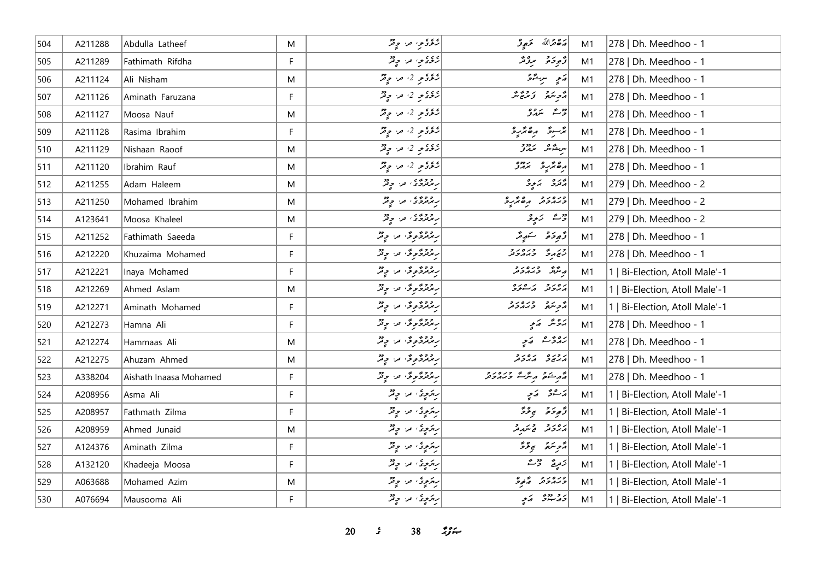| 504 | A211288 | Abdulla Latheef        | M  | روءي من جي تر                    | پر ۱۵ دیږی                        | M1 | 278   Dh. Meedhoo - 1          |
|-----|---------|------------------------|----|----------------------------------|-----------------------------------|----|--------------------------------|
| 505 | A211289 | Fathimath Rifdha       | F  | دوءو، مرا ۾ ٿُڙ                  | دَّەِدَەْ مِرْدْنَد               | M1 | 278   Dh. Meedhoo - 1          |
| 506 | A211124 | Ali Nisham             | M  | $\overline{z}$ ېږي د سرچينې      | رَمِ سِيْدَةٌ                     | M1 | 278   Dh. Meedhoo - 1          |
| 507 | A211126 | Aminath Faruzana       | F. | رمونو 2، ما وقر                  | أزويترة وزارة                     | M1 | 278   Dh. Meedhoo - 1          |
| 508 | A211127 | Moosa Nauf             | M  | روء کو 2، مراح فر                | دو پر ده<br>د سمدر                | M1 | 278   Dh. Meedhoo - 1          |
| 509 | A211128 | Rasima Ibrahim         | F. | دونو 2، ما چیز                   | بمسرقه رەممىيە                    | M1 | 278   Dh. Meedhoo - 1          |
| 510 | A211129 | Nishaan Raoof          | M  | دونو 2، ما چیز                   | سرڪرش مرور و                      | M1 | 278   Dh. Meedhoo - 1          |
| 511 | A211120 | Ibrahim Rauf           | M  | دونو 2، ما چیز                   | ה בית כ"<br>הפיתי ב"              | M1 | 278   Dh. Meedhoo - 1          |
| 512 | A211255 | Adam Haleem            | M  | روووی اور اولاد                  | مجترى   مركزى                     | M1 | 279   Dh. Meedhoo - 2          |
| 513 | A211250 | Mohamed Ibrahim        | M  | روووه من وفر                     | ورەرو مەرو                        | M1 | 279   Dh. Meedhoo - 2          |
| 514 | A123641 | Moosa Khaleel          | M  | روووی اور دولتر                  | جرعہ ارتابی تو                    | M1 | 279   Dh. Meedhoo - 2          |
| 515 | A211252 | Fathimath Saeeda       | F  | رودوگوگر، من وقر                 | وَجوحَہْ سَنَ يَعْدَ              | M1 | 278   Dh. Meedhoo - 1          |
| 516 | A212220 | Khuzaima Mohamed       | F  | روزوگروگر، مرا چیل               | جرمر حده در د                     | M1 | 278   Dh. Meedhoo - 1          |
| 517 | A212221 | Inaya Mohamed          | F. | ریزوگروگر، اور اولاد             | د شرکته در در در د                | M1 | 1   Bi-Election, Atoll Male'-1 |
| 518 | A212269 | Ahmed Aslam            | M  | ربر ترویخ و تر تر تر تر          | برەرد برےرہ                       | M1 | 1   Bi-Election, Atoll Male'-1 |
| 519 | A212271 | Aminath Mohamed        | F  | ربر ترویخ ترا در دیگر            | د برو ورورو<br>  د د سره د بر د د | M1 | 1   Bi-Election, Atoll Male'-1 |
| 520 | A212273 | Hamna Ali              | F. | پر ټرگروگر، تر، چ <sup>و</sup> ر | پرویژ   <sub>مکم</sub> ر          | M1 | 278   Dh. Meedhoo - 1          |
| 521 | A212274 | Hammaas Ali            | M  | ربر ترویخ ترا و تر               | زەۋىشەھەتچە                       | M1 | 278   Dh. Meedhoo - 1          |
| 522 | A212275 | Ahuzam Ahmed           | M  | ربرتردگروگرا امرا و تر           | أروره رورو                        | M1 | 278   Dh. Meedhoo - 1          |
| 523 | A338204 | Aishath Inaasa Mohamed | F  | ربرتردگروگرا امرا و تر           | انجمه شده و مره در در د           | M1 | 278   Dh. Meedhoo - 1          |
| 524 | A208956 | Asma Ali               | F  | ريزوي، اور، اولار                | ړ شتر کمنې                        | M1 | 1   Bi-Election, Atoll Male'-1 |
| 525 | A208957 | Fathmath Zilma         | F  | ريزوي، ما ويژ                    | وٌوِدَةٌ بِيَوْدٌ                 | M1 | 1   Bi-Election, Atoll Male'-1 |
| 526 | A208959 | Ahmed Junaid           | M  | رېزونه ور د تو                   | أرور ويمدقه                       | M1 | 1   Bi-Election, Atoll Male'-1 |
| 527 | A124376 | Aminath Zilma          | F. | پرېږي، لار چ <sup>و</sup> ر      | أرجع بجرمحمر                      | M1 | Bi-Election, Atoll Male'-1     |
| 528 | A132120 | Khadeeja Moosa         | F  | ر پرېوي، مر، چ <sup>و</sup> ر    | كَعْرِيجٌ - حِ"سُدٌ               | M1 | 1   Bi-Election, Atoll Male'-1 |
| 529 | A063688 | Mohamed Azim           | M  | ريزوي، ما ويژ                    | دره رو د کارو                     | M1 | 1   Bi-Election, Atoll Male'-1 |
| 530 | A076694 | Mausooma Ali           | F  | رېزوي، ما د پټر                  | ئەھمىيىتى كەبچ                    | M1 | 1   Bi-Election, Atoll Male'-1 |

*s* 38 *if*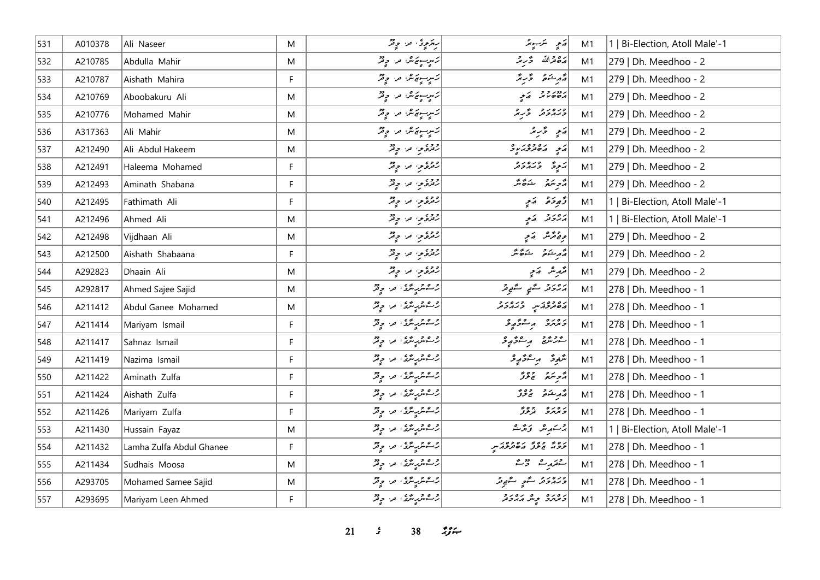| 531 | A010378 | Ali Naseer               | M  | په دې په د د توګر                          | أركمي الترسية بالر           | M1 | 1   Bi-Election, Atoll Male'-1 |
|-----|---------|--------------------------|----|--------------------------------------------|------------------------------|----|--------------------------------|
| 532 | A210785 | Abdulla Mahir            | M  | كەبىر سونى قرار بوقر                       | أشق محرالله كمحر يحمد        | M1 | 279   Dh. Meedhoo - 2          |
| 533 | A210787 | Aishath Mahira           | F. | كسرسونج شاعرا وقر                          | د مستوفر سمج د تر تر         | M1 | 279   Dh. Meedhoo - 2          |
| 534 | A210769 | Aboobakuru Ali           | M  | كسرسيهكاش فرا وقرّ                         |                              | M1 | 279   Dh. Meedhoo - 2          |
| 535 | A210776 | Mohamed Mahir            | M  | كاسيسونونكر، من المحيض                     | ورەرو ۇرۇ                    | M1 | 279   Dh. Meedhoo - 2          |
| 536 | A317363 | Ali Mahir                | M  | كسرسويركلا فراح في                         | أرشح الحراريمر               | M1 | 279   Dh. Meedhoo - 2          |
| 537 | A212490 | Ali Abdul Hakeem         | M  | دوء په دوړ                                 | در ده ده در و                | M1 | 279   Dh. Meedhoo - 2          |
| 538 | A212491 | Haleema Mohamed          | F. | رقرة من حيثر                               | پر پڑھ در در د               | M1 | 279   Dh. Meedhoo - 2          |
| 539 | A212493 | Aminath Shabana          | F  | رقرة من وقرّ                               | أزويتهم شكائكر               | M1 | 279   Dh. Meedhoo - 2          |
| 540 | A212495 | Fathimath Ali            | F. | روء په ویژ                                 | وتموذة المتعج                | M1 | 1   Bi-Election, Atoll Male'-1 |
| 541 | A212496 | Ahmed Ali                | M  | روء ۽ مار ڇاپر                             | أرور والمحيا                 | M1 | 1   Bi-Election, Atoll Male'-1 |
| 542 | A212498 | Vijdhaan Ali             | M  | رقمون من ج2                                | ويقترش كميمي                 | M1 | 279   Dh. Meedhoo - 2          |
| 543 | A212500 | Aishath Shabaana         | F  | روءی مراحٍ فر                              | أَيُّ مِنْ شَوَّةٌ مَنْ      | M1 | 279   Dh. Meedhoo - 2          |
| 544 | A292823 | Dhaain Ali               | M  | رقرة من وقرّ                               | قرمرشر الأمج                 | M1 | 279   Dh. Meedhoo - 2          |
| 545 | A292817 | Ahmed Sajee Sajid        | M  | رحم مرسم من ديد المحمد                     | رەرو سەر سەرەر               | M1 | 278   Dh. Meedhoo - 1          |
| 546 | A211412 | Abdul Ganee Mohamed      | M  | ژےمرتبہ من چ <sup>ور</sup>                 | دە دە ئەرەر دەر              | M1 | 278   Dh. Meedhoo - 1          |
| 547 | A211414 | Mariyam Ismail           | F. | ژےمر پر مگر ، مر، چ <sup>و</sup> ر         | د وره د مرغورو               | M1 | 278   Dh. Meedhoo - 1          |
| 548 | A211417 | Sahnaz Ismail            | F  | رحم شریر میں اس کا جات                     | كەر ئىر ئەھم بەر ئەر         | M1 | 278   Dh. Meedhoo - 1          |
| 549 | A211419 | Nazima Ismail            | F. | ژےمر پر مگر پہ اور دیگر                    | شَعْرَةَ الْمُسْتَوَكَّرَ وَ | M1 | 278   Dh. Meedhoo - 1          |
| 550 | A211422 | Aminath Zulfa            | F  | ژےمتر پاستگان میں ال <mark>ہ بڑ</mark>     | د پر پر دور                  | M1 | 278   Dh. Meedhoo - 1          |
| 551 | A211424 | Aishath Zulfa            | F  | ژےمرز پر ملک ہو ہے تھ                      | د م شو د محمور               | M1 | 278   Dh. Meedhoo - 1          |
| 552 | A211426 | Mariyam Zulfa            | F. | ژےمرژپر میں جو تھ                          | د ۵ د ۵ وه و و و             | M1 | 278   Dh. Meedhoo - 1          |
| 553 | A211430 | Hussain Fayaz            | M  | ژےمرز پر ملک ہو ہے تھ                      | پرستهر شر تر تژ شر           | M1 | 1   Bi-Election, Atoll Male'-1 |
| 554 | A211432 | Lamha Zulfa Abdul Ghanee | F  | ژےمتر پاستگان اور اور دیگر                 | ره و وه ده ده دور پر         | M1 | 278   Dh. Meedhoo - 1          |
| 555 | A211434 | Sudhais Moosa            | M  | رحم شریر میں اس کا جات                     | سقدرت وحمدته                 | M1 | 278   Dh. Meedhoo - 1          |
| 556 | A293705 | Mohamed Samee Sajid      | M  | رحمته پرسنگ، مه چ <sup>و</sup> ر           | دره در در سگهي سگهوند        | M1 | 278   Dh. Meedhoo - 1          |
| 557 | A293695 | Mariyam Leen Ahmed       | F. | رحم شربا مراسم المحمد المحمد المحمد المحمد | د ه ره پوهر مارد د           | M1 | 278   Dh. Meedhoo - 1          |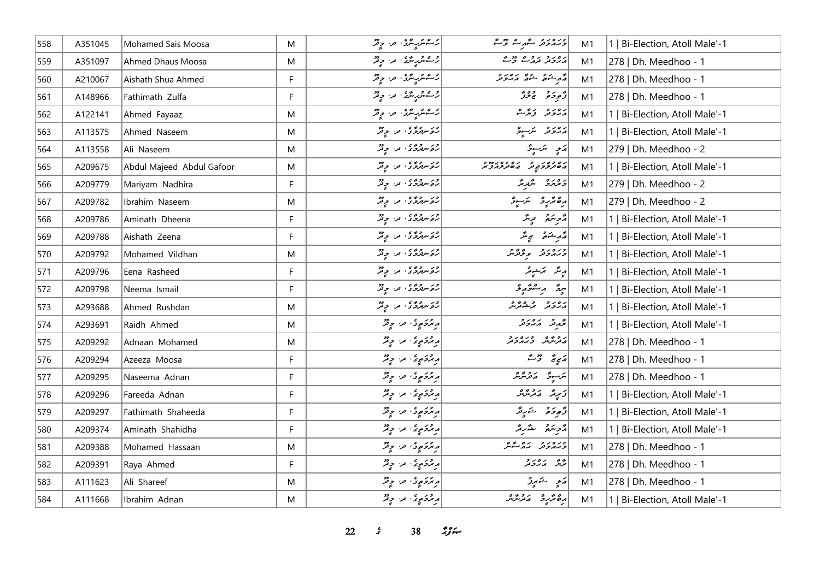| 558 | A351045 | Mohamed Sais Moosa        | M         | رحمشرپرسمهٔ، ما چ <sup>و</sup> ر | دره در د عهرے وقت                                                | M1 | 1   Bi-Election, Atoll Male'-1 |
|-----|---------|---------------------------|-----------|----------------------------------|------------------------------------------------------------------|----|--------------------------------|
| 559 | A351097 | Ahmed Dhaus Moosa         | M         | <br> رحمه شریع الله الله در الله | پرورو روم دوم                                                    | M1 | 278   Dh. Meedhoo - 1          |
| 560 | A210067 | Aishath Shua Ahmed        | F         | رحم شریر میں اور دیگر            | انجم رشوم مشوره بره رو<br>  در مشوره مشوره بر بر در در           | M1 | 278   Dh. Meedhoo - 1          |
| 561 | A148966 | Fathimath Zulfa           | F.        | ژےمر پر محمد ، مر، چونژ          | د پره د وي                                                       | M1 | 278   Dh. Meedhoo - 1          |
| 562 | A122141 | Ahmed Fayaaz              | M         | رحم مرسم علي المعرار المحرقة     | أرەر دېرى                                                        | M1 | 1   Bi-Election, Atoll Male'-1 |
| 563 | A113575 | Ahmed Naseem              | ${\sf M}$ | ژوَ سِهْرَوٌ ی مِنْ مِیْتِرْ     | رەر د سرّىرو                                                     | M1 | 1   Bi-Election, Atoll Male'-1 |
| 564 | A113558 | Ali Naseem                | ${\sf M}$ | در سروی س وقر                    | رَ پِهِ سَرَ پِهِ د                                              | M1 | 279   Dh. Meedhoo - 2          |
| 565 | A209675 | Abdul Majeed Abdul Gafoor | M         | ژو سروی، مراح تو                 | ره ده ره ده ده ده در دو د<br>  پره ترڅرخ په تر پر پر پر تر تر تر | M1 | 1   Bi-Election, Atoll Male'-1 |
| 566 | A209779 | Mariyam Nadhira           | F         | رور رووی اور اولار               | د ۱۵ د ۱۵ مگرمگر                                                 | M1 | 279   Dh. Meedhoo - 2          |
| 567 | A209782 | Ibrahim Naseem            | M         | رور رووی اور اولار               | أرە ئۆر ئەسرە                                                    | M1 | 279   Dh. Meedhoo - 2          |
| 568 | A209786 | Aminath Dheena            | F         | روسروری، من چیز                  | أأزجر سنرجز ويريثر                                               | M1 | 1   Bi-Election, Atoll Male'-1 |
| 569 | A209788 | Aishath Zeena             | F.        | در سروی، س ویژ                   | أَمْهُ مِشَعْرٌ مَجِسٌّرٌ                                        | M1 | 1   Bi-Election, Atoll Male'-1 |
| 570 | A209792 | Mohamed Vildhan           | M         | ژو سروی، مراح تو                 | ورەر دەھ بەر                                                     | M1 | 1   Bi-Election, Atoll Male'-1 |
| 571 | A209796 | Eena Rasheed              | F         | در سروی، من وفر                  | رینٹر بمزشویٹر                                                   | M1 | 1   Bi-Election, Atoll Male'-1 |
| 572 | A209798 | Neema Ismail              | F         | در سروی، مرا ویژ                 | لىرق برسىۋېرقى                                                   | M1 | 1   Bi-Election, Atoll Male'-1 |
| 573 | A293688 | Ahmed Rushdan             | M         | در سروره در دور                  | رەرد دەپر                                                        | M1 | 1   Bi-Election, Atoll Male'-1 |
| 574 | A293691 | Raidh Ahmed               | M         | پرترکوی پر وقر                   | بمهرش كمارور                                                     | M1 | 1   Bi-Election, Atoll Male'-1 |
| 575 | A209292 | Adnaan Mohamed            | M         | پرېزو په په د چم                 | ر و مهر و ره ر و<br>مادرش کر بر بر و تر                          | M1 | 278   Dh. Meedhoo - 1          |
| 576 | A209294 | Azeeza Moosa              | F         | و پژوَمٍ دُا او دُرُ             | پرېږي تر شه                                                      | M1 | 278   Dh. Meedhoo - 1          |
| 577 | A209295 | Naseema Adnan             | F         | و ټرکوي د وقر                    | ىكرىسوڭ ئەترىگرىگر                                               | M1 | 278   Dh. Meedhoo - 1          |
| 578 | A209296 | Fareeda Adnan             | F.        | د برگرې د و تر                   | توپیٹر   پرتریٹر                                                 | M1 | 1   Bi-Election, Atoll Male'-1 |
| 579 | A209297 | Fathimath Shaheeda        | F         | پر ټرکو پوځي، امراد امريقه       | ژَهِ دَمَ شَرِیدَ                                                | M1 | 1   Bi-Election, Atoll Male'-1 |
| 580 | A209374 | Aminath Shahidha          | F.        | پر ټرکو پوته کا په د چوتر        | د پرو شرید                                                       | M1 | 1   Bi-Election, Atoll Male'-1 |
| 581 | A209388 | Mohamed Hassaan           | M         | پرځوړي، مرا چونژ                 | ورەرو روشكىر                                                     | M1 | 278   Dh. Meedhoo - 1          |
| 582 | A209391 | Raya Ahmed                | F         | پرځو پوځ، اور او فر              | بر پر در در<br>برگر کم کرونر                                     | M1 | 278   Dh. Meedhoo - 1          |
| 583 | A111623 | Ali Shareef               | M         | ویژدکموی مراح فر                 | رَمِ شَهْرِرٌ                                                    | M1 | 278   Dh. Meedhoo - 1          |
| 584 | A111668 | Ibrahim Adnan             | M         | مركز موتى، من حي قر              | رەنزىر مەرشىر                                                    | M1 | 1   Bi-Election, Atoll Male'-1 |

*s* 38  $29$   $\div$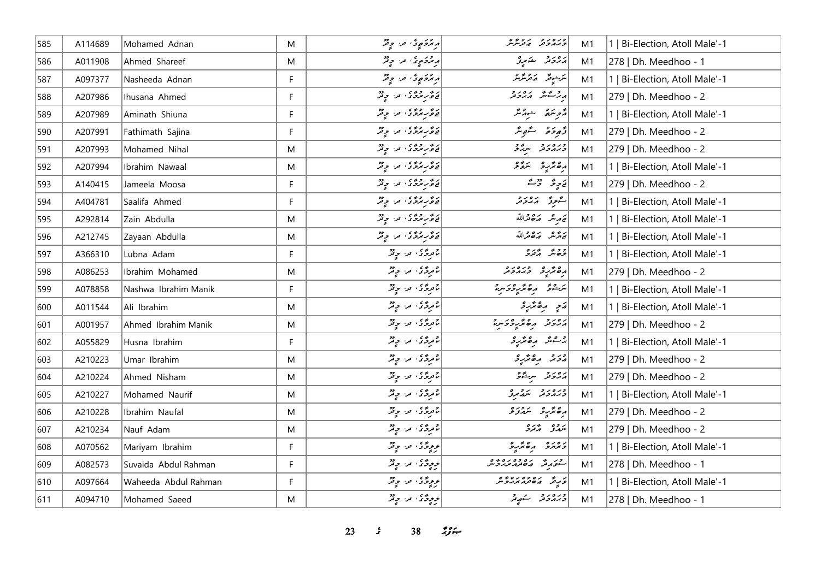| 585 | A114689 | Mohamed Adnan        | M  | ويرځونو ته د چونز         | ورەرو روپرە<br>جەمەدىر مەنزىر | M1 | 1   Bi-Election, Atoll Male'-1 |
|-----|---------|----------------------|----|---------------------------|-------------------------------|----|--------------------------------|
| 586 | A011908 | Ahmed Shareef        | M  | پر ټر پر په د چ ټر        | برەر دىمبرو                   | M1 | 278   Dh. Meedhoo - 1          |
| 587 | A097377 | Nasheeda Adnan       | F  | پرترکو پولا دی پر دیگر    | يترسمونتر المركز مترسر        | M1 | 1   Bi-Election, Atoll Male'-1 |
| 588 | A207986 | Ihusana Ahmed        | F  | ئەھرىر ئەمى ئەس ئەقىر     | مەرقىقى بەر دە                | M1 | 279   Dh. Meedhoo - 2          |
| 589 | A207989 | Aminath Shiuna       | F  | ئۇ ئەترىگە ئەس بوقىر      | أأزجر سترميح المستبر والمتلكم | M1 | 1   Bi-Election, Atoll Male'-1 |
| 590 | A207991 | Fathimath Sajina     | F  | پر گر پر پر پر انداز دیگر | ژُهِ دَهُ مُسْتَمِعٌ مَدَّ    | M1 | 279   Dh. Meedhoo - 2          |
| 591 | A207993 | Mohamed Nihal        | M  | ئەھرىردۇر، مەر چەش        | ورەرو بېرگو                   | M1 | 279   Dh. Meedhoo - 2          |
| 592 | A207994 | Ibrahim Nawaal       | M  | ئەقرىر ئەدە بەر بوقر      | رە ئرىر ئىقر                  | M1 | 1   Bi-Election, Atoll Male'-1 |
| 593 | A140415 | Jameela Moosa        | F. | ئەھرىردۇر، مەر چەش        | يَا وِيَّة = حَرْبٌ           | M1 | 279   Dh. Meedhoo - 2          |
| 594 | A404781 | Saalifa Ahmed        | F  | يۇ ئوپرۇ ئەس بوقر         | الشوق برورد                   | M1 | 1   Bi-Election, Atoll Male'-1 |
| 595 | A292814 | Zain Abdulla         | M  | د څر پروګی او د او په     | كتمريثر كالقائقة              | M1 | 1   Bi-Election, Atoll Male'-1 |
| 596 | A212745 | Zayaan Abdulla       | M  | ئەھرىرى ئەرىپى            | تحريش وكافرالله               | M1 | 1   Bi-Election, Atoll Male'-1 |
| 597 | A366310 | Lubna Adam           | F. | د پروگري اير، او پر       | وه شهر و دره                  | M1 | 1   Bi-Election, Atoll Male'-1 |
| 598 | A086253 | Ibrahim Mohamed      | M  | دروی در دیگر              | תפתקים בגתפנים                | M1 | 279   Dh. Meedhoo - 2          |
| 599 | A078858 | Nashwa Ibrahim Manik | F. | موردی من چیز              | يرجم وكالمرود براد            | M1 | 1   Bi-Election, Atoll Male'-1 |
| 600 | A011544 | Ali Ibrahim          | M  | د د ځې د د د د            | ړې ره پرو                     | M1 | 1   Bi-Election, Atoll Male'-1 |
| 601 | A001957 | Ahmed Ibrahim Manik  | M  | د پرځ کې او د او په د     | גפנג הפתוכצית                 | M1 | 279   Dh. Meedhoo - 2          |
| 602 | A055829 | Husna Ibrahim        | F  | د د ځې مر چ تر            | جرعش مومتريز                  | M1 | 1   Bi-Election, Atoll Male'-1 |
| 603 | A210223 | Umar Ibrahim         | M  | د دی، در چ <sup>و</sup> ر | 222 ROX12                     | M1 | 279   Dh. Meedhoo - 2          |
| 604 | A210224 | Ahmed Nisham         | M  | عرومی، مراحٍ قر           | أرور و سرعو                   | M1 | 279   Dh. Meedhoo - 2          |
| 605 | A210227 | Mohamed Naurif       | M  | د دی، در چند              | ورەرو شەرىق                   | M1 | 1   Bi-Election, Atoll Male'-1 |
| 606 | A210228 | Ibrahim Naufal       | M  | د پروگر، اور، اولاد       | رە ئرىر ئىمەز ئ               | M1 | 279   Dh. Meedhoo - 2          |
| 607 | A210234 | Nauf Adam            | M  | د پروگري اورا او پر       | روه پوره<br>سمدنو پرتور       | M1 | 279   Dh. Meedhoo - 2          |
| 608 | A070562 | Mariyam Ibrahim      | F. | و وِدَّى ما وِنْدُ        | وبرمره ره محرج                | M1 | 1   Bi-Election, Atoll Male'-1 |
| 609 | A082573 | Suvaida Abdul Rahman | F  | ووِدَّى ما وِثْرُ         | כן שי נסכסנסים                | M1 | 278   Dh. Meedhoo - 1          |
| 610 | A097664 | Waheeda Abdul Rahman | F  | و وِدَّى ما وِتْرُ        | د به ده ده ده ده و            | M1 | 1   Bi-Election, Atoll Male'-1 |
| 611 | A094710 | Mohamed Saeed        | M  | و و د د و تر              | ورەرو سەر                     | M1 | 278   Dh. Meedhoo - 1          |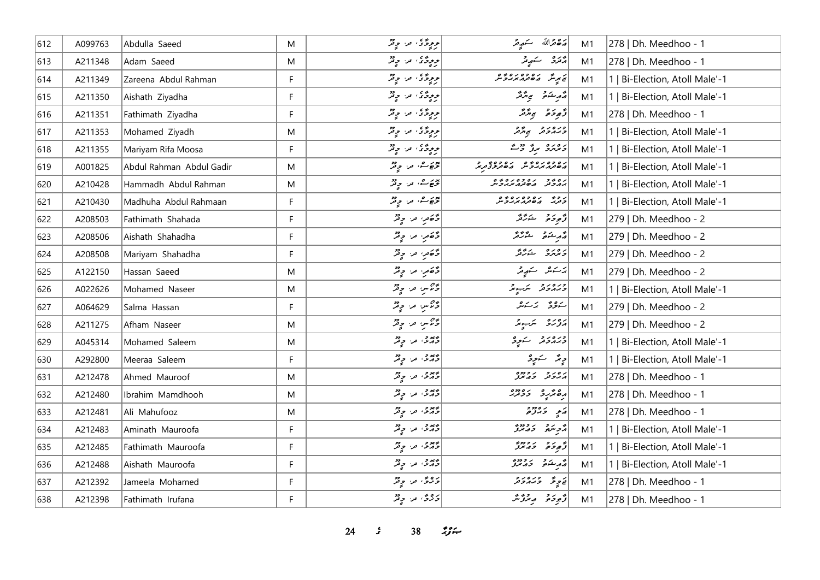| 612 | A099763 | Abdulla Saeed            | M  | و پوځۍ مرح په                   | 20% مترالله كسكر مريتمر                    | M1 | 278   Dh. Meedhoo - 1          |
|-----|---------|--------------------------|----|---------------------------------|--------------------------------------------|----|--------------------------------|
| 613 | A211348 | Adam Saeed               | M  | وودٌى، من وِثْرٌ                | پره د سکهپر                                | M1 | 278   Dh. Meedhoo - 1          |
| 614 | A211349 | Zareena Abdul Rahman     | F  | و ودګی، مر، ویژ                 | <br>  پی پرسگر   مکھولار مرد و شر          | M1 | 1   Bi-Election, Atoll Male'-1 |
| 615 | A211350 | Aishath Ziyadha          | F  | ووِدَّى، ما وِثْرُ              | روم شوقر محمد تركز                         | M1 | 1   Bi-Election, Atoll Male'-1 |
| 616 | A211351 | Fathimath Ziyadha        | F  | ووژی، مرا وِتْرُ                | أزَّوِدَةً بِمِتَّتَرَ                     | M1 | 278   Dh. Meedhoo - 1          |
| 617 | A211353 | Mohamed Ziyadh           | M  | د دوگان اور دوگر                | כנים ניבי הייבי                            | M1 | 1   Bi-Election, Atoll Male'-1 |
| 618 | A211355 | Mariyam Rifa Moosa       | F. | وودگان اور او قر                | د ۱۵ ده وروم در مح                         | M1 | 1   Bi-Election, Atoll Male'-1 |
| 619 | A001825 | Abdul Rahman Abdul Gadir | M  | تخصُّ من حِقرٌ                  |                                            | M1 | 1   Bi-Election, Atoll Male'-1 |
| 620 | A210428 | Hammadh Abdul Rahman     | M  | تخفي من جِنْزٌ                  | גם כי גם כסגם כים.<br>המכנה השנמיגולית     | M1 | 1   Bi-Election, Atoll Male'-1 |
| 621 | A210430 | Madhuha Abdul Rahmaan    | F  | پورے، مر، چ <sup>و</sup> ر      | ر ده د ره ده ده ده.<br>حزب می فرم مربر و س | M1 | 1   Bi-Election, Atoll Male'-1 |
| 622 | A208503 | Fathimath Shahada        | F. | وَصَعَرِ، مَنْ وَقَرْ           | ژُهِ دَمَ صَرَ شَرَ تَرَ                   | M1 | 279   Dh. Meedhoo - 2          |
| 623 | A208506 | Aishath Shahadha         | F  | وَڻَ مِن وِتِرُ                 | أقرم شكرة الشوائية                         | M1 | 279   Dh. Meedhoo - 2          |
| 624 | A208508 | Mariyam Shahadha         | F  | وَصَعَرِ، مَنْ حِيْثُرُ         | رەرە شەھۇر                                 | M1 | 279   Dh. Meedhoo - 2          |
| 625 | A122150 | Hassan Saeed             | M  | وَحَقرِ، مَنْ وَقَرْ            | پرستمبر سندھیر                             | M1 | 279   Dh. Meedhoo - 2          |
| 626 | A022626 | Mohamed Naseer           | M  | وحراس من وفر                    | ورەرو سكبوش                                | M1 | 1   Bi-Election, Atoll Male'-1 |
| 627 | A064629 | Salma Hassan             | F  | وسيم من وقر                     | سەۋۋە بەسەش                                | M1 | 279   Dh. Meedhoo - 2          |
| 628 | A211275 | Afham Naseer             | M  | وحراس من وفر                    | ره ره پر پر د                              | M1 | 279   Dh. Meedhoo - 2          |
| 629 | A045314 | Mohamed Saleem           | M  | دید و په دور                    | ورەرو سەرو                                 | M1 | 1   Bi-Election, Atoll Male'-1 |
| 630 | A292800 | Meeraa Saleem            | F  | دیدو، من دیگر                   | د پر سکوچر                                 | M1 | 1   Bi-Election, Atoll Male'-1 |
| 631 | A212478 | Ahmed Mauroof            | M  | دیدو، تر، دیگر                  | גם ג' ג' כמים                              | M1 | 278   Dh. Meedhoo - 1          |
| 632 | A212480 | Ibrahim Mamdhooh         | M  | دید د دور<br>  در د س د د       | وه پر ده دوه                               | M1 | 278   Dh. Meedhoo - 1          |
| 633 | A212481 | Ali Mahufooz             | M  | وید و به دور                    | پر دی دور                                  | M1 | 278   Dh. Meedhoo - 1          |
| 634 | A212483 | Aminath Mauroofa         | F  | معدو، اور دو<br>  دارش، اور اور | أأزويتهم والمعتز                           | M1 | 1   Bi-Election, Atoll Male'-1 |
| 635 | A212485 | Fathimath Mauroofa       | F. | دیدو، مرا چیز                   | د د د دود و<br>  ژبوخه حدس                 | M1 | 1   Bi-Election, Atoll Male'-1 |
| 636 | A212488 | Aishath Mauroofa         | F  | درور دور                        | أقهر شده و دوره                            | M1 | 1   Bi-Election, Atoll Male'-1 |
| 637 | A212392 | Jameela Mohamed          | F  | ده هي په ده                     | خ ح ح د ه د د و                            | M1 | 278   Dh. Meedhoo - 1          |
| 638 | A212398 | Fathimath Irufana        | F  | دُورٌ، ما دِيْرٌ                | د برد و بروش                               | M1 | 278   Dh. Meedhoo - 1          |

*s* 38  $29$   $\div$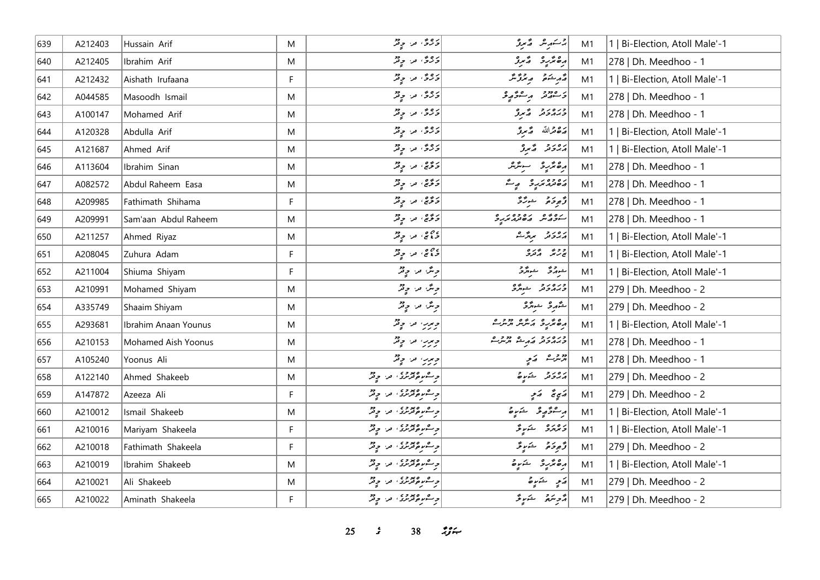| 639 | A212403 | Hussain Arif               | M         | دوی مر وقر                                            | يرسكر شروع                                       | M1 | 1   Bi-Election, Atoll Male'-1 |
|-----|---------|----------------------------|-----------|-------------------------------------------------------|--------------------------------------------------|----|--------------------------------|
| 640 | A212405 | Ibrahim Arif               | ${\sf M}$ | دوی مر وقر                                            | رە ئرىر ئىبر                                     | M1 | 278   Dh. Meedhoo - 1          |
| 641 | A212432 | Aishath Irufaana           | F.        | د ه په د د پر                                         | أقهر ينكو المروعي                                | M1 | 1   Bi-Election, Atoll Male'-1 |
| 642 | A044585 | Masoodh Ismail             | M         | د ه و ، مر او و تر                                    | و معدود المراجع من                               | M1 | 278   Dh. Meedhoo - 1          |
| 643 | A100147 | Mohamed Arif               | M         | ده و من دور                                           | ورەر د گرو                                       | M1 | 278   Dh. Meedhoo - 1          |
| 644 | A120328 | Abdulla Arif               | M         | دُوی مرحٍ پر                                          | مَەھْرَاللَّهُ مَسْتَعَرَّفُ                     | M1 | 1   Bi-Election, Atoll Male'-1 |
| 645 | A121687 | Ahmed Arif                 | M         | دوی مر وقر                                            | پروتر کم ترتو                                    | M1 | 1   Bi-Election, Atoll Male'-1 |
| 646 | A113604 | Ibrahim Sinan              | M         | د وه . مرا و د                                        | أرەنزىر ئىسرىر                                   | M1 | 278   Dh. Meedhoo - 1          |
| 647 | A082572 | Abdul Raheem Easa          | M         | دَ دَّيْ، ما دِ تَرُ                                  | دەدە ئەرد بېر                                    | M1 | 278   Dh. Meedhoo - 1          |
| 648 | A209985 | Fathimath Shihama          | F.        | $\begin{bmatrix} 2 & 2 & 3 \ 2 & 3 & 3 \end{bmatrix}$ | وَجوحَة مسترَّحَة                                | M1 | 278   Dh. Meedhoo - 1          |
| 649 | A209991 | Sam'aan Abdul Raheem       | M         | د ژه، در چ <sup>و</sup> ر                             | رووه روووره                                      | M1 | 278   Dh. Meedhoo - 1          |
| 650 | A211257 | Ahmed Riyaz                | M         | مهم من حيثر                                           | دەرو بېرگ                                        | M1 | 1   Bi-Election, Atoll Male'-1 |
| 651 | A208045 | Zuhura Adam                | F         | د وهي من وفر                                          | ووی <sub>ش</sub> وره<br>بح <sup>ر</sup> نگ دکترو | M1 | 1   Bi-Election, Atoll Male'-1 |
| 652 | A211004 | Shiuma Shiyam              | F         | دِ مَدْ، دِ قُدْ                                      | شورگر شورگرد<br>مر                               | M1 | 1   Bi-Election, Atoll Male'-1 |
| 653 | A210991 | Mohamed Shiyam             | M         | دیگر، مر، دیگر                                        | ورەرو ئىبرگ                                      | M1 | 279   Dh. Meedhoo - 2          |
| 654 | A335749 | Shaaim Shiyam              | M         | دِیمٌ مر دِیْرٌ                                       | شَهْرِ شِهْرَدُ                                  | M1 | 279   Dh. Meedhoo - 2          |
| 655 | A293681 | Ibrahim Anaan Younus       | M         | ویرب اور وقر                                          | مەمگرىق كەشرىكە مەمرىك                           | M1 | 1   Bi-Election, Atoll Male'-1 |
| 656 | A210153 | <b>Mohamed Aish Yoonus</b> | M         | ویرب اور وقر                                          | כנסגב גם ככבים<br>כממכת התייל תית                | M1 | 278   Dh. Meedhoo - 1          |
| 657 | A105240 | Yoonus Ali                 | M         | ویرین اور وقتر                                        | ود در مرکز                                       | M1 | 278   Dh. Meedhoo - 1          |
| 658 | A122140 | Ahmed Shakeeb              | M         | <br>  د سوره ترسری، مراج تر                           | دەرو شەرە                                        | M1 | 279   Dh. Meedhoo - 2          |
| 659 | A147872 | Azeeza Ali                 | F.        | د ۱۳۵ وروري، در وقر                                   | پَي تَه صَمِحِ                                   | M1 | 279   Dh. Meedhoo - 2          |
| 660 | A210012 | Ismail Shakeeb             | ${\sf M}$ | د عموم ده ده در اوږد                                  | بر شۇيە ئەر ئىيات                                | M1 | 1   Bi-Election, Atoll Male'-1 |
| 661 | A210016 | Mariyam Shakeela           | F         | د ۱۳۵ وروري، در وقر                                   | د ۱۵ د می شوند محمد از ک                         | M1 | 1   Bi-Election, Atoll Male'-1 |
| 662 | A210018 | Fathimath Shakeela         | F.        | د ۱۳۵ مورسی، مر، حوفز<br>  د ۱۳۷ موفز تردی            | وَجِرَةَ جَنَبِيقَ                               | M1 | 279   Dh. Meedhoo - 2          |
| 663 | A210019 | Ibrahim Shakeeb            | M         | د ۱۳۵ مورسدي، مر، حوثر<br>  د ۱۳۷ مونترمردي، مر، حوثر | رە ئەر ئىرە                                      | M1 | 1   Bi-Election, Atoll Male'-1 |
| 664 | A210021 | Ali Shakeeb                | M         | د ۱۳۵ مورنزی، مر، چ <sup>و</sup> ر                    | رَمِ شَرَرة                                      | M1 | 279   Dh. Meedhoo - 2          |
| 665 | A210022 | Aminath Shakeela           | F.        | و شموه ودوی او در در                                  | أرمح سنتم المستوسية في المستخر                   | M1 | 279   Dh. Meedhoo - 2          |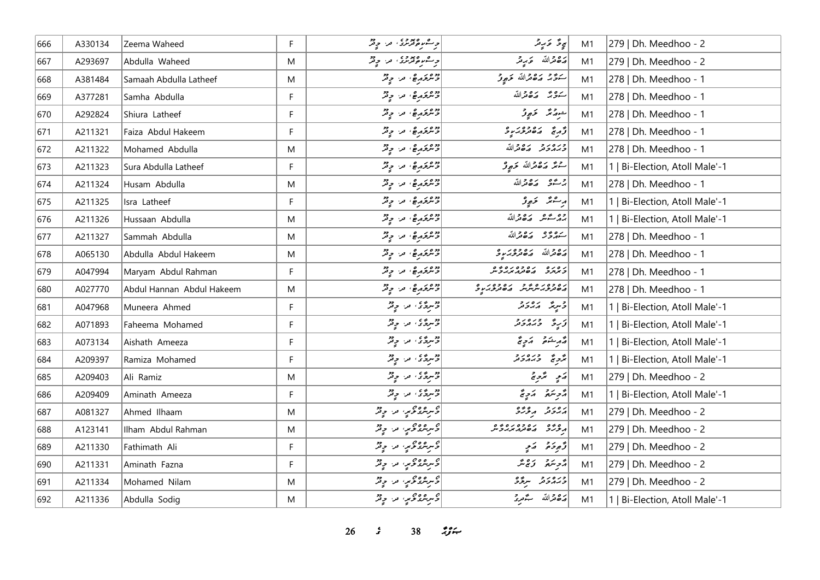| 666 | A330134 | Zeema Waheed              | F | و مشروفرمری، مر، و فر            | ى ئەڭ ئۇيرىتى                                               | M1 | 279   Dh. Meedhoo - 2          |
|-----|---------|---------------------------|---|----------------------------------|-------------------------------------------------------------|----|--------------------------------|
| 667 | A293697 | Abdulla Waheed            | M |                                  | ه قوالله عربه                                               | M1 | 279   Dh. Meedhoo - 2          |
| 668 | A381484 | Samaah Abdulla Latheef    | M | ووه در ه و.<br> وسربر مع، من ومر | حذر ره قرالله ځېږم                                          | M1 | 278   Dh. Meedhoo - 1          |
| 669 | A377281 | Samha Abdulla             | F | وحمر معرض من وفر                 | حوية وكافرالله                                              | M1 | 278   Dh. Meedhoo - 1          |
| 670 | A292824 | Shiura Latheef            | F | وحريج من وفر                     | شوړ تگه تکه و کړ                                            | M1 | 278   Dh. Meedhoo - 1          |
| 671 | A211321 | Faiza Abdul Hakeem        | F | وحمد المستحمد على المحمد المحمد  | وٌ دِمَ دە دەرىرو                                           | M1 | 278   Dh. Meedhoo - 1          |
| 672 | A211322 | Mohamed Abdulla           | M | ویروگری، من دیگر                 | وره رو ده دالله                                             | M1 | 278   Dh. Meedhoo - 1          |
| 673 | A211323 | Sura Abdulla Latheef      | F | وهريخ مريح، من حيثر              | <u>ح</u> معٌ رَصْحَراللَّهُ حَ <sub>جُو</sub> ثُرَ          | M1 | 1   Bi-Election, Atoll Male'-1 |
| 674 | A211324 | Husam Abdulla             | M | وحرىج من ج قر                    | جرعي مكافرالله                                              | M1 | 278   Dh. Meedhoo - 1          |
| 675 | A211325 | Isra Latheef              | F | ويرتز مع من حيد                  | ىرىشتى ئۇچۇ                                                 | M1 | 1   Bi-Election, Atoll Male'-1 |
| 676 | A211326 | Hussaan Abdulla           | M | وحمد المستحمد على المحمد المحمد  | جو محمد رَصْعَراللّه                                        | M1 | 1   Bi-Election, Atoll Male'-1 |
| 677 | A211327 | Sammah Abdulla            | M | ويرتجر مع، من حيثر               | ية وقرق مَدَّة اللَّه                                       | M1 | 278   Dh. Meedhoo - 1          |
| 678 | A065130 | Abdulla Abdul Hakeem      | M | وهريج معه من حيثر                | رە داللە ھەمرىر دە                                          | M1 | 278   Dh. Meedhoo - 1          |
| 679 | A047994 | Maryam Abdul Rahman       | F | وحريرة من وقر                    | ג סגם גם בסגם בם.<br>כאתב גם בתומאה בית                     | M1 | 278   Dh. Meedhoo - 1          |
| 680 | A027770 | Abdul Hannan Abdul Hakeem | M | وهريخ مريح، من حيثر              | ره وه ره پر ده ده در په وه در ده<br>مصر در سرس در مصر در در | M1 | 278   Dh. Meedhoo - 1          |
| 681 | A047968 | Muneera Ahmed             | F | دوسری، من ج قر                   | د سرپر مرد در د                                             | M1 | 1   Bi-Election, Atoll Male'-1 |
| 682 | A071893 | Faheema Mohamed           | F | وحرى من ج                        | تزييرة وبره برو                                             | M1 | 1   Bi-Election, Atoll Male'-1 |
| 683 | A073134 | Aishath Ameeza            | F | وسرځ ته په د چوړ                 | ويرجنق وتريح                                                | M1 | 1   Bi-Election, Atoll Male'-1 |
| 684 | A209397 | Ramiza Mohamed            | F | وحريح ي من ج فر                  | ترویج ویرورو                                                | M1 | 1   Bi-Election, Atoll Male'-1 |
| 685 | A209403 | Ali Ramiz                 | M | وحسرة محمد المحمد المحمد المحمد  | ړې پر دی                                                    | M1 | 279   Dh. Meedhoo - 2          |
| 686 | A209409 | Aminath Ameeza            | F | دوسردی من دید                    | أزوبترة أروبج                                               | M1 | 1   Bi-Election, Atoll Male'-1 |
| 687 | A081327 | Ahmed Ilhaam              | M | وسرهرو نحرس الله المحفظة         | برەر د مورد                                                 | M1 | 279   Dh. Meedhoo - 2          |
| 688 | A123141 | Ilham Abdul Rahman        | M | وګربنډکويږ، مرا د پخه            |                                                             | M1 | 279   Dh. Meedhoo - 2          |
| 689 | A211330 | Fathimath Ali             | F | د سره د د په د په د              | و څو خو په کړې                                              | M1 | 279   Dh. Meedhoo - 2          |
| 690 | A211331 | Aminath Fazna             | F | د سره د د د په د په د            | دقسر وتار                                                   | M1 | 279   Dh. Meedhoo - 2          |
| 691 | A211334 | Mohamed Nilam             | M | وسرهوی په دیگر                   | ورەر دىرى                                                   | M1 | 279   Dh. Meedhoo - 2          |
| 692 | A211336 | Abdulla Sodig             | M | د سر مرد د د مرد د مردم د        | ح قوالله گورد                                               | M1 | 1   Bi-Election, Atoll Male'-1 |

*s* 38 *ij***<sub>x</sub>**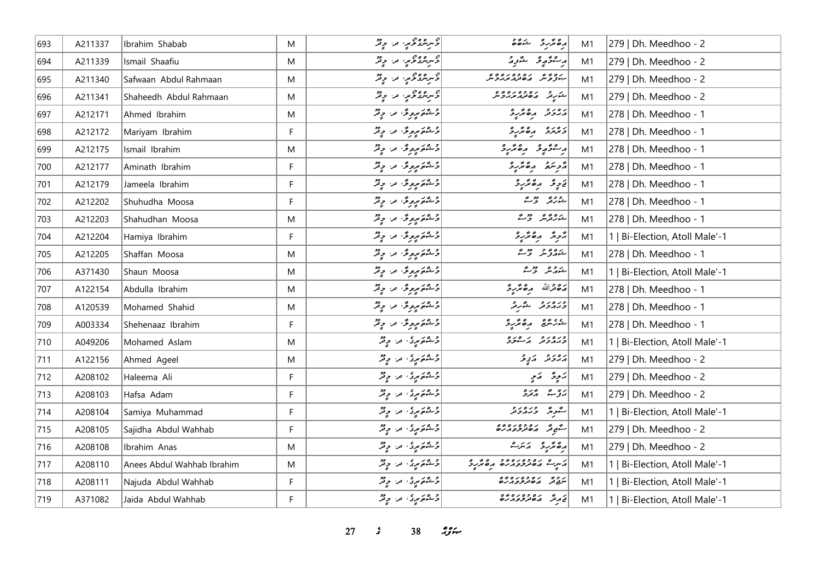| 693 | A211337 | Ibrahim Shabab             | M | د سر سر د د د په د                                                                                                                                                                                                                                | $rac{2}{60}$                                  | M1 | 279   Dh. Meedhoo - 2          |
|-----|---------|----------------------------|---|---------------------------------------------------------------------------------------------------------------------------------------------------------------------------------------------------------------------------------------------------|-----------------------------------------------|----|--------------------------------|
| 694 | A211339 | Ismail Shaafiu             | M | د سرهرو د سر د مرد مرد د مردم د                                                                                                                                                                                                                   | ر مۇرچى ئىزر                                  | M1 | 279   Dh. Meedhoo - 2          |
| 695 | A211340 | Safwaan Abdul Rahmaan      | M | دسر مرورم س دیگر<br>  دسر مرورم س دیگر                                                                                                                                                                                                            |                                               | M1 | 279   Dh. Meedhoo - 2          |
| 696 | A211341 | Shaheedh Abdul Rahmaan     | M | وسر شروعي، من وقر                                                                                                                                                                                                                                 | در در دوره ده م                               | M1 | 279   Dh. Meedhoo - 2          |
| 697 | A212171 | Ahmed Ibrahim              | M | $\left  \begin{array}{cc} \mathcal{E}_{\mathcal{E}} & \mathcal{E}_{\mathcal{E}} & \mathcal{E}_{\mathcal{E}} \ \mathcal{E}_{\mathcal{E}} & \mathcal{E}_{\mathcal{E}} & \mathcal{E}_{\mathcal{E}} \end{array} \right $                              | رور در مقبره                                  | M1 | 278   Dh. Meedhoo - 1          |
| 698 | A212172 | Mariyam Ibrahim            | F | $\left  \begin{array}{cc} \mathcal{E}_{\mathcal{E}} & \mathcal{E}_{\mathcal{E}} & \mathcal{E}_{\mathcal{E}} \ \mathcal{E}_{\mathcal{E}} & \mathcal{E}_{\mathcal{E}} & \mathcal{E}_{\mathcal{E}} \end{array} \right $                              | د وره د ه ټربرو                               | M1 | 278   Dh. Meedhoo - 1          |
| 699 | A212175 | Ismail Ibrahim             | M |                                                                                                                                                                                                                                                   | وحوثو وقترة                                   | M1 | 278   Dh. Meedhoo - 1          |
| 700 | A212177 | Aminath Ibrahim            | F |                                                                                                                                                                                                                                                   | أأتربتهم وهقريرة                              | M1 | 278   Dh. Meedhoo - 1          |
| 701 | A212179 | Jameela Ibrahim            | F | $\left  \begin{array}{cc} \mathcal{E}_{\mathcal{E}} & \mathcal{E}_{\mathcal{E}} & \mathcal{E}_{\mathcal{E}} \ \mathcal{E}_{\mathcal{E}} & \mathcal{E}_{\mathcal{E}} & \mathcal{E}_{\mathcal{E}} \end{array} \right $                              | قاحٍ قُرِ مِنْ مِنْ مِنْ مِنْ حِ              | M1 | 278   Dh. Meedhoo - 1          |
| 702 | A212202 | Shuhudha Moosa             | F | دعموم مرورم" من ج                                                                                                                                                                                                                                 | ے دی اور م                                    | M1 | 278   Dh. Meedhoo - 1          |
| 703 | A212203 | Shahudhan Moosa            | M | د عمومورس من ويژ                                                                                                                                                                                                                                  | ے وقائع کر جاتے                               | M1 | 278   Dh. Meedhoo - 1          |
| 704 | A212204 | Hamiya Ibrahim             | F | وَجْهُوَمِرِهِ قُرْ الرَّقْرُ                                                                                                                                                                                                                     | أبحرش مرەبرىرد                                | M1 | 1   Bi-Election, Atoll Male'-1 |
| 705 | A212205 | Shaffan Moosa              | M | ویم پروگرا اور دولر                                                                                                                                                                                                                               | شەرۇش جەمش                                    | M1 | 278   Dh. Meedhoo - 1          |
| 706 | A371430 | Shaun Moosa                | M | $\left  \begin{array}{cc} \mathcal{E}_{\mathcal{E}} & \mathcal{E}_{\mathcal{E}} & \mathcal{E}_{\mathcal{E}} \ \mathcal{E}_{\mathcal{E}} & \mathcal{E}_{\mathcal{E}} & \mathcal{E}_{\mathcal{E}} \end{array} \right $                              | شەر ھەر جۇڭ                                   | M1 | 1   Bi-Election, Atoll Male'-1 |
| 707 | A122154 | Abdulla Ibrahim            | M | $\left  \begin{array}{cc} \mathcal{E}_{\mathcal{E}} & \mathcal{E}_{\mathcal{E}} & \mathcal{E}_{\mathcal{E}} \ \mathcal{E}_{\mathcal{E}} & \mathcal{E}_{\mathcal{E}} & \mathcal{E}_{\mathcal{E}} \end{array} \right $                              | أصفعدالله مصمرية                              | M1 | 278   Dh. Meedhoo - 1          |
| 708 | A120539 | Mohamed Shahid             | M | <br> وشمور مروس" من ومر                                                                                                                                                                                                                           | وره رو د مشرقه<br>  وبرو وتر مشرقه            | M1 | 278   Dh. Meedhoo - 1          |
| 709 | A003334 | Shehenaaz Ibrahim          | F | وَحْمَوَمِرِهِ فَىٰ اللَّهِ فَيْرٌ                                                                                                                                                                                                                | ي ده ده کرد                                   | M1 | 278   Dh. Meedhoo - 1          |
| 710 | A049206 | Mohamed Aslam              | M | د ۱۳۵۵ مړي او د او د د                                                                                                                                                                                                                            | ورەرو بەرەرە                                  | M1 | 1   Bi-Election, Atoll Male'-1 |
| 711 | A122156 | Ahmed Ageel                | M | د ۱۳۵۵ مړي او د او د د                                                                                                                                                                                                                            | پروژو پرتوڅر                                  | M1 | 279   Dh. Meedhoo - 2          |
| 712 | A208102 | Haleema Ali                | F | د ۱۳۵۵ مر <sub>ی</sub> که در موفر                                                                                                                                                                                                                 | يز پڙه کي پر                                  | M1 | 279   Dh. Meedhoo - 2          |
| 713 | A208103 | Hafsa Adam                 | F | و هم پری من وقتر                                                                                                                                                                                                                                  | بروبة مقرو                                    | M1 | 279   Dh. Meedhoo - 2          |
| 714 | A208104 | Samiya Muhammad            | F | د ۱۳۵۵ مړي له د مرکز                                                                                                                                                                                                                              | سگویژ وره دو                                  | M1 | 1   Bi-Election, Atoll Male'-1 |
| 715 | A208105 | Sajidha Abdul Wahhab       | F | د ۱۳۵۵ مړي او د او د د                                                                                                                                                                                                                            | شيء ده ده ده ده                               | M1 | 279   Dh. Meedhoo - 2          |
| 716 | A208108 | Ibrahim Anas               | M | $\left  \begin{array}{cc} \mathcal{E}_{\mathcal{E}} & \mathcal{E}_{\mathcal{E}} & \mathcal{E}_{\mathcal{E}} \\ \mathcal{E}_{\mathcal{E}} & \mathcal{E}_{\mathcal{E}} & \mathcal{E}_{\mathcal{E}} & \mathcal{E}_{\mathcal{E}} \end{array} \right $ | رە ئرىر ئىكرى                                 | M1 | 279   Dh. Meedhoo - 2          |
| 717 | A208110 | Anees Abdul Wahhab Ibrahim | M | وشه کم پری اور اولاد                                                                                                                                                                                                                              | پرس می ده ده ده ده ده مربود                   | M1 | 1   Bi-Election, Atoll Male'-1 |
| 718 | A208111 | Najuda Abdul Wahhab        | F | $\begin{bmatrix} 2 & 0 & 0 \\ 0 & 0 & 0 \\ 0 & 0 & 0 \end{bmatrix}$                                                                                                                                                                               | ر و په ده وه ره وه<br>سرچ تر په ه تر ژو پر ره | M1 | 1   Bi-Election, Atoll Male'-1 |
| 719 | A371082 | Jaida Abdul Wahhab         | F | $\left  \begin{array}{cc} c_1 & c_2 \\ c_2 & c_3 \end{array} \right $                                                                                                                                                                             | أيم مره وه ره وه وه                           | M1 | 1   Bi-Election, Atoll Male'-1 |

**27** *s* 38 *<i>n*<sub>3</sub> *n***<sub>1</sub>**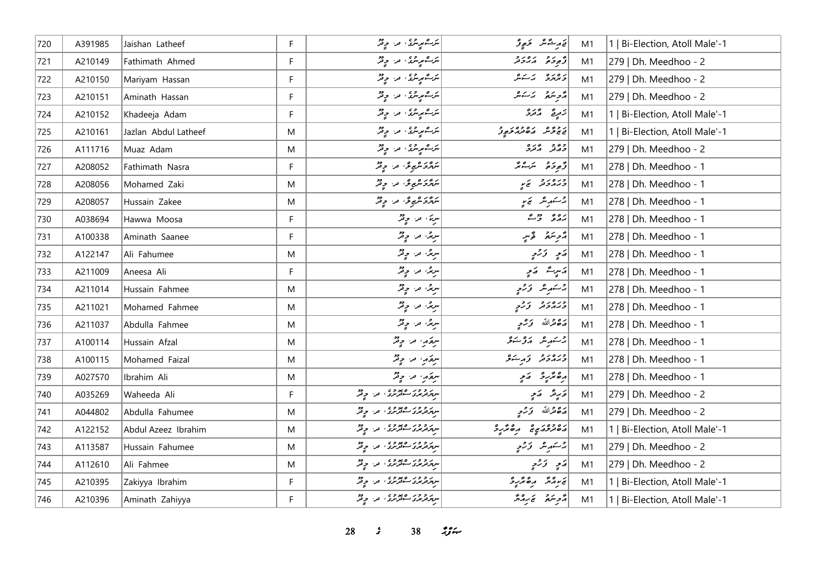| 720 | A391985 | Jaishan Latheef      | F.        |                                                                                                                                                                   | قەرىشىش خېرىۋ           | M1 | 1   Bi-Election, Atoll Male'-1 |
|-----|---------|----------------------|-----------|-------------------------------------------------------------------------------------------------------------------------------------------------------------------|-------------------------|----|--------------------------------|
| 721 | A210149 | Fathimath Ahmed      | F         | $\left  \begin{array}{cc} \mathbf{r} & \mathbf{r} & \mathbf{r} \ \mathbf{r} & \mathbf{r} & \mathbf{r} \ \mathbf{r} & \mathbf{r} & \mathbf{r} \end{array} \right $ | د پره پره پرو           | M1 | 279   Dh. Meedhoo - 2          |
| 722 | A210150 | Mariyam Hassan       | F         | مَرَسْمَ مِرْسِرٌ ، مَنْ حِرْمٌرٌ                                                                                                                                 | د مره بر سکر            | M1 | 279   Dh. Meedhoo - 2          |
| 723 | A210151 | Aminath Hassan       | F         | مرک مریزی اور او پر                                                                                                                                               | دوسَع برَسَسٌ           | M1 | 279   Dh. Meedhoo - 2          |
| 724 | A210152 | Khadeeja Adam        | F.        | مَرَسْمَ مِرْمَدٌ، مَن حِرْمٌرٌ                                                                                                                                   | زَمِرِيحَ    دُمَرَدُ   | M1 | 1   Bi-Election, Atoll Male'-1 |
| 725 | A210161 | Jazlan Abdul Latheef | M         | مرک مریزی اور او فر                                                                                                                                               | د وي مره وه د و         | M1 | 1   Bi-Election, Atoll Male'-1 |
| 726 | A111716 | Muaz Adam            | M         | مَرَكْمَ مِرْمَرْدَ ) مَنْ حَرِيْرٌ                                                                                                                               | و د وره<br>د مگر مگرد   | M1 | 279   Dh. Meedhoo - 2          |
| 727 | A208052 | Fathimath Nasra      | F         | شرگز کریمو گرد دیگر                                                                                                                                               | رُّمِودَة سَرَ- رُ      | M1 | 278   Dh. Meedhoo - 1          |
| 728 | A208056 | Mohamed Zaki         | M         | شرگز کریمو گرد دیگر                                                                                                                                               | ورەروبى                 | M1 | 278   Dh. Meedhoo - 1          |
| 729 | A208057 | Hussain Zakee        | M         | شرگز کریمو گرد دیگر                                                                                                                                               | چرسٹىرىش ئىمىر          | M1 | 278   Dh. Meedhoo - 1          |
| 730 | A038694 | Hawwa Moosa          | F.        | سریم، حر، حرقته                                                                                                                                                   | پره په پېښته            | M1 | 278   Dh. Meedhoo - 1          |
| 731 | A100338 | Aminath Saanee       | F         | سرچر، مر، حرقتر                                                                                                                                                   | أأزجر سنتعجز فأوسي      | M1 | 278   Dh. Meedhoo - 1          |
| 732 | A122147 | Ali Fahumee          | M         | سرچر، مر، حرقتر                                                                                                                                                   | ړې زرې                  | M1 | 278   Dh. Meedhoo - 1          |
| 733 | A211009 | Aneesa Ali           | F         | سرچر، مر، حرقتر                                                                                                                                                   | پرسرے پرمج              | M1 | 278   Dh. Meedhoo - 1          |
| 734 | A211014 | Hussain Fahmee       | M         | سرچي مرا چوټش                                                                                                                                                     | پرستهر شر ترژحي         | M1 | 278   Dh. Meedhoo - 1          |
| 735 | A211021 | Mohamed Fahmee       | M         | سرچر، مر، حرقته                                                                                                                                                   | ورەر د ترز <sub>ى</sub> | M1 | 278   Dh. Meedhoo - 1          |
| 736 | A211037 | Abdulla Fahmee       | M         | سرچر، مر، حرقتر                                                                                                                                                   | پرې تر الله نورمړ       | M1 | 278   Dh. Meedhoo - 1          |
| 737 | A100114 | Hussain Afzal        | M         | سرعد الله الله من المحيض                                                                                                                                          | چەسىر سىر ئەركىتى       | M1 | 278   Dh. Meedhoo - 1          |
| 738 | A100115 | Mohamed Faizal       | M         | سرعكر، من حيثر                                                                                                                                                    | ورەرو زېرىنى            | M1 | 278   Dh. Meedhoo - 1          |
| 739 | A027570 | Ibrahim Ali          | M         | سرعاريا المراج فير                                                                                                                                                | د ۱۳۵ ق.م.م.            | M1 | 278   Dh. Meedhoo - 1          |
| 740 | A035269 | Waheeda Ali          | F         | بر و و ر ۱۶۵ وي.<br>سرگرمري سوتربري او او توگر                                                                                                                    | وَرِيْدَ - رَمِي        | M1 | 279   Dh. Meedhoo - 2          |
| 741 | A044802 | Abdulla Fahumee      | M         | بر و و ر ۵ په و د .<br>سرد تریزی سوترنزی . تر . چ تر                                                                                                              | پرځ قرالله تر تر په     | M1 | 279   Dh. Meedhoo - 2          |
| 742 | A122152 | Abdul Azeez Ibrahim  | M         | بر و ور ۶۵ وه و به دو.                                                                                                                                            | دەدەرىپى مەھكرد         | M1 | 1   Bi-Election, Atoll Male'-1 |
| 743 | A113587 | Hussain Fahumee      | ${\sf M}$ | د د و د ه د و ،<br>سرد د برو سود برو . د ا و د                                                                                                                    | پرستهر شرکت تورخ په     | M1 | 279   Dh. Meedhoo - 2          |
| 744 | A112610 | Ali Fahmee           | M         | ر و ور ه پووه<br>سرفربری سه فرمری افزار فر                                                                                                                        | ړی ترژی                 | M1 | 279   Dh. Meedhoo - 2          |
| 745 | A210395 | Zakiyya Ibrahim      | F         | بر و و ر ه په و په د سر و د و تر<br>سرپرتر پرې سوتر نړۍ او د او تر                                                                                                | كالمروش وكالحريرة       | M1 | 1   Bi-Election, Atoll Male'-1 |
| 746 | A210396 | Aminath Zahiyya      | F.        | ر و و ر ه مو و م<br>سرد تریزی سوتر تری می افراد                                                                                                                   | أروبتم تمريم            | M1 | 1   Bi-Election, Atoll Male'-1 |

**28** *s* **38** *n***<sub>3</sub>** *n*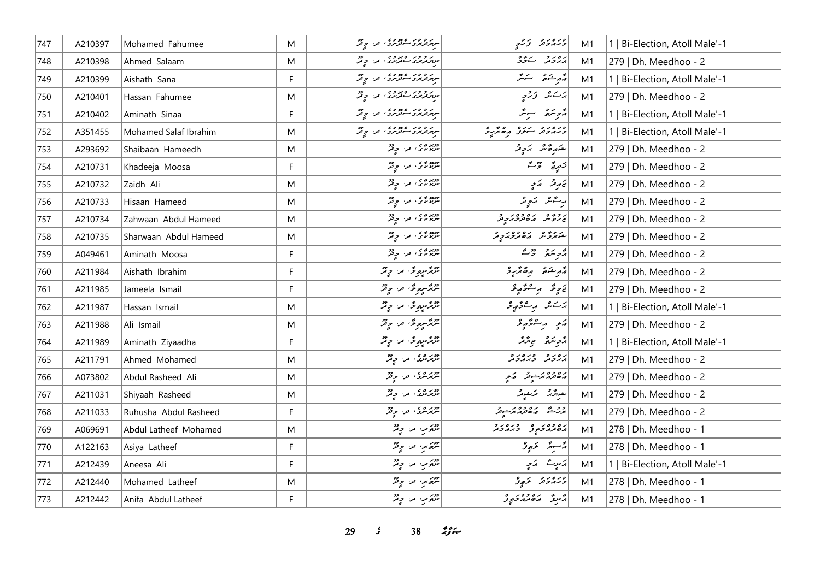| 747 | A210397 | Mohamed Fahumee       | M  | سرو و در صوبری اور اور                                         | ورەرو ژروپ                                    | M1 | 1   Bi-Election, Atoll Male'-1 |
|-----|---------|-----------------------|----|----------------------------------------------------------------|-----------------------------------------------|----|--------------------------------|
| 748 | A210398 | Ahmed Salaam          | M  | ر و و ر ۵ په و د .<br>سربرتربری سوترنزی ، تر . چ تر            | دەرو سەۋە                                     | M1 | 279   Dh. Meedhoo - 2          |
| 749 | A210399 | Aishath Sana          | F. | سر و و ر ۱۶ و و د<br>سرد ترمری سوتر ری افزار می توفر           | أقدم شمش سنعش                                 | M1 | 1   Bi-Election, Atoll Male'-1 |
| 750 | A210401 | Hassan Fahumee        | M  | پر و و ر ۱۶۵ و ،<br>  پیرترپری ساتربری ، تر ، چ <sup>و</sup> ر | پرستانئر - تورجي                              | M1 | 279   Dh. Meedhoo - 2          |
| 751 | A210402 | Aminath Sinaa         | F  | پروژر ۶۶ وي.<br>  پروژنرۍ سافرنزۍ او او فر                     | رژح سویٹر                                     | M1 | 1   Bi-Election, Atoll Male'-1 |
| 752 | A351455 | Mohamed Salaf Ibrahim | M  | د د و د ر ه پرو د .<br>  سرگرفترین سوتر برد . او د . د چند     | دره در دره ره پرو                             | M1 | 1   Bi-Election, Atoll Male'-1 |
| 753 | A293692 | Shaibaan Hameedh      | M  | دوبره ی من وفر                                                 | شهرەً شەر ئەر تە                              | M1 | 279   Dh. Meedhoo - 2          |
| 754 | A210731 | Khadeeja Moosa        | F  | ככמי שני קיב                                                   | زَمِرِةٌ رُّرْتٌ                              | M1 | 279   Dh. Meedhoo - 2          |
| 755 | A210732 | Zaidh Ali             | M  | دومودی من وقر                                                  | تی مرمو په مرمو                               | M1 | 279   Dh. Meedhoo - 2          |
| 756 | A210733 | Hisaan Hameed         | M  | מאבי זי קיל                                                    | برسمائل الكابياتي                             | M1 | 279   Dh. Meedhoo - 2          |
| 757 | A210734 | Zahwaan Abdul Hameed  | M  | دويده د په دور<br>  سربر بر د په د چگر                         | د و و م د ه و و د د و                         | M1 | 279   Dh. Meedhoo - 2          |
| 758 | A210735 | Sharwaan Abdul Hameed | M  | מאבי זה הר<br>  יי <i>נא יו</i> צ' נקי קינק                    | د دوه د ده ده د د<br>شمروش مان در د           | M1 | 279   Dh. Meedhoo - 2          |
| 759 | A049461 | Aminath Moosa         | F. | במיני מי פית                                                   | د پر پر دیگر                                  | M1 | 279   Dh. Meedhoo - 2          |
| 760 | A211984 | Aishath Ibrahim       | F  | شرنگرسره و ته در موقد                                          | أقرم فقوم وهقرو                               | M1 | 279   Dh. Meedhoo - 2          |
| 761 | A211985 | Jameela Ismail        | F. | شرنگرسر پر پر پر پر پر پر ان                                   | ئەچ ئەرسىتى ئەچ                               | M1 | 279   Dh. Meedhoo - 2          |
| 762 | A211987 | Hassan Ismail         | M  | شرنگرسره یک در موفتر                                           | يَاسَسْ مِنْ مِنْ تَقْرِيبُو                  | M1 | 1   Bi-Election, Atoll Male'-1 |
| 763 | A211988 | Ali Ismail            | M  | شرمگسرمونژ، مرا چ <sup>و</sup> ر                               | ړی پر شو په د                                 | M1 | 279   Dh. Meedhoo - 2          |
| 764 | A211989 | Aminath Ziyaadha      | F. | شرنگسره یک مرا چیل                                             | تەجەنىدۇ سى ترىتر                             | M1 | 1   Bi-Election, Atoll Male'-1 |
| 765 | A211791 | Ahmed Mohamed         | M  | دوبره ی و در دولتر                                             | גפני כנסני                                    | M1 | 279   Dh. Meedhoo - 2          |
| 766 | A073802 | Abdul Rasheed Ali     | M  | دوره ، در وقر                                                  | دەۋە ئەسىرى كەي                               | M1 | 279   Dh. Meedhoo - 2          |
| 767 | A211031 | Shiyaah Rasheed       | M  | دوره در ود                                                     | شورگرج محرشوقر                                | M1 | 279   Dh. Meedhoo - 2          |
| 768 | A211033 | Ruhusha Abdul Rasheed | F  | دوره ده در ایروز                                               | و و دی ده وه د سوتر<br>در شکس مان تورد مرشوتر | M1 | 279   Dh. Meedhoo - 2          |
| 769 | A069691 | Abdul Latheef Mohamed | M  | مردم من وفر                                                    | د ۵ د ۵ د ۶ د ۲ د ۶ د و                       | M1 | 278   Dh. Meedhoo - 1          |
| 770 | A122163 | Asiya Latheef         | F  | شهرس من جينر                                                   | دُ سِيرٌ ۔ حَيِيوْ                            | M1 | 278   Dh. Meedhoo - 1          |
| 771 | A212439 | Aneesa Ali            | F. | شھرین من جي تھ                                                 | ړېږے پړې                                      | M1 | 1   Bi-Election, Atoll Male'-1 |
| 772 | A212440 | Mohamed Latheef       | M  | شهر سر وقر                                                     | ورەرو ئەرە                                    | M1 | 278   Dh. Meedhoo - 1          |
| 773 | A212442 | Anifa Abdul Latheef   | F. | شهر سر وقر                                                     | مسردٌ مقدم معروضٍ                             | M1 | 278   Dh. Meedhoo - 1          |

**29** *s* 38 *ij***<sub>x</sub>**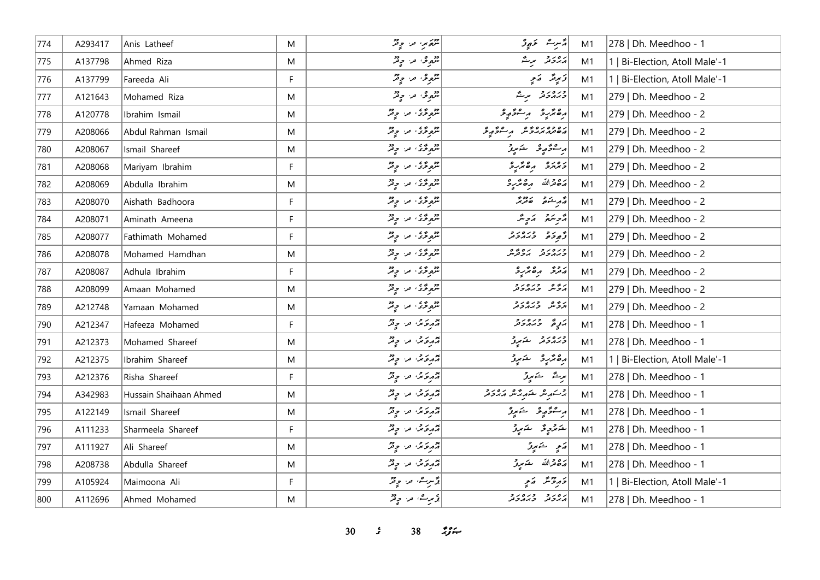| 774 | A293417 | Anis Latheef           | M            | ترکوبر، مرا چ <sup>و</sup> ر          | پرسرے کی تحریفی                                | M1 | 278   Dh. Meedhoo - 1          |
|-----|---------|------------------------|--------------|---------------------------------------|------------------------------------------------|----|--------------------------------|
| 775 | A137798 | Ahmed Riza             | M            | مر <sub>م</sub> وم من ج <sup>ود</sup> | رەر تە بوت                                     | M1 | 1   Bi-Election, Atoll Male'-1 |
| 776 | A137799 | Fareeda Ali            | F            | شموعی من حقر                          | ۇ پر ئە كەيچ                                   | M1 | 1   Bi-Election, Atoll Male'-1 |
| 777 | A121643 | Mohamed Riza           | M            | شموعی مراحٍ قرّ                       | ورورو پرگ                                      | M1 | 279   Dh. Meedhoo - 2          |
| 778 | A120778 | Ibrahim Ismail         | M            | مروغی، من وقر                         | أرەندىر ئەر ئەۋربۇ                             | M1 | 279   Dh. Meedhoo - 2          |
| 779 | A208066 | Abdul Rahman Ismail    | M            | مروغ، من وقر                          | رە دەرە دە ھەرە ئور                            | M1 | 279   Dh. Meedhoo - 2          |
| 780 | A208067 | Ismail Shareef         | M            | شموځۍ من چ <sup>و</sup> ر             | پرسەۋەر ئەسىمىتى ئى                            | M1 | 279   Dh. Meedhoo - 2          |
| 781 | A208068 | Mariyam Ibrahim        | $\mathsf{F}$ | مروغی، من وقر                         | ومهرد مقتررة                                   | M1 | 279   Dh. Meedhoo - 2          |
| 782 | A208069 | Abdulla Ibrahim        | M            | شروع، من ج <sup>و</sup> ر             | لَّهُ صَدَّاللَّهُ مِنصَمَّرِ وَ               | M1 | 279   Dh. Meedhoo - 2          |
| 783 | A208070 | Aishath Badhoora       | F            | شموځۍ مرح وتر                         | د در دور<br>  د د شوه ه توبر                   | M1 | 279   Dh. Meedhoo - 2          |
| 784 | A208071 | Aminath Ameena         | F            | شرورځی، مر، چ <sup>ور</sup>           | مزهر مراه مراه مراه مراه مراه                  | M1 | 279   Dh. Meedhoo - 2          |
| 785 | A208077 | Fathimath Mohamed      | F            | مروغۍ من چ <sup>و</sup> ر             | أو رو ورەرو                                    | M1 | 279   Dh. Meedhoo - 2          |
| 786 | A208078 | Mohamed Hamdhan        | M            | شرع تریم من جرفتر                     | ورەرو رەپرە<br>جەمەدىر بەۋىرس                  | M1 | 279   Dh. Meedhoo - 2          |
| 787 | A208087 | Adhula Ibrahim         | F            | شموځۍ مرح وتر                         | روی ره ټرېږی                                   | M1 | 279   Dh. Meedhoo - 2          |
| 788 | A208099 | Amaan Mohamed          | M            | شروعی، مر، چ <sup>و</sup> ر           | أروه وره رو                                    | M1 | 279   Dh. Meedhoo - 2          |
| 789 | A212748 | Yamaan Mohamed         | M            | شموځۍ مرح وتر                         | נים בנסנב                                      | M1 | 279   Dh. Meedhoo - 2          |
| 790 | A212347 | Hafeeza Mohamed        | F            | په موسی مراح محمد                     | رَ پِیْ دِرور د                                | M1 | 278   Dh. Meedhoo - 1          |
| 791 | A212373 | Mohamed Shareef        | M            | په وکړي او د د د په                   | ورەرو شەرو                                     | M1 | 278   Dh. Meedhoo - 1          |
| 792 | A212375 | Ibrahim Shareef        | M            | په وکړي او د د د په                   | رەپرىرو شېرز                                   | M1 | 1   Bi-Election, Atoll Male'-1 |
| 793 | A212376 | Risha Shareef          | $\mathsf F$  | أثار وكان من حرفته                    | أُمْرِيشٌ الشَّامِرِيُّ                        | M1 | 278   Dh. Meedhoo - 1          |
| 794 | A342983 | Hussain Shaihaan Ahmed | M            | مروغه من وقر                          | پر سَمرِ هُر مِرْ هُمْ مَدَه رَ مِر مِر وَ مَد | M1 | 278   Dh. Meedhoo - 1          |
| 795 | A122149 | Ismail Shareef         | M            | أثار حكم من حي قر                     | برسىۋېر ئىستېرقى                               | M1 | 278   Dh. Meedhoo - 1          |
| 796 | A111233 | Sharmeela Shareef      | F            | په وکړي او د وقر                      | شەنزەپ ئى شەنبور                               | M1 | 278   Dh. Meedhoo - 1          |
| 797 | A111927 | Ali Shareef            | M            | په وکړي او د او فر                    | رَمِ شَمِرِرْ                                  | M1 | 278   Dh. Meedhoo - 1          |
| 798 | A208738 | Abdulla Shareef        | M            | په وکړي او د او فر                    | پره ترالله څومړنر                              | M1 | 278   Dh. Meedhoo - 1          |
| 799 | A105924 | Maimoona Ali           | F            | وَسِرِے، مار چِنْزُ                   | دَرِدْشَ ړَیْ                                  | M1 | 1   Bi-Election, Atoll Male'-1 |
| 800 | A112696 | Ahmed Mohamed          | M            | پی سرے، اور اور پی                    | גפני כנסני                                     | M1 | 278   Dh. Meedhoo - 1          |

**30** *s* **38** *n***<sub>s</sub> <b>***n*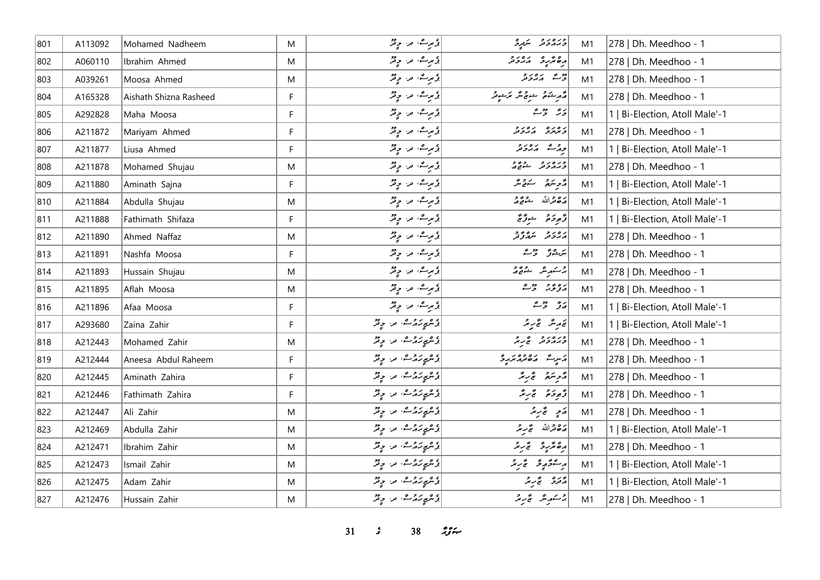| 801 | A113092 | Mohamed Nadheem        | M  | ویرے، مراح قر                           | ورەرو شەرە                                                      | M1 | 278   Dh. Meedhoo - 1          |
|-----|---------|------------------------|----|-----------------------------------------|-----------------------------------------------------------------|----|--------------------------------|
| 802 | A060110 | Ibrahim Ahmed          | M  | درگ مرا وقر                             | مەھرىرى مەددىر                                                  | M1 | 278   Dh. Meedhoo - 1          |
| 803 | A039261 | Moosa Ahmed            | M  | د سره، مرا دور                          | دی پرور د                                                       | M1 | 278   Dh. Meedhoo - 1          |
| 804 | A165328 | Aishath Shizna Rasheed | F. | پی سرے، اور اور تقری                    | ا<br>در کشور شویم مگر مرکبونر<br>مر                             | M1 | 278   Dh. Meedhoo - 1          |
| 805 | A292828 | Maha Moosa             | F  | ڈیرے، مراحٍ قرّ                         | ىر ھەت                                                          | M1 | 1   Bi-Election, Atoll Male'-1 |
| 806 | A211872 | Mariyam Ahmed          | F  | د سره، مرا وقر                          | נסנס נסנד                                                       | M1 | 278   Dh. Meedhoo - 1          |
| 807 | A211877 | Liusa Ahmed            | F  | پی سے اور اور تھا<br>  پی سی سی اور تھا | جەرئە كەردىتى                                                   | M1 | 1   Bi-Election, Atoll Male'-1 |
| 808 | A211878 | Mohamed Shujau         | M  | أو برے، مرا وقر                         | وره رو د ووو<br><i>وبر دو</i> تر شوقے پر                        | M1 | 278   Dh. Meedhoo - 1          |
| 809 | A211880 | Aminath Sajna          | F. | پۇ بورىق مەر بەيتر                      | ترجه سنقریب                                                     | M1 | 1   Bi-Election, Atoll Male'-1 |
| 810 | A211884 | Abdulla Shujau         | M  | پۇسى مەر چەش                            | رە قراللە ھەقەر                                                 | M1 | 1   Bi-Election, Atoll Male'-1 |
| 811 | A211888 | Fathimath Shifaza      | F. | دُبرِے، مرحوِثرٌ                        | ژُهِ دَهُ شَرُرٌ مَحْ                                           | M1 | 1   Bi-Election, Atoll Male'-1 |
| 812 | A211890 | Ahmed Naffaz           | M  | د سره، مرا وقر                          | ره رو ده وو<br>مەر ئىسمى ئىر                                    | M1 | 278   Dh. Meedhoo - 1          |
| 813 | A211891 | Nashfa Moosa           | F  | ڈیرے، مراحٍ قرّ                         | لتركيش وحرائش                                                   | M1 | 278   Dh. Meedhoo - 1          |
| 814 | A211893 | Hussain Shujau         | M  | ڈیرے، مراح قر                           | جر سکھر سے مقبر جاتا ہے۔<br>مریکس سے مقبر کا مقبر کے مقبر اور ا | M1 | 278   Dh. Meedhoo - 1          |
| 815 | A211895 | Aflah Moosa            | M  | وَمِرِتْ، مَنْ وِقْرُ                   | رە دى تەر                                                       | M1 | 278   Dh. Meedhoo - 1          |
| 816 | A211896 | Afaa Moosa             | F. | أو مرث، من وقرّ                         | رو دون                                                          | M1 | 1   Bi-Election, Atoll Male'-1 |
| 817 | A293680 | Zaina Zahir            | F  | دېمېرىر تىگە ئىزا چەتر                  | ئەربىگە ئىچ سىرىگە                                              | M1 | 1   Bi-Election, Atoll Male'-1 |
| 818 | A212443 | Mohamed Zahir          | M  | دېمو پر تر شه او د تر د                 | ورورو ور                                                        | M1 | 278   Dh. Meedhoo - 1          |
| 819 | A212444 | Aneesa Abdul Raheem    | F. | پۇسىي ئەرمىق، مەر جەنئى                 | دست مەمدىرە                                                     | M1 | 278   Dh. Meedhoo - 1          |
| 820 | A212445 | Aminath Zahira         | F. | دېمې تر تر شه د د چند                   | أزويتم تمريز                                                    | M1 | 278   Dh. Meedhoo - 1          |
| 821 | A212446 | Fathimath Zahira       | F  | دېموړ ته ته د د چم                      | وَجوحَهُ بِمَ سِنَّرَ                                           | M1 | 278   Dh. Meedhoo - 1          |
| 822 | A212447 | Ali Zahir              | M  | دې عرمان سا د د کلي                     | رَمِي تَحْرِيرُ                                                 | M1 | 278   Dh. Meedhoo - 1          |
| 823 | A212469 | Abdulla Zahir          | M  | دېمو ترورے، مراح قر                     | لرة قرالله عج سِ سمّر                                           | M1 | 1   Bi-Election, Atoll Male'-1 |
| 824 | A212471 | Ibrahim Zahir          | M  | دېموېز مړينه تر ويز                     | أرەممەر ئەسمى                                                   | M1 | 278   Dh. Meedhoo - 1          |
| 825 | A212473 | Ismail Zahir           | M  | دېموېزېر شه ور د چونز                   | أره شو په په پنج ريز                                            | M1 | 1   Bi-Election, Atoll Male'-1 |
| 826 | A212475 | Adam Zahir             | M  | دېمو ترورے، مراح قر                     | پر پر پر پر                                                     | M1 | 1   Bi-Election, Atoll Male'-1 |
| 827 | A212476 | Hussain Zahir          | M  | ژیمپر تر ژیم اس چیز                     | يرسكريش الجرير                                                  | M1 | 278   Dh. Meedhoo - 1          |

*31 s* 38 *if*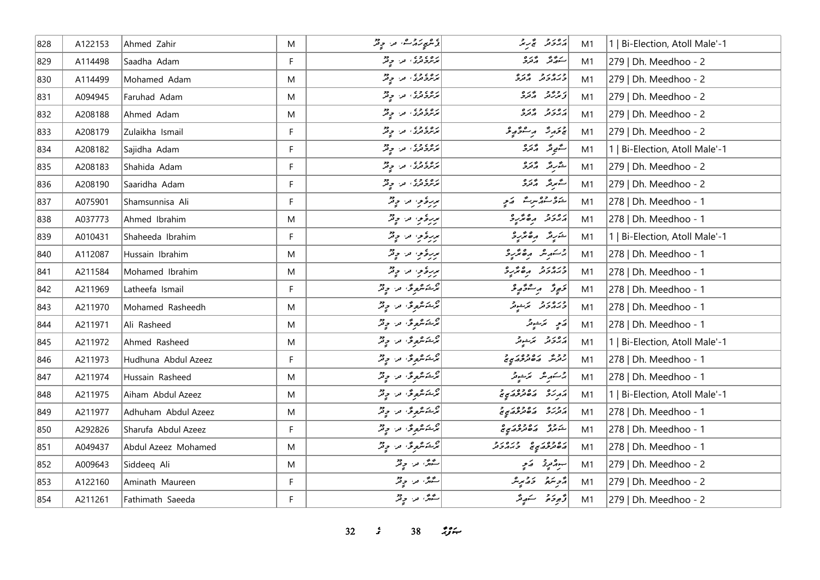| 828 | A122153 | Ahmed Zahir         | M           | دېموړ ښه ته د ديگر                   | أرور ويحرقه                                      | M1 | 1   Bi-Election, Atoll Male'-1 |
|-----|---------|---------------------|-------------|--------------------------------------|--------------------------------------------------|----|--------------------------------|
| 829 | A114498 | Saadha Adam         | $\mathsf F$ | ده د ده وه در در د                   | سەرگە ئەترە                                      | M1 | 279   Dh. Meedhoo - 2          |
| 830 | A114499 | Mohamed Adam        | M           | پره په دې<br>  پر پروترۍ تر د د د کل | ورەر د درە                                       | M1 | 279   Dh. Meedhoo - 2          |
| 831 | A094945 | Faruhad Adam        | M           | پره د ده ده په در کلی                | و و و و د و و                                    | M1 | 279   Dh. Meedhoo - 2          |
| 832 | A208188 | Ahmed Adam          | M           | ره ، و ،<br>  برنزوتری ، تر ، و تر   | برەر د پرە                                       | M1 | 279   Dh. Meedhoo - 2          |
| 833 | A208179 | Zulaikha Ismail     | $\mathsf F$ | پره د ده ده د در د                   | پرځيرنژ پرسفو پولو                               | M1 | 279   Dh. Meedhoo - 2          |
| 834 | A208182 | Sajidha Adam        | F           | پره د ده ده د چینل                   | ستمومتر مرتزرة                                   | M1 | 1   Bi-Election, Atoll Male'-1 |
| 835 | A208183 | Shahida Adam        | F           | پره د ده د د در د                    | شَرِيرٌ دُنروْ                                   | M1 | 279   Dh. Meedhoo - 2          |
| 836 | A208190 | Saaridha Adam       | F           | پر ۱۶۶۶ می در د                      | ستمبرتمر الزنزرة                                 | M1 | 279   Dh. Meedhoo - 2          |
| 837 | A075901 | Shamsunnisa Ali     | F           | بربرځوي مرا چ <sup>و</sup> ړ         | ده ده مرت که د                                   | M1 | 278   Dh. Meedhoo - 1          |
| 838 | A037773 | Ahmed Ibrahim       | M           | بربرهٔ موسر الله موقد                | رور و مره مرد                                    | M1 | 278   Dh. Meedhoo - 1          |
| 839 | A010431 | Shaheeda Ibrahim    | F           | بربرغرمب من حرقته                    | شَرِيرٌ رِهْ بَرْرِدْ                            | M1 | 1   Bi-Election, Atoll Male'-1 |
| 840 | A112087 | Hussain Ibrahim     | M           | بربرهٔ موسود و فر                    | جر شهر شرق مرده میگرید                           | M1 | 278   Dh. Meedhoo - 1          |
| 841 | A211584 | Mohamed Ibrahim     | M           | بربرځوي مرا چ <sup>و</sup> ړ         | ورەرو رەئرى                                      | M1 | 278   Dh. Meedhoo - 1          |
| 842 | A211969 | Latheefa Ismail     | F.          | م<br>ترځشون من <i>و</i> تر           | دَوِرٌ پر عدَّدٍ دُ                              | M1 | 278   Dh. Meedhoo - 1          |
| 843 | A211970 | Mohamed Rasheedh    | M           | پژڪسرچري س ڇاپڙ                      | ورەرو كەنبەتر                                    | M1 | 278   Dh. Meedhoo - 1          |
| 844 | A211971 | Ali Rasheed         | M           | پرځند پورې در او پر                  | رَمِي - مَرْشِيْتُرْ                             | M1 | 278   Dh. Meedhoo - 1          |
| 845 | A211972 | Ahmed Rasheed       | M           | پژڪري گري سن ۾ پي                    | پرورو - برخوش                                    | M1 | 1   Bi-Election, Atoll Male'-1 |
| 846 | A211973 | Hudhuna Abdul Azeez | F           | پژڪسرپوس په په په د                  | د ور مره ده د مر د م<br>  رندگر به محمد مرکزم مح | M1 | 278   Dh. Meedhoo - 1          |
| 847 | A211974 | Hussain Rasheed     | M           | پرڪسرپر ٿو. په په چ                  | 2سكىرىش ئىزىشونى                                 | M1 | 278   Dh. Meedhoo - 1          |
| 848 | A211975 | Aiham Abdul Azeez   | M           | ئۇڭگىرى تىر چ <sup>ە</sup> ر         | <br>  <i>مەررى مەمدىھەي</i>                      | M1 | 1   Bi-Election, Atoll Male'-1 |
| 849 | A211977 | Adhuham Abdul Azeez | M           | ئۇڭگىرى تىر چەر                      | ر وره ده وه در د                                 | M1 | 278   Dh. Meedhoo - 1          |
| 850 | A292826 | Sharufa Abdul Azeez | F           | پرځشمونځه مرا د په                   | دروو ده ده ده در ه                               | M1 | 278   Dh. Meedhoo - 1          |
| 851 | A049437 | Abdul Azeez Mohamed | M           | پرځنگريونکی، امراد او فر             | מפיכת מיט פיטריב                                 | M1 | 278   Dh. Meedhoo - 1          |
| 852 | A009643 | Siddeeq Ali         | M           | سگهرٌ، مر. وِيْرٌ                    | سور ديويج - رَمحي                                | M1 | 279   Dh. Meedhoo - 2          |
| 853 | A122160 | Aminath Maureen     | F           | ستهرش مراح وقر                       | دويندة - دومبيثر                                 | M1 | 279   Dh. Meedhoo - 2          |
| 854 | A211261 | Fathimath Saeeda    | F           | سگهڻ، سرا چينر                       | ژُهِ دَمَ شَهِيرٌ                                | M1 | 279   Dh. Meedhoo - 2          |

**32** *s* **38** *n***<sub>3</sub>***n***</sup>**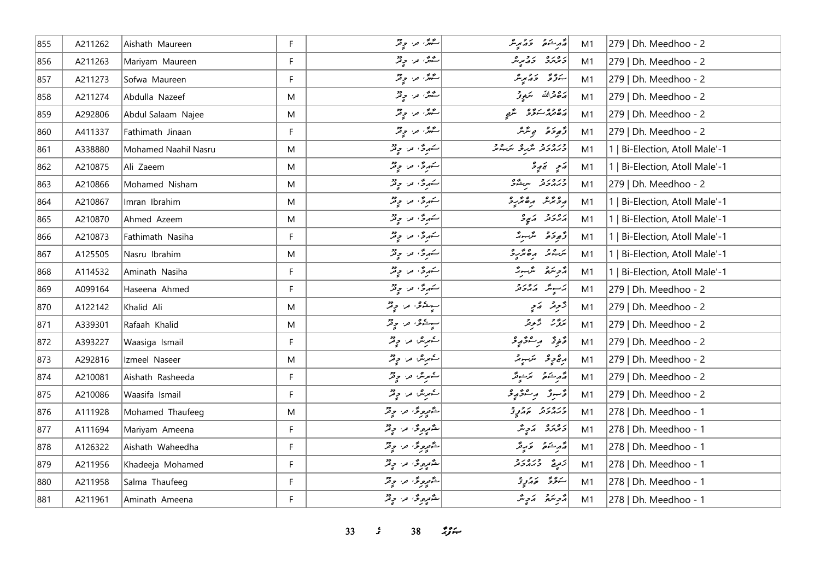| 855 | A211262 | Aishath Maureen      | F. | سگهرٌ، مر، وقرّ                | د مشهور از د مړينگر                                                                                                                                                                                                                                                                                                                                                                                      | M1 | 279   Dh. Meedhoo - 2          |
|-----|---------|----------------------|----|--------------------------------|----------------------------------------------------------------------------------------------------------------------------------------------------------------------------------------------------------------------------------------------------------------------------------------------------------------------------------------------------------------------------------------------------------|----|--------------------------------|
| 856 | A211263 | Mariyam Maureen      | F  | گیرش، مر، <sub>مو</sub> ثر     | د ۱۵ د د د پر ش                                                                                                                                                                                                                                                                                                                                                                                          | M1 | 279   Dh. Meedhoo - 2          |
| 857 | A211273 | Sofwa Maureen        | F. | سگهرٌ، من حيثر                 | بدوء دويره                                                                                                                                                                                                                                                                                                                                                                                               | M1 | 279   Dh. Meedhoo - 2          |
| 858 | A211274 | Abdulla Nazeef       | M  | سُمْهُنَّ مَنْ حِيْثَرُ        | رَصْحَرْاللَّهُ سَمَعِيقَ                                                                                                                                                                                                                                                                                                                                                                                | M1 | 279   Dh. Meedhoo - 2          |
| 859 | A292806 | Abdul Salaam Najee   | M  | سگانگر، من حيثر                | دە دەر بەۋە سىھى ئا                                                                                                                                                                                                                                                                                                                                                                                      | M1 | 279   Dh. Meedhoo - 2          |
| 860 | A411337 | Fathimath Jinaan     | F. | سگهرٌ، مرا چِنْرٌ              | دَّەدَە ئەسَّەر                                                                                                                                                                                                                                                                                                                                                                                          | M1 | 279   Dh. Meedhoo - 2          |
| 861 | A338880 | Mohamed Naahil Nasru | M  | سکهری مراح قر                  | ورەرو مەر ئەرە                                                                                                                                                                                                                                                                                                                                                                                           | M1 | 1   Bi-Election, Atoll Male'-1 |
| 862 | A210875 | Ali Zaeem            | M  | سَهرِیٌ، مرا چ <sup>و</sup> رٌ | $\begin{vmatrix} \frac{1}{2} & \frac{1}{2} & \frac{1}{2} & \frac{1}{2} & \frac{1}{2} & \frac{1}{2} & \frac{1}{2} & \frac{1}{2} & \frac{1}{2} & \frac{1}{2} & \frac{1}{2} & \frac{1}{2} & \frac{1}{2} & \frac{1}{2} & \frac{1}{2} & \frac{1}{2} & \frac{1}{2} & \frac{1}{2} & \frac{1}{2} & \frac{1}{2} & \frac{1}{2} & \frac{1}{2} & \frac{1}{2} & \frac{1}{2} & \frac{1}{2} & \frac{1}{2} & \frac{1}{2$ | M1 | 1   Bi-Election, Atoll Male'-1 |
| 863 | A210866 | Mohamed Nisham       | M  | سَهرِیٌ، من حِیثرٌ             | ورەرو سرشگ                                                                                                                                                                                                                                                                                                                                                                                               | M1 | 279   Dh. Meedhoo - 2          |
| 864 | A210867 | Imran Ibrahim        | M  | سَهرِیٌ مراحٍ قرّ              | أرومرس رەمرىر                                                                                                                                                                                                                                                                                                                                                                                            | M1 | 1   Bi-Election, Atoll Male'-1 |
| 865 | A210870 | Ahmed Azeem          | M  | سکهرگی، مرا چینگر              | د د د د پړ و                                                                                                                                                                                                                                                                                                                                                                                             | M1 | 1   Bi-Election, Atoll Male'-1 |
| 866 | A210873 | Fathimath Nasiha     | F  | سکهری مراح قر                  | د پوځو گرسوړ                                                                                                                                                                                                                                                                                                                                                                                             | M1 | 1   Bi-Election, Atoll Male'-1 |
| 867 | A125505 | Nasru Ibrahim        | M  | سکهری، مر، چ <sup>و</sup> ر    | يره بر مره پر پر                                                                                                                                                                                                                                                                                                                                                                                         | M1 | 1   Bi-Election, Atoll Male'-1 |
| 868 | A114532 | Aminath Nasiha       | F  | شهری من وفر                    | أروبتكم التمسير                                                                                                                                                                                                                                                                                                                                                                                          | M1 | 1   Bi-Election, Atoll Male'-1 |
| 869 | A099164 | Haseena Ahmed        | F  | سَهریٌ، من وِفِرٌ              | ئەسپىتى ئەمرەتىر                                                                                                                                                                                                                                                                                                                                                                                         | M1 | 279   Dh. Meedhoo - 2          |
| 870 | A122142 | Khalid Ali           | M  | سوڪوي من وفر                   | رَّحِيدٌ سَمِي                                                                                                                                                                                                                                                                                                                                                                                           | M1 | 279   Dh. Meedhoo - 2          |
| 871 | A339301 | Rafaah Khalid        | M  | سوڪوي آھن ۾ لاڻو               | بروٌرٌ دَّرِيْرُ                                                                                                                                                                                                                                                                                                                                                                                         | M1 | 279   Dh. Meedhoo - 2          |
| 872 | A393227 | Waasiga Ismail       | F. | کمرش مر وقر                    | قَافِرَتْهُ - مِرْ - قَامِرْ قَرْ                                                                                                                                                                                                                                                                                                                                                                        | M1 | 279   Dh. Meedhoo - 2          |
| 873 | A292816 | Izmeel Naseer        | M  | ڪيرين پن ڇاپڙ                  | رچ چ عمر سرکسیوند                                                                                                                                                                                                                                                                                                                                                                                        | M1 | 279   Dh. Meedhoo - 2          |
| 874 | A210081 | Aishath Rasheeda     | F  | شمرش مراحٍ قمرٌ                | أَمَّ مِ شَهْرٍ مِنْ مِنْ مِنْ مِنْ                                                                                                                                                                                                                                                                                                                                                                      | M1 | 279   Dh. Meedhoo - 2          |
| 875 | A210086 | Waasifa Ismail       | F  | ڪمرش مرا ۾ قر                  | قرجوق ومقوقوقر                                                                                                                                                                                                                                                                                                                                                                                           | M1 | 279   Dh. Meedhoo - 2          |
| 876 | A111928 | Mohamed Thaufeeg     | M  | شَرْمِرِیْ مِنْ وِتْرُ         | دره ر د د د د د                                                                                                                                                                                                                                                                                                                                                                                          | M1 | 278   Dh. Meedhoo - 1          |
| 877 | A111694 | Mariyam Ameena       | F. | شَمْرِهِ فَلْ وَقْرٌ           | د ۱۳۶۵   مرح مگر                                                                                                                                                                                                                                                                                                                                                                                         | M1 | 278   Dh. Meedhoo - 1          |
| 878 | A126322 | Aishath Waheedha     | F  | شگېږونگه يو ويژ                | وَمَرِ شَمَعَ = وَمَرِ وَرَ                                                                                                                                                                                                                                                                                                                                                                              | M1 | 278   Dh. Meedhoo - 1          |
| 879 | A211956 | Khadeeja Mohamed     | F. | شگېږمونځه مرا وفر              | زَمِيعٌ دَيَرُورُدِ                                                                                                                                                                                                                                                                                                                                                                                      | M1 | 278   Dh. Meedhoo - 1          |
| 880 | A211958 | Salma Thaufeeg       | F  | شگوروگی، در چ <sup>و</sup> گر  | سودة المركز وج                                                                                                                                                                                                                                                                                                                                                                                           | M1 | 278   Dh. Meedhoo - 1          |
| 881 | A211961 | Aminath Ameena       | F. | شگوروگی اور اولار              | أو ديند أو المرح من                                                                                                                                                                                                                                                                                                                                                                                      | M1 | 278   Dh. Meedhoo - 1          |

**33** *s* **38** *n***<sub>y</sub>.**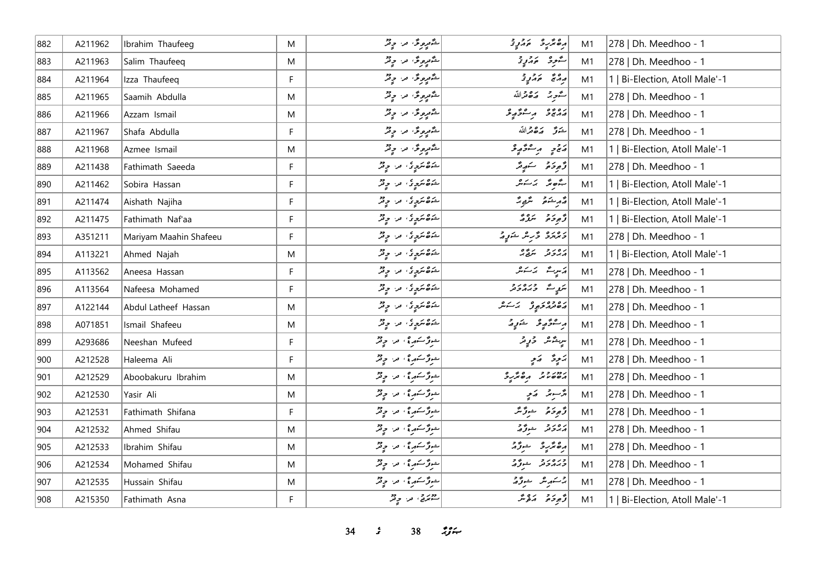| 882 | A211962 | Ibrahim Thaufeeg       | M            | شَمْعِرِهِ فَلَ * وَقَدْ      | وە ئەرە بەر ئ                     | M <sub>1</sub> | 278   Dh. Meedhoo - 1          |
|-----|---------|------------------------|--------------|-------------------------------|-----------------------------------|----------------|--------------------------------|
| 883 | A211963 | Salim Thaufeeq         | M            | شگوره که در در در             | أشووه المرواج                     | M1             | 278   Dh. Meedhoo - 1          |
| 884 | A211964 | Izza Thaufeeq          | F            | شگېږمونځه تن وېژ              | و مع مورد و                       | M1             | 1   Bi-Election, Atoll Male'-1 |
| 885 | A211965 | Saamih Abdulla         | M            | شگوروگی، اور او توگر          | أشورج وكافقرالله                  | M1             | 278   Dh. Meedhoo - 1          |
| 886 | A211966 | Azzam Ismail           | M            | شگوروگی، در چ <sup>و</sup> گر | ړه ده د عرمونو                    | M1             | 278   Dh. Meedhoo - 1          |
| 887 | A211967 | Shafa Abdulla          | F            | شگوړونگه افراد چاپگر          | شَعَرَّ صَرَّةَ مَّدَاللَّه       | M1             | 278   Dh. Meedhoo - 1          |
| 888 | A211968 | Azmee Ismail           | M            | شگوړونگی، اور او ونگر         | ماج ويستحقي                       | M1             | 1   Bi-Election, Atoll Male'-1 |
| 889 | A211438 | Fathimath Saeeda       | F            | شوه سرچ که اس در در م         | قەر ئەرقىيەتىگە                   | M1             | 278   Dh. Meedhoo - 1          |
| 890 | A211462 | Sobira Hassan          | $\mathsf F$  | شەھىكرچە ئەر چەر              | بثوثر يمكش                        | M1             | 1   Bi-Election, Atoll Male'-1 |
| 891 | A211474 | Aishath Najiha         | F            | شەھىكرچەك مەر چەش             | أَمَّهُ مِنْهُ مِنْ مَّعْتِهِ مَّ | M1             | 1   Bi-Election, Atoll Male'-1 |
| 892 | A211475 | Fathimath Naf'aa       | $\mathsf{F}$ | شەھىكرچەك مەسچىلە             | توجو تروثه                        | M1             | 1   Bi-Election, Atoll Male'-1 |
| 893 | A351211 | Mariyam Maahin Shafeeu | F            | شەھىكرچەك مەسچىلە             | و پروو و څر شريد د                | M1             | 278   Dh. Meedhoo - 1          |
| 894 | A113221 | Ahmed Najah            | M            | شوه سرد د در در در د          | دەر د سرق و                       | M1             | 1   Bi-Election, Atoll Male'-1 |
| 895 | A113562 | Aneesa Hassan          | F            | شەھىكرچەك بىن چەش             | ړَسٍتُ پَرَتَشْ                   | M1             | 278   Dh. Meedhoo - 1          |
| 896 | A113564 | Nafeesa Mohamed        | F            | شەھىكرچەك مەسچىلە             | ټريپ - د د د د د                  | M1             | 278   Dh. Meedhoo - 1          |
| 897 | A122144 | Abdul Latheef Hassan   | M            | شەھىكرچەك مەسچىلە             | دەمدە جوڭ ئەسكىل                  | M1             | 278   Dh. Meedhoo - 1          |
| 898 | A071851 | Ismail Shafeeu         | M            | شەھىكرچە ئەر چەر              | أره قيم و شرور حم                 | M1             | 278   Dh. Meedhoo - 1          |
| 899 | A293686 | Neeshan Mufeed         | F            |                               | سريشمر دويد                       | M1             | 278   Dh. Meedhoo - 1          |
| 900 | A212528 | Haleema Ali            | F            | شوژ کنهره ، افراد در          | يزوده الأمو                       | M1             | 278   Dh. Meedhoo - 1          |
| 901 | A212529 | Aboobakuru Ibrahim     | M            | شوژ کنهر پی اور در در         | 100000 000000                     | M1             | 278   Dh. Meedhoo - 1          |
| 902 | A212530 | Yasir Ali              | M            | خورٌ سَمرٍ؟ ، من حِ قرِّ      | پژسېټر پرېږ                       | M1             | 278   Dh. Meedhoo - 1          |
| 903 | A212531 | Fathimath Shifana      | F            | شوژ ڪار ۽ اورا اور دو         | ژُهِ دَهُ شِرُرٌ مَّرُ            | M1             | 278   Dh. Meedhoo - 1          |
| 904 | A212532 | Ahmed Shifau           | M            | شوژ کنهر پی اور اور در        | دەرو ھۆكە                         | M1             | 278   Dh. Meedhoo - 1          |
| 905 | A212533 | Ibrahim Shifau         | M            | شوژ کنهر پی او در در تر       | رە ئرىر ئىرز                      | M1             | 278   Dh. Meedhoo - 1          |
| 906 | A212534 | Mohamed Shifau         | M            | شوژ کنهر پی اور در در         | ورەر دېگرو                        | M1             | 278   Dh. Meedhoo - 1          |
| 907 | A212535 | Hussain Shifau         | M            | شوژ کنهر پی اور او پیش        | بر سے مرگز شوگر کے                | M1             | 278   Dh. Meedhoo - 1          |
| 908 | A215350 | Fathimath Asna         | F            | دور و ، اور دو                | قهوخو منه شر                      | M1             | 1   Bi-Election, Atoll Male'-1 |

**34** *s* 38 *i***<sub>S</sub>** $\approx$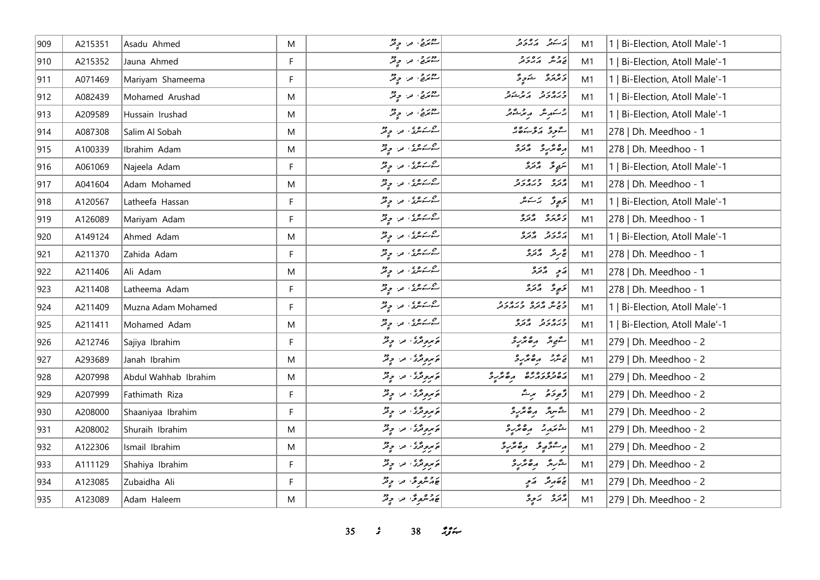| 909 | A215351 | Asadu Ahmed          | M  | دوبر و .<br>سوټري تر ، و تر                                                                                                                                                                                            | يركبون ويرور                      | M1 | 1   Bi-Election, Atoll Male'-1 |
|-----|---------|----------------------|----|------------------------------------------------------------------------------------------------------------------------------------------------------------------------------------------------------------------------|-----------------------------------|----|--------------------------------|
| 910 | A215352 | Jauna Ahmed          | F  | دور و ، اور دو                                                                                                                                                                                                         | پر جمہ کر پر چار ج                | M1 | 1   Bi-Election, Atoll Male'-1 |
| 911 | A071469 | Mariyam Shameema     | F. | دور و ، اور دو                                                                                                                                                                                                         | د ۱۵ د ۱۵ شرور ۲۵                 | M1 | 1   Bi-Election, Atoll Male'-1 |
| 912 | A082439 | Mohamed Arushad      | M  | دور و ، اور دو                                                                                                                                                                                                         | ورەرو پەرىدو                      | M1 | 1   Bi-Election, Atoll Male'-1 |
| 913 | A209589 | Hussain Irushad      | M  | دور و ، اور دور                                                                                                                                                                                                        | جرسكىرىش موسىر مىشىتىر            | M1 | 1   Bi-Election, Atoll Male'-1 |
| 914 | A087308 | Salim Al Sobah       | M  | شرعری، مراح قر                                                                                                                                                                                                         | ستوفر ويحببوه                     | M1 | 278   Dh. Meedhoo - 1          |
| 915 | A100339 | Ibrahim Adam         | M  | شرکته من چ <sup>ور</sup>                                                                                                                                                                                               | أرە پر دەرە                       | M1 | 278   Dh. Meedhoo - 1          |
| 916 | A061069 | Najeela Adam         | F. | شرمسته من چ <sup>و</sup> ر                                                                                                                                                                                             | لتربي قرائده                      | M1 | 1   Bi-Election, Atoll Male'-1 |
| 917 | A041604 | Adam Mohamed         | M  | شرمایش، مراج قر                                                                                                                                                                                                        | وره وره دو<br>مرتزق وبرمروتر      | M1 | 278   Dh. Meedhoo - 1          |
| 918 | A120567 | Latheefa Hassan      | F  | شرمز شده و پی                                                                                                                                                                                                          | خبورٌ - يَا شَدَسْ                | M1 | 1   Bi-Election, Atoll Male'-1 |
| 919 | A126089 | Mariyam Adam         | F. | ا شرکت من ح <sup>و</sup> ثر                                                                                                                                                                                            | د ۱۵ د ۱۵ د د و                   | M1 | 278   Dh. Meedhoo - 1          |
| 920 | A149124 | Ahmed Adam           | M  | شرمسته من چ <sup>و</sup> ر                                                                                                                                                                                             | برەر يەرە                         | M1 | 1   Bi-Election, Atoll Male'-1 |
| 921 | A211370 | Zahida Adam          | F  | شرستگری من چرمز                                                                                                                                                                                                        | تج برقد المرتزرة                  | M1 | 278   Dh. Meedhoo - 1          |
| 922 | A211406 | Ali Adam             | M  | شرمایش، مراج قر                                                                                                                                                                                                        | ړَ په د د د                       | M1 | 278   Dh. Meedhoo - 1          |
| 923 | A211408 | Latheema Adam        | F  | شرمایش، مرا چقر                                                                                                                                                                                                        | تخبوڅ اړمره                       | M1 | 278   Dh. Meedhoo - 1          |
| 924 | A211409 | Muzna Adam Mohamed   | F  | شرکته من چ <sup>ور</sup>                                                                                                                                                                                               | ככש בנס כנסנב<br>כשיל הנקב בגהבנק | M1 | 1   Bi-Election, Atoll Male'-1 |
| 925 | A211411 | Mohamed Adam         | M  | شرمز شده و پی                                                                                                                                                                                                          | כנסנכ שנס                         | M1 | 1   Bi-Election, Atoll Male'-1 |
| 926 | A212746 | Sajiya Ibrahim       | F. | مربوشی من چیز                                                                                                                                                                                                          | ستورش مرە ترىر ئ                  | M1 | 279   Dh. Meedhoo - 2          |
| 927 | A293689 | Janah Ibrahim        | M  | كومبر و قرى المدار المحد المحد المحد المحد المحد المحد المحد المحد المحد المحد المحد المحد المحد الم<br>المحد المحد المحد المحد المحد المحد المحد المحد المحد المحد المحد المحد المحد المحد المحد المحد المحد المحد ال | ر و د موړنو                       | M1 | 279   Dh. Meedhoo - 2          |
| 928 | A207998 | Abdul Wahhab Ibrahim | M  | پرېږونگری، مر، چ <sup>و</sup> ر                                                                                                                                                                                        | ره دوره ده و و و و                | M1 | 279   Dh. Meedhoo - 2          |
| 929 | A207999 | Fathimath Riza       | F  | پروتری اور وقر                                                                                                                                                                                                         | رَّمِودَة بِنَّ                   | M1 | 279   Dh. Meedhoo - 2          |
| 930 | A208000 | Shaaniyaa Ibrahim    | F. | مربوشی من چینل                                                                                                                                                                                                         | شورش مرە ئىر                      | M1 | 279   Dh. Meedhoo - 2          |
| 931 | A208002 | Shuraih Ibrahim      | M  | پروتری الله دیگر                                                                                                                                                                                                       | $rac{2}{3}$                       | M1 | 279   Dh. Meedhoo - 2          |
| 932 | A122306 | Ismail Ibrahim       | M  | <br>  پرېږونژی، لار چ <sup>و</sup> ر                                                                                                                                                                                   | أرجعتموه رقتنبر                   | M1 | 279   Dh. Meedhoo - 2          |
| 933 | A111129 | Shahiya Ibrahim      | F. | وَمُرومٌ وَ، مَنْ وَفَرٌ                                                                                                                                                                                               | شرير رەپرى                        | M1 | 279   Dh. Meedhoo - 2          |
| 934 | A123085 | Zubaidha Ali         | F  | ع م شروعه من ح قر                                                                                                                                                                                                      | محاصر محمد مستحديد                | M1 | 279   Dh. Meedhoo - 2          |
| 935 | A123089 | Adam Haleem          | M  | ع م مهوسٌ من جِ مُرٌ                                                                                                                                                                                                   | المراد كالمحمد المرادة المرادة    | M1 | 279   Dh. Meedhoo - 2          |

**35** *s* 38 *if***<sub>x</sub>**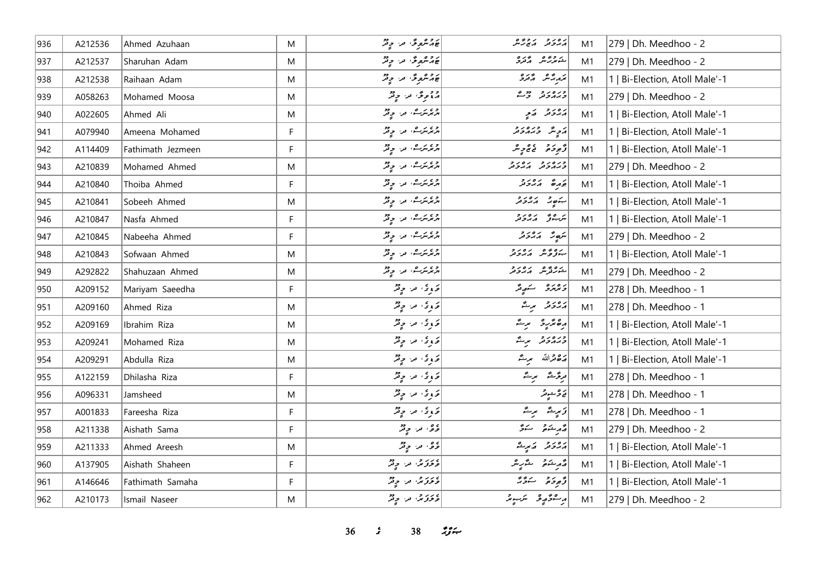| 936 | A212536 | Ahmed Azuhaan     | M  | عَهُمْتُومٌ مَن جِمْرٌ        | دەر دىر دىگە              | M1 | 279   Dh. Meedhoo - 2          |
|-----|---------|-------------------|----|-------------------------------|---------------------------|----|--------------------------------|
| 937 | A212537 | Sharuhan Adam     | M  | ج پر شهر شهر در حرفتر         | شەردىش كەترە              | M1 | 279   Dh. Meedhoo - 2          |
| 938 | A212538 | Raihaan Adam      | M  | محمد شهوش من وفر              | أترمر شهر ويره            | M1 | 1   Bi-Election, Atoll Male'-1 |
| 939 | A058263 | Mohamed Moosa     | M  | دوموگر، مرا چیل               | ورەر دور                  | M1 | 279   Dh. Meedhoo - 2          |
| 940 | A022605 | Ahmed Ali         | M  | د پرسرے، اور، اولار           | ړ ور د کاب                | M1 | 1   Bi-Election, Atoll Male'-1 |
| 941 | A079940 | Ameena Mohamed    | F. | د ، برے، در، دیگر             | أروپس وره رو              | M1 | 1   Bi-Election, Atoll Male'-1 |
| 942 | A114409 | Fathimath Jezmeen | F  | د پر سره، امر، اولیمر         | ژُهِ دَ مَ مَ مِ حَ مِ سَ | M1 | 1   Bi-Election, Atoll Male'-1 |
| 943 | A210839 | Mohamed Ahmed     | M  | د ، بر ه ، د و تر             | כנסני גםני                | M1 | 279   Dh. Meedhoo - 2          |
| 944 | A210840 | Thoiba Ahmed      | F  | د پرسرے، اور، اولار           | أبورة مددور               | M1 | 1   Bi-Election, Atoll Male'-1 |
| 945 | A210841 | Sobeeh Ahmed      | M  | د ، برره، در چیز              | بنور برورد                | M1 | 1   Bi-Election, Atoll Male'-1 |
| 946 | A210847 | Nasfa Ahmed       | F  | د ، بر ه ، د و تر             | ترجوش برورد               | M1 | 1   Bi-Election, Atoll Male'-1 |
| 947 | A210845 | Nabeeha Ahmed     | F  | د ، بر ه ، د و تر             | سَهِ رَمَّ دَ د           | M1 | 279   Dh. Meedhoo - 2          |
| 948 | A210843 | Sofwaan Ahmed     | M  | د پرسرت، مر، چ <sup>و</sup> ر | بةوقرش أزوره              | M1 | 1   Bi-Election, Atoll Male'-1 |
| 949 | A292822 | Shahuzaan Ahmed   | M  | د پرسرت، مر، چ <sup>و</sup> ر | ے وجاوز مہروز             | M1 | 279   Dh. Meedhoo - 2          |
| 950 | A209152 | Mariyam Saeedha   | F. | و و الله الله و فر            | دەرە سەرتى                | M1 | 278   Dh. Meedhoo - 1          |
| 951 | A209160 | Ahmed Riza        | M  | وَ وِ حَ مِن وِقْرٌ           | رەرو برگ                  | M1 | 278   Dh. Meedhoo - 1          |
| 952 | A209169 | Ibrahim Riza      | M  | و و الله الله و فر            | أرەپر دە برىگە            | M1 | 1   Bi-Election, Atoll Male'-1 |
| 953 | A209241 | Mohamed Riza      | M  | وَوِیْ مِنْ وِقْرُ            | ورەرو برگ                 | M1 | 1   Bi-Election, Atoll Male'-1 |
| 954 | A209291 | Abdulla Riza      | M  | وَ وِ حَ مِن حِ قِمْرٌ        | 205 الله مرتَّد           | M1 | 1   Bi-Election, Atoll Male'-1 |
| 955 | A122159 | Dhilasha Riza     | F  | وَ وِيُ مِن وِيْرُ            | امرگرشہ مرت               | M1 | 278   Dh. Meedhoo - 1          |
| 956 | A096331 | Jamsheed          | M  | وَ وِ حَ مِن حِ قِرْ          | ره رشوتر<br>  نوڅونر      | M1 | 278   Dh. Meedhoo - 1          |
| 957 | A001833 | Fareesha Riza     | F. | تدبری افزاد افزاد             | وَيَرِيدُ الرِيدُ         | M1 | 278   Dh. Meedhoo - 1          |
| 958 | A211338 | Aishath Sama      | F  | ء ه ، من حي <sup>ود</sup>     | أقهر ينقو سنرقى           | M1 | 279   Dh. Meedhoo - 2          |
| 959 | A211333 | Ahmed Areesh      | M  | ده، در ویژ                    | رەر د كەرگ                | M1 | 1   Bi-Election, Atoll Male'-1 |
| 960 | A137905 | Aishath Shaheen   | F  | ءربر حمل الله عن المحافظ      | مەرخۇم سۇرىر              | M1 | 1   Bi-Election, Atoll Male'-1 |
| 961 | A146646 | Fathimath Samaha  | F  | عرى من سي فرقر                | د بره د بروید             | M1 | 1   Bi-Election, Atoll Male'-1 |
| 962 | A210173 | Ismail Naseer     | M  | ء د د چینې او د او چینې       | أبر مقوضي فليسبغ          | M1 | 279   Dh. Meedhoo - 2          |

**36** *s* 38 *i***<sub>S</sub>** $\approx$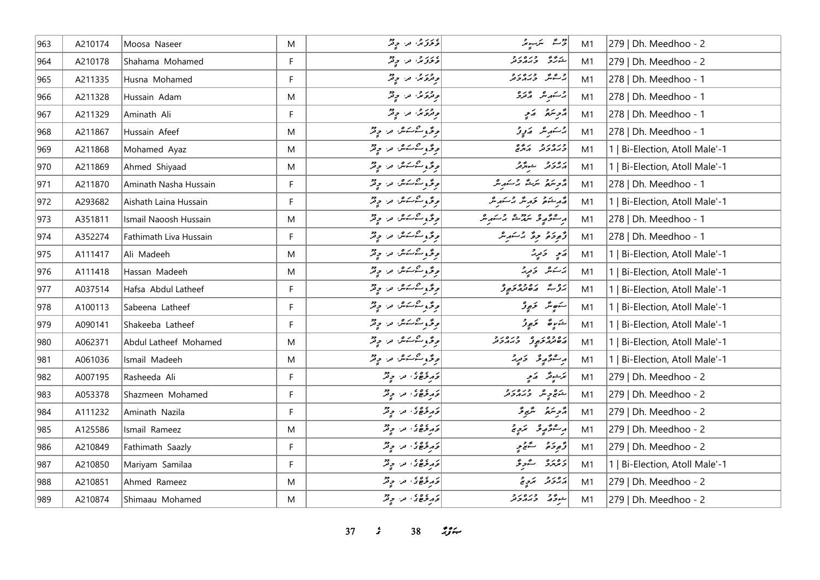| 963 | A210174 | Moosa Naseer           | M            | ، درج، من وفر                   | رومئة متكرسوند              | M1 | 279   Dh. Meedhoo - 2          |
|-----|---------|------------------------|--------------|---------------------------------|-----------------------------|----|--------------------------------|
| 964 | A210178 | Shahama Mohamed        | $\mathsf F$  | ءربر حمد وفرّ                   | شەھ دىرە دە                 | M1 | 279   Dh. Meedhoo - 2          |
| 965 | A211335 | Husna Mohamed          | F            | وقرة من وقر                     | و عند اوره داد              | M1 | 278   Dh. Meedhoo - 1          |
| 966 | A211328 | Hussain Adam           | M            | و ترویر، اور، اولیم             | بر کشمیر شهر محمد بر        | M1 | 278   Dh. Meedhoo - 1          |
| 967 | A211329 | Aminath Ali            | F            | و در د.<br>وتروير، تر، وتر      | ړې په کمې                   | M1 | 278   Dh. Meedhoo - 1          |
| 968 | A211867 | Hussain Afeef          | M            | موقته و شسكر من المحيض          | چەسىر شەرىقى ئەر            | M1 | 278   Dh. Meedhoo - 1          |
| 969 | A211868 | Mohamed Ayaz           | M            | موقته و شسكر من المحيض          | כנפנ כי                     | M1 | 1   Bi-Election, Atoll Male'-1 |
| 970 | A211869 | Ahmed Shiyaad          | M            | موقح و مشکور اور او فرقر        | أرور وحيدور                 | M1 | 1   Bi-Election, Atoll Male'-1 |
| 971 | A211870 | Aminath Nasha Hussain  | F            | موقته و شسکر من الرقتر          | أأترسم سكش برسكر مر         | M1 | 278   Dh. Meedhoo - 1          |
| 972 | A293682 | Aishath Laina Hussain  | F            | موقحه و شکسر اس او فر           | مەرخىتى ئۇرىگە جاسكىرىك     | M1 | 1   Bi-Election, Atoll Male'-1 |
| 973 | A351811 | Ismail Naoosh Hussain  | M            | وِدَّ وِسْسَسْ مِنْ دِيْرٌ      | وستوريد مردوه وكرمو         | M1 | 278   Dh. Meedhoo - 1          |
| 974 | A352274 | Fathimath Liva Hussain | F            | پوځو شکستگرا اور او پر          | دٌوِدَهُ وِءٌ بُرْسَهِ مَدْ | M1 | 278   Dh. Meedhoo - 1          |
| 975 | A111417 | Ali Madeeh             | M            | موقته و شسکر مرد او فرقر        | ړی ځېږ                      | M1 | 1   Bi-Election, Atoll Male'-1 |
| 976 | A111418 | Hassan Madeeh          | M            | موقته و شسکر مرد او فرقر        | پرستندا او توپر             | M1 | 1   Bi-Election, Atoll Male'-1 |
| 977 | A037514 | Hafsa Abdul Latheef    | F            | د ځرو شکستگران او د د مخ        | ره شه ره ده در و            | M1 | 1   Bi-Election, Atoll Male'-1 |
| 978 | A100113 | Sabeena Latheef        | F            | وقرو مشكسة من وقر               | سُوَسَدٌ خَفِرُدٌ           | M1 | 1   Bi-Election, Atoll Male'-1 |
| 979 | A090141 | Shakeeba Latheef       | F            | موقته و شسکر مرد او فرقر        | شَرِيعٌ مَهِوتُرٌ           | M1 | 1   Bi-Election, Atoll Male'-1 |
| 980 | A062371 | Abdul Latheef Mohamed  | M            | موقته و شسكر من المحيض          | د ۱۵۶۵ - د ۱۵۶۵ - د         | M1 | 1   Bi-Election, Atoll Male'-1 |
| 981 | A061036 | Ismail Madeeh          | M            | د قرو کرکنگر، اورا د دیگر       | ر شۇر ئەر                   | M1 | 1   Bi-Election, Atoll Male'-1 |
| 982 | A007195 | Rasheeda Ali           | F            | در ده در در در                  | ترجينر كالمح                | M1 | 279   Dh. Meedhoo - 2          |
| 983 | A053378 | Shazmeen Mohamed       | F            | در ده در در در                  | شره و دره دو                | M1 | 279   Dh. Meedhoo - 2          |
| 984 | A111232 | Aminath Nazila         | F            | و د و و و د د د د د             | مزهر سنبوءً                 | M1 | 279   Dh. Meedhoo - 2          |
| 985 | A125586 | Ismail Rameez          | M            | و د و و و د د د د د             | ر شۇر ئىچ                   | M1 | 279   Dh. Meedhoo - 2          |
| 986 | A210849 | Fathimath Saazly       | F            | در وه وه در در در               | د پوځو په ستيمو په          | M1 | 279   Dh. Meedhoo - 2          |
| 987 | A210850 | Mariyam Samilaa        | $\mathsf{F}$ | در ه ه ه د د د                  | دەرە ئىچ                    | M1 | 1   Bi-Election, Atoll Male'-1 |
| 988 | A210851 | Ahmed Rameez           | M            | قرم دی ده در موفر               | ړه پر پر په                 | M1 | 279   Dh. Meedhoo - 2          |
| 989 | A210874 | Shimaau Mohamed        | M            | و مرکزهای، مر، چ <sup>و</sup> ر | أشوفه وره رو                | M1 | 279   Dh. Meedhoo - 2          |

**37** *s* 38 *<i>n*<sub>3</sub> *n***<sub>1</sub>**